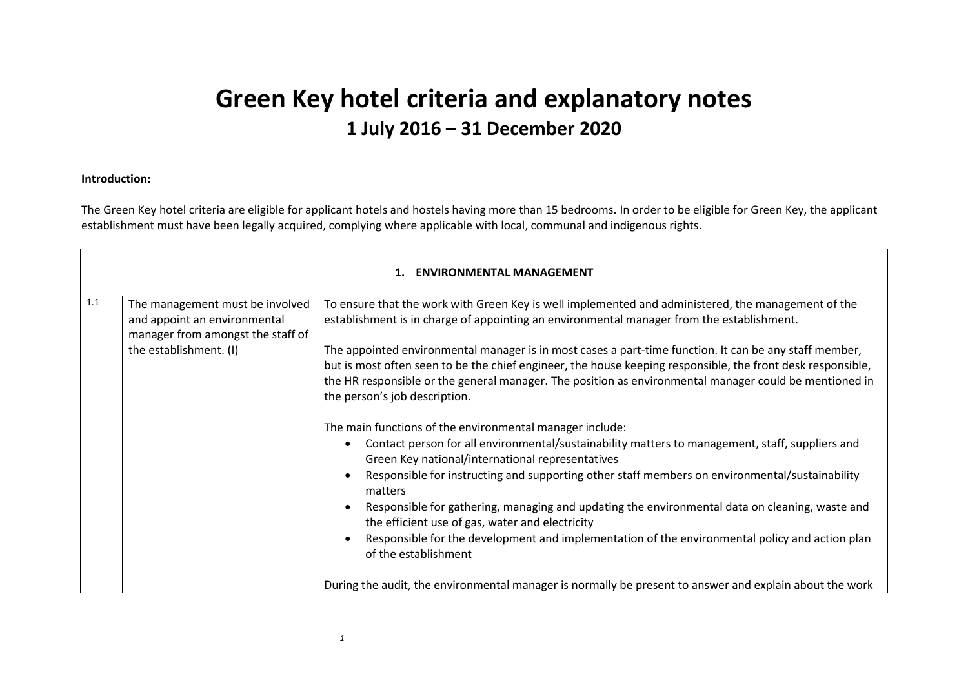## **Green Key hotel criteria and explanatory notes 1 July 2016 – 31 December 2020**

## **Introduction:**

The Green Key hotel criteria are eligible for applicant hotels and hostels having more than 15 bedrooms. In order to be eligible for Green Key, the applicant establishment must have been legally acquired, complying where applicable with local, communal and indigenous rights.

| 1.1<br>The management must be involved<br>and appoint an environmental<br>manager from amongst the staff of<br>the establishment. (I)<br>the person's job description.<br>$\bullet$<br>$\epsilon$<br>matters<br>$\bullet$ | <b>ENVIRONMENTAL MANAGEMENT</b>                                                                                                                                                                                                                                                                                                                                                                                                                                                                                                                                                                                                                                                     |  |  |
|---------------------------------------------------------------------------------------------------------------------------------------------------------------------------------------------------------------------------|-------------------------------------------------------------------------------------------------------------------------------------------------------------------------------------------------------------------------------------------------------------------------------------------------------------------------------------------------------------------------------------------------------------------------------------------------------------------------------------------------------------------------------------------------------------------------------------------------------------------------------------------------------------------------------------|--|--|
|                                                                                                                                                                                                                           | To ensure that the work with Green Key is well implemented and administered, the management of the<br>establishment is in charge of appointing an environmental manager from the establishment.                                                                                                                                                                                                                                                                                                                                                                                                                                                                                     |  |  |
|                                                                                                                                                                                                                           | The appointed environmental manager is in most cases a part-time function. It can be any staff member,<br>but is most often seen to be the chief engineer, the house keeping responsible, the front desk responsible,<br>the HR responsible or the general manager. The position as environmental manager could be mentioned in                                                                                                                                                                                                                                                                                                                                                     |  |  |
| of the establishment                                                                                                                                                                                                      | The main functions of the environmental manager include:<br>Contact person for all environmental/sustainability matters to management, staff, suppliers and<br>Green Key national/international representatives<br>Responsible for instructing and supporting other staff members on environmental/sustainability<br>Responsible for gathering, managing and updating the environmental data on cleaning, waste and<br>the efficient use of gas, water and electricity<br>Responsible for the development and implementation of the environmental policy and action plan<br>During the audit, the environmental manager is normally be present to answer and explain about the work |  |  |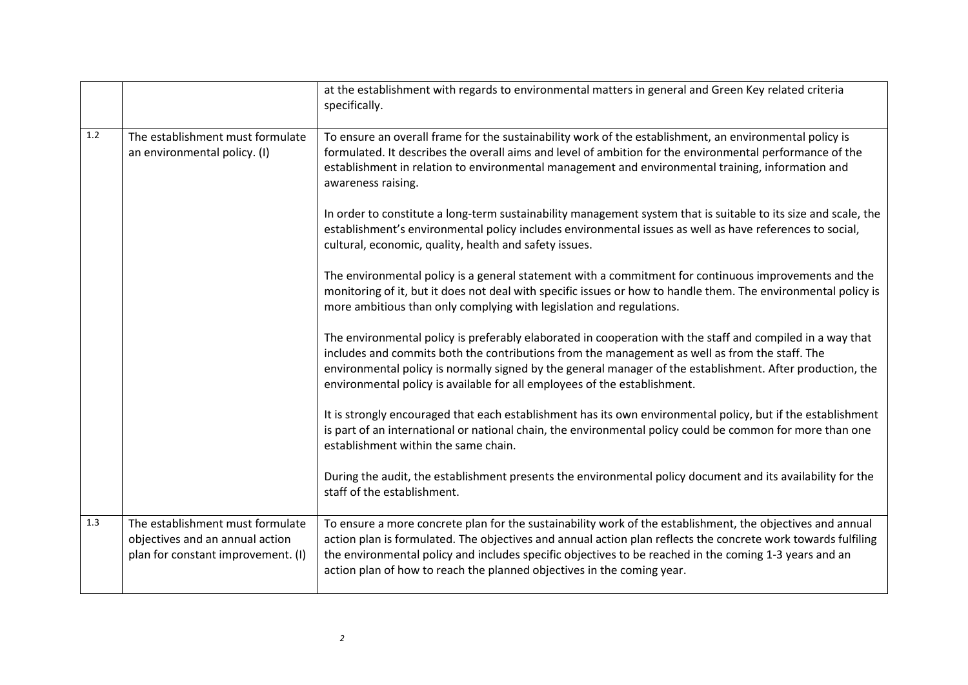|     |                                                                                                           | at the establishment with regards to environmental matters in general and Green Key related criteria<br>specifically.                                                                                                                                                                                                                                                                                           |
|-----|-----------------------------------------------------------------------------------------------------------|-----------------------------------------------------------------------------------------------------------------------------------------------------------------------------------------------------------------------------------------------------------------------------------------------------------------------------------------------------------------------------------------------------------------|
| 1.2 | The establishment must formulate<br>an environmental policy. (I)                                          | To ensure an overall frame for the sustainability work of the establishment, an environmental policy is<br>formulated. It describes the overall aims and level of ambition for the environmental performance of the<br>establishment in relation to environmental management and environmental training, information and<br>awareness raising.                                                                  |
|     |                                                                                                           | In order to constitute a long-term sustainability management system that is suitable to its size and scale, the<br>establishment's environmental policy includes environmental issues as well as have references to social,<br>cultural, economic, quality, health and safety issues.                                                                                                                           |
|     |                                                                                                           | The environmental policy is a general statement with a commitment for continuous improvements and the<br>monitoring of it, but it does not deal with specific issues or how to handle them. The environmental policy is<br>more ambitious than only complying with legislation and regulations.                                                                                                                 |
|     |                                                                                                           | The environmental policy is preferably elaborated in cooperation with the staff and compiled in a way that<br>includes and commits both the contributions from the management as well as from the staff. The<br>environmental policy is normally signed by the general manager of the establishment. After production, the<br>environmental policy is available for all employees of the establishment.         |
|     |                                                                                                           | It is strongly encouraged that each establishment has its own environmental policy, but if the establishment<br>is part of an international or national chain, the environmental policy could be common for more than one<br>establishment within the same chain.                                                                                                                                               |
|     |                                                                                                           | During the audit, the establishment presents the environmental policy document and its availability for the<br>staff of the establishment.                                                                                                                                                                                                                                                                      |
| 1.3 | The establishment must formulate<br>objectives and an annual action<br>plan for constant improvement. (I) | To ensure a more concrete plan for the sustainability work of the establishment, the objectives and annual<br>action plan is formulated. The objectives and annual action plan reflects the concrete work towards fulfiling<br>the environmental policy and includes specific objectives to be reached in the coming 1-3 years and an<br>action plan of how to reach the planned objectives in the coming year. |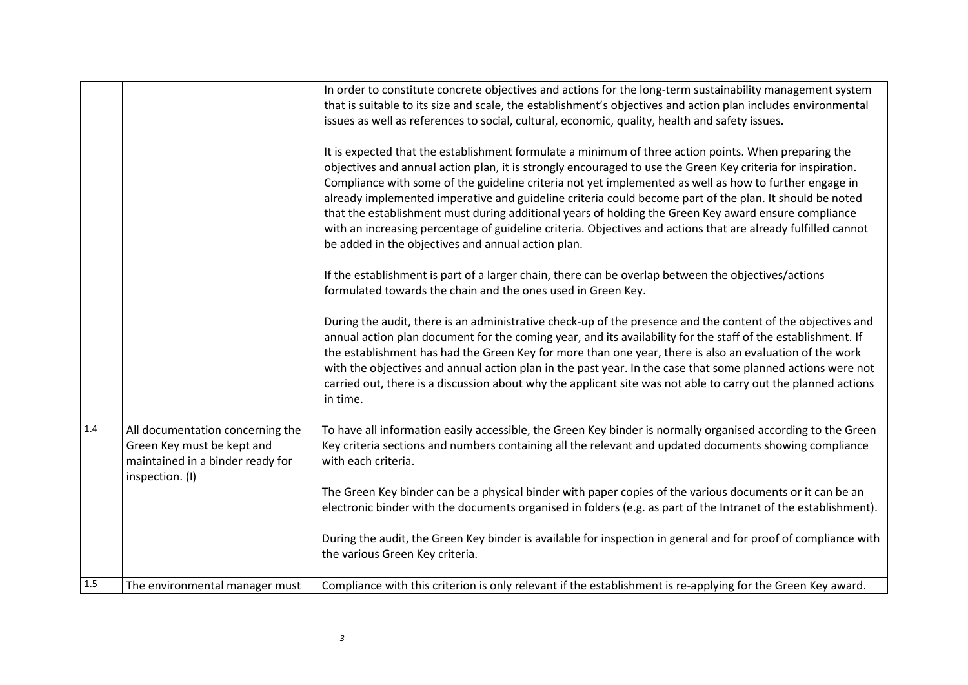|     |                                                                                                                       | In order to constitute concrete objectives and actions for the long-term sustainability management system<br>that is suitable to its size and scale, the establishment's objectives and action plan includes environmental<br>issues as well as references to social, cultural, economic, quality, health and safety issues.<br>It is expected that the establishment formulate a minimum of three action points. When preparing the<br>objectives and annual action plan, it is strongly encouraged to use the Green Key criteria for inspiration.<br>Compliance with some of the guideline criteria not yet implemented as well as how to further engage in<br>already implemented imperative and guideline criteria could become part of the plan. It should be noted<br>that the establishment must during additional years of holding the Green Key award ensure compliance<br>with an increasing percentage of guideline criteria. Objectives and actions that are already fulfilled cannot<br>be added in the objectives and annual action plan.<br>If the establishment is part of a larger chain, there can be overlap between the objectives/actions<br>formulated towards the chain and the ones used in Green Key.<br>During the audit, there is an administrative check-up of the presence and the content of the objectives and<br>annual action plan document for the coming year, and its availability for the staff of the establishment. If<br>the establishment has had the Green Key for more than one year, there is also an evaluation of the work<br>with the objectives and annual action plan in the past year. In the case that some planned actions were not<br>carried out, there is a discussion about why the applicant site was not able to carry out the planned actions<br>in time. |
|-----|-----------------------------------------------------------------------------------------------------------------------|----------------------------------------------------------------------------------------------------------------------------------------------------------------------------------------------------------------------------------------------------------------------------------------------------------------------------------------------------------------------------------------------------------------------------------------------------------------------------------------------------------------------------------------------------------------------------------------------------------------------------------------------------------------------------------------------------------------------------------------------------------------------------------------------------------------------------------------------------------------------------------------------------------------------------------------------------------------------------------------------------------------------------------------------------------------------------------------------------------------------------------------------------------------------------------------------------------------------------------------------------------------------------------------------------------------------------------------------------------------------------------------------------------------------------------------------------------------------------------------------------------------------------------------------------------------------------------------------------------------------------------------------------------------------------------------------------------------------------------------------------------------------------------------------------------------------|
| 1.4 | All documentation concerning the<br>Green Key must be kept and<br>maintained in a binder ready for<br>inspection. (I) | To have all information easily accessible, the Green Key binder is normally organised according to the Green<br>Key criteria sections and numbers containing all the relevant and updated documents showing compliance<br>with each criteria.<br>The Green Key binder can be a physical binder with paper copies of the various documents or it can be an                                                                                                                                                                                                                                                                                                                                                                                                                                                                                                                                                                                                                                                                                                                                                                                                                                                                                                                                                                                                                                                                                                                                                                                                                                                                                                                                                                                                                                                            |
|     |                                                                                                                       | electronic binder with the documents organised in folders (e.g. as part of the Intranet of the establishment).<br>During the audit, the Green Key binder is available for inspection in general and for proof of compliance with                                                                                                                                                                                                                                                                                                                                                                                                                                                                                                                                                                                                                                                                                                                                                                                                                                                                                                                                                                                                                                                                                                                                                                                                                                                                                                                                                                                                                                                                                                                                                                                     |
|     |                                                                                                                       | the various Green Key criteria.                                                                                                                                                                                                                                                                                                                                                                                                                                                                                                                                                                                                                                                                                                                                                                                                                                                                                                                                                                                                                                                                                                                                                                                                                                                                                                                                                                                                                                                                                                                                                                                                                                                                                                                                                                                      |
| 1.5 | The environmental manager must                                                                                        | Compliance with this criterion is only relevant if the establishment is re-applying for the Green Key award.                                                                                                                                                                                                                                                                                                                                                                                                                                                                                                                                                                                                                                                                                                                                                                                                                                                                                                                                                                                                                                                                                                                                                                                                                                                                                                                                                                                                                                                                                                                                                                                                                                                                                                         |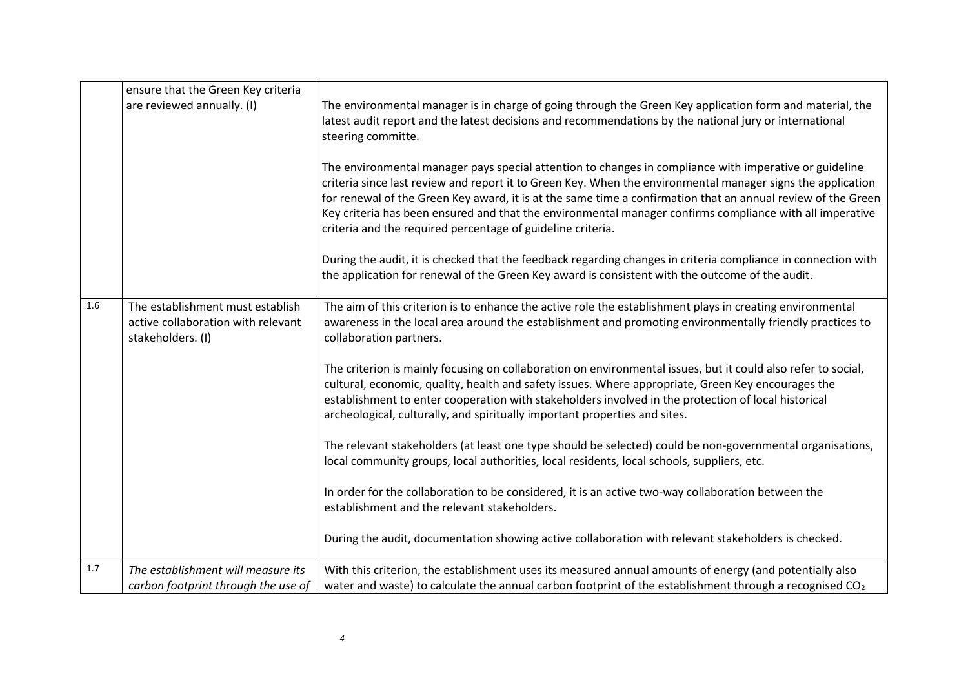|       | ensure that the Green Key criteria                                                          |                                                                                                                                                                                                                                                                                                                                                                                                                                                                                                                  |
|-------|---------------------------------------------------------------------------------------------|------------------------------------------------------------------------------------------------------------------------------------------------------------------------------------------------------------------------------------------------------------------------------------------------------------------------------------------------------------------------------------------------------------------------------------------------------------------------------------------------------------------|
|       | are reviewed annually. (I)                                                                  | The environmental manager is in charge of going through the Green Key application form and material, the<br>latest audit report and the latest decisions and recommendations by the national jury or international<br>steering committe.                                                                                                                                                                                                                                                                         |
|       |                                                                                             | The environmental manager pays special attention to changes in compliance with imperative or guideline<br>criteria since last review and report it to Green Key. When the environmental manager signs the application<br>for renewal of the Green Key award, it is at the same time a confirmation that an annual review of the Green<br>Key criteria has been ensured and that the environmental manager confirms compliance with all imperative<br>criteria and the required percentage of guideline criteria. |
|       |                                                                                             | During the audit, it is checked that the feedback regarding changes in criteria compliance in connection with<br>the application for renewal of the Green Key award is consistent with the outcome of the audit.                                                                                                                                                                                                                                                                                                 |
| 1.6   | The establishment must establish<br>active collaboration with relevant<br>stakeholders. (I) | The aim of this criterion is to enhance the active role the establishment plays in creating environmental<br>awareness in the local area around the establishment and promoting environmentally friendly practices to<br>collaboration partners.                                                                                                                                                                                                                                                                 |
|       |                                                                                             | The criterion is mainly focusing on collaboration on environmental issues, but it could also refer to social,<br>cultural, economic, quality, health and safety issues. Where appropriate, Green Key encourages the<br>establishment to enter cooperation with stakeholders involved in the protection of local historical<br>archeological, culturally, and spiritually important properties and sites.                                                                                                         |
|       |                                                                                             | The relevant stakeholders (at least one type should be selected) could be non-governmental organisations,<br>local community groups, local authorities, local residents, local schools, suppliers, etc.                                                                                                                                                                                                                                                                                                          |
|       |                                                                                             | In order for the collaboration to be considered, it is an active two-way collaboration between the<br>establishment and the relevant stakeholders.                                                                                                                                                                                                                                                                                                                                                               |
|       |                                                                                             | During the audit, documentation showing active collaboration with relevant stakeholders is checked.                                                                                                                                                                                                                                                                                                                                                                                                              |
| $1.7$ | The establishment will measure its                                                          | With this criterion, the establishment uses its measured annual amounts of energy (and potentially also                                                                                                                                                                                                                                                                                                                                                                                                          |
|       | carbon footprint through the use of                                                         | water and waste) to calculate the annual carbon footprint of the establishment through a recognised $CO2$                                                                                                                                                                                                                                                                                                                                                                                                        |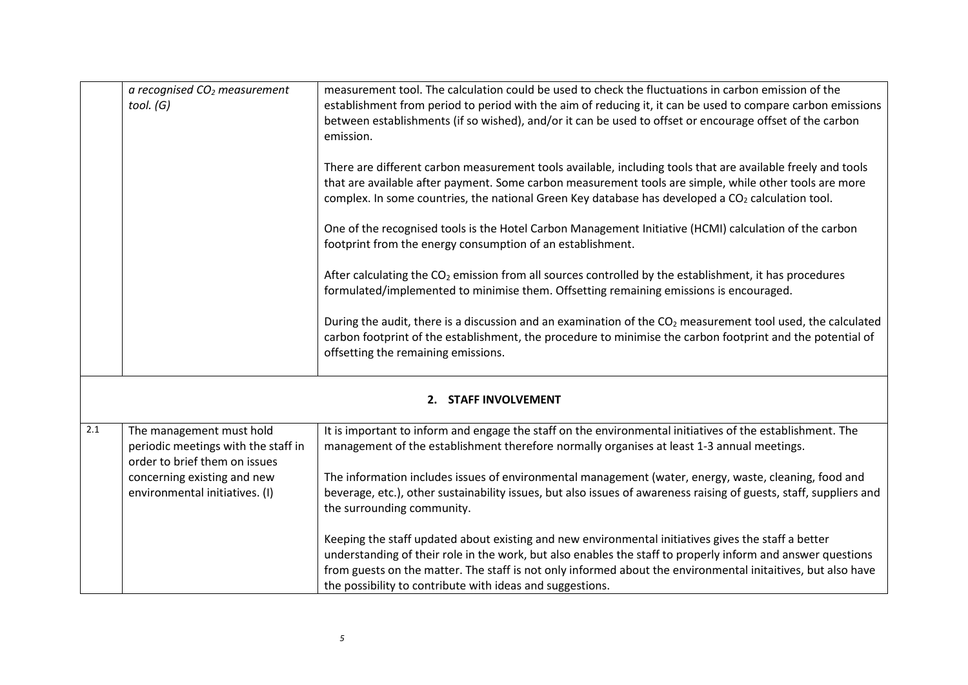|     | a recognised $CO2$ measurement<br>tool. (G)                                                                                                                       | measurement tool. The calculation could be used to check the fluctuations in carbon emission of the<br>establishment from period to period with the aim of reducing it, it can be used to compare carbon emissions<br>between establishments (if so wished), and/or it can be used to offset or encourage offset of the carbon<br>emission.<br>There are different carbon measurement tools available, including tools that are available freely and tools<br>that are available after payment. Some carbon measurement tools are simple, while other tools are more<br>complex. In some countries, the national Green Key database has developed a CO2 calculation tool.<br>One of the recognised tools is the Hotel Carbon Management Initiative (HCMI) calculation of the carbon<br>footprint from the energy consumption of an establishment.<br>After calculating the CO <sub>2</sub> emission from all sources controlled by the establishment, it has procedures<br>formulated/implemented to minimise them. Offsetting remaining emissions is encouraged.<br>During the audit, there is a discussion and an examination of the CO <sub>2</sub> measurement tool used, the calculated<br>carbon footprint of the establishment, the procedure to minimise the carbon footprint and the potential of<br>offsetting the remaining emissions. |
|-----|-------------------------------------------------------------------------------------------------------------------------------------------------------------------|---------------------------------------------------------------------------------------------------------------------------------------------------------------------------------------------------------------------------------------------------------------------------------------------------------------------------------------------------------------------------------------------------------------------------------------------------------------------------------------------------------------------------------------------------------------------------------------------------------------------------------------------------------------------------------------------------------------------------------------------------------------------------------------------------------------------------------------------------------------------------------------------------------------------------------------------------------------------------------------------------------------------------------------------------------------------------------------------------------------------------------------------------------------------------------------------------------------------------------------------------------------------------------------------------------------------------------------------------|
|     |                                                                                                                                                                   | 2. STAFF INVOLVEMENT                                                                                                                                                                                                                                                                                                                                                                                                                                                                                                                                                                                                                                                                                                                                                                                                                                                                                                                                                                                                                                                                                                                                                                                                                                                                                                                              |
| 2.1 | The management must hold<br>periodic meetings with the staff in<br>order to brief them on issues<br>concerning existing and new<br>environmental initiatives. (I) | It is important to inform and engage the staff on the environmental initiatives of the establishment. The<br>management of the establishment therefore normally organises at least 1-3 annual meetings.<br>The information includes issues of environmental management (water, energy, waste, cleaning, food and<br>beverage, etc.), other sustainability issues, but also issues of awareness raising of guests, staff, suppliers and<br>the surrounding community.<br>Keeping the staff updated about existing and new environmental initiatives gives the staff a better<br>understanding of their role in the work, but also enables the staff to properly inform and answer questions<br>from guests on the matter. The staff is not only informed about the environmental initaitives, but also have<br>the possibility to contribute with ideas and suggestions.                                                                                                                                                                                                                                                                                                                                                                                                                                                                           |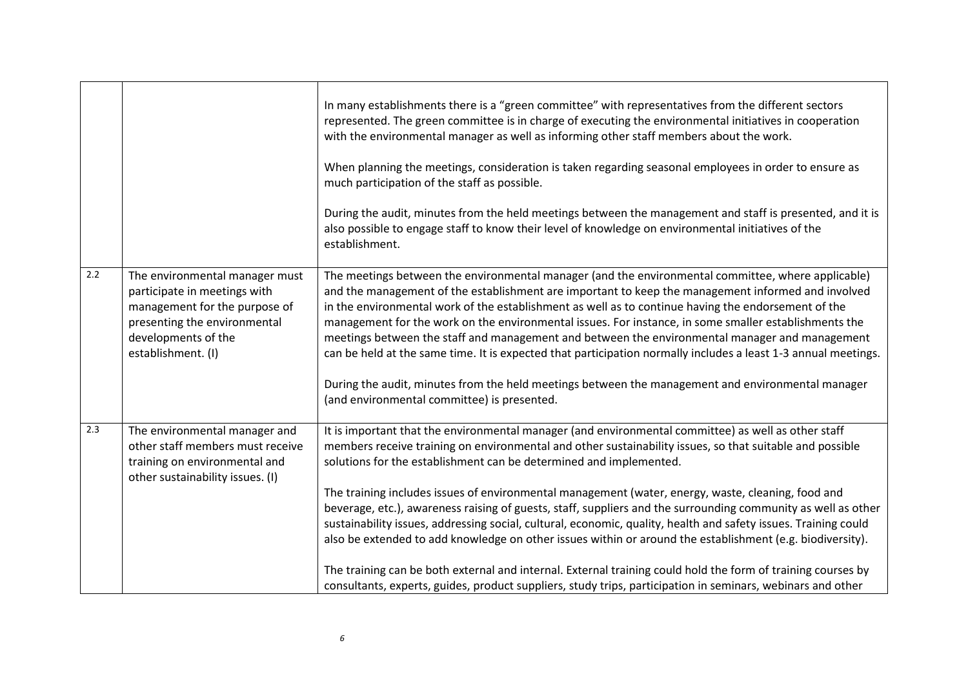|     |                                                                                                                                                                              | In many establishments there is a "green committee" with representatives from the different sectors<br>represented. The green committee is in charge of executing the environmental initiatives in cooperation<br>with the environmental manager as well as informing other staff members about the work.<br>When planning the meetings, consideration is taken regarding seasonal employees in order to ensure as<br>much participation of the staff as possible.<br>During the audit, minutes from the held meetings between the management and staff is presented, and it is<br>also possible to engage staff to know their level of knowledge on environmental initiatives of the<br>establishment.                                                                                                                                                                                                                                                                     |
|-----|------------------------------------------------------------------------------------------------------------------------------------------------------------------------------|-----------------------------------------------------------------------------------------------------------------------------------------------------------------------------------------------------------------------------------------------------------------------------------------------------------------------------------------------------------------------------------------------------------------------------------------------------------------------------------------------------------------------------------------------------------------------------------------------------------------------------------------------------------------------------------------------------------------------------------------------------------------------------------------------------------------------------------------------------------------------------------------------------------------------------------------------------------------------------|
| 2.2 | The environmental manager must<br>participate in meetings with<br>management for the purpose of<br>presenting the environmental<br>developments of the<br>establishment. (I) | The meetings between the environmental manager (and the environmental committee, where applicable)<br>and the management of the establishment are important to keep the management informed and involved<br>in the environmental work of the establishment as well as to continue having the endorsement of the<br>management for the work on the environmental issues. For instance, in some smaller establishments the<br>meetings between the staff and management and between the environmental manager and management<br>can be held at the same time. It is expected that participation normally includes a least 1-3 annual meetings.<br>During the audit, minutes from the held meetings between the management and environmental manager<br>(and environmental committee) is presented.                                                                                                                                                                            |
| 2.3 | The environmental manager and<br>other staff members must receive<br>training on environmental and<br>other sustainability issues. (I)                                       | It is important that the environmental manager (and environmental committee) as well as other staff<br>members receive training on environmental and other sustainability issues, so that suitable and possible<br>solutions for the establishment can be determined and implemented.<br>The training includes issues of environmental management (water, energy, waste, cleaning, food and<br>beverage, etc.), awareness raising of guests, staff, suppliers and the surrounding community as well as other<br>sustainability issues, addressing social, cultural, economic, quality, health and safety issues. Training could<br>also be extended to add knowledge on other issues within or around the establishment (e.g. biodiversity).<br>The training can be both external and internal. External training could hold the form of training courses by<br>consultants, experts, guides, product suppliers, study trips, participation in seminars, webinars and other |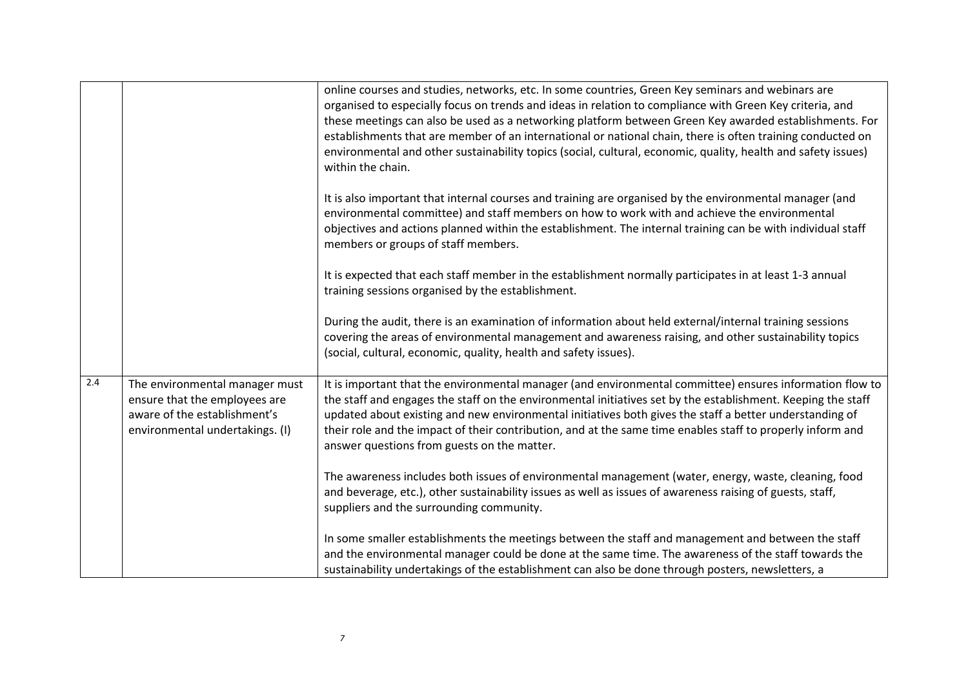|     |                                                                                                                                    | online courses and studies, networks, etc. In some countries, Green Key seminars and webinars are<br>organised to especially focus on trends and ideas in relation to compliance with Green Key criteria, and<br>these meetings can also be used as a networking platform between Green Key awarded establishments. For<br>establishments that are member of an international or national chain, there is often training conducted on<br>environmental and other sustainability topics (social, cultural, economic, quality, health and safety issues)<br>within the chain. |
|-----|------------------------------------------------------------------------------------------------------------------------------------|-----------------------------------------------------------------------------------------------------------------------------------------------------------------------------------------------------------------------------------------------------------------------------------------------------------------------------------------------------------------------------------------------------------------------------------------------------------------------------------------------------------------------------------------------------------------------------|
|     |                                                                                                                                    | It is also important that internal courses and training are organised by the environmental manager (and<br>environmental committee) and staff members on how to work with and achieve the environmental<br>objectives and actions planned within the establishment. The internal training can be with individual staff<br>members or groups of staff members.                                                                                                                                                                                                               |
|     |                                                                                                                                    | It is expected that each staff member in the establishment normally participates in at least 1-3 annual<br>training sessions organised by the establishment.                                                                                                                                                                                                                                                                                                                                                                                                                |
|     |                                                                                                                                    | During the audit, there is an examination of information about held external/internal training sessions<br>covering the areas of environmental management and awareness raising, and other sustainability topics<br>(social, cultural, economic, quality, health and safety issues).                                                                                                                                                                                                                                                                                        |
| 2.4 | The environmental manager must<br>ensure that the employees are<br>aware of the establishment's<br>environmental undertakings. (I) | It is important that the environmental manager (and environmental committee) ensures information flow to<br>the staff and engages the staff on the environmental initiatives set by the establishment. Keeping the staff<br>updated about existing and new environmental initiatives both gives the staff a better understanding of<br>their role and the impact of their contribution, and at the same time enables staff to properly inform and<br>answer questions from guests on the matter.                                                                            |
|     |                                                                                                                                    | The awareness includes both issues of environmental management (water, energy, waste, cleaning, food<br>and beverage, etc.), other sustainability issues as well as issues of awareness raising of guests, staff,<br>suppliers and the surrounding community.                                                                                                                                                                                                                                                                                                               |
|     |                                                                                                                                    | In some smaller establishments the meetings between the staff and management and between the staff<br>and the environmental manager could be done at the same time. The awareness of the staff towards the<br>sustainability undertakings of the establishment can also be done through posters, newsletters, a                                                                                                                                                                                                                                                             |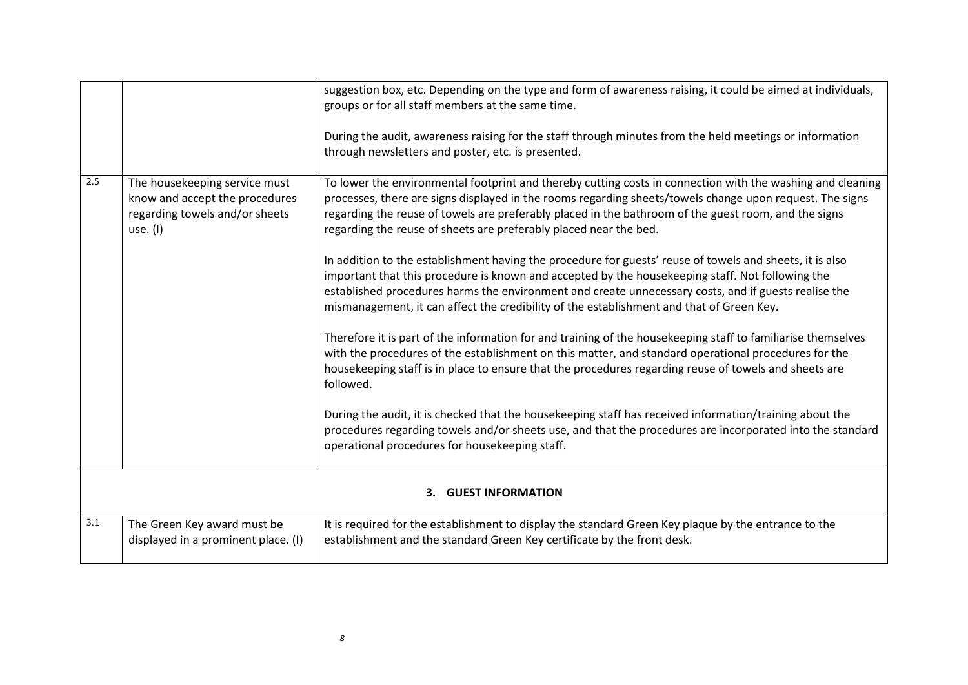|     |                                                                                                                 | suggestion box, etc. Depending on the type and form of awareness raising, it could be aimed at individuals,<br>groups or for all staff members at the same time.                                                                                                                                                                                                                                                 |
|-----|-----------------------------------------------------------------------------------------------------------------|------------------------------------------------------------------------------------------------------------------------------------------------------------------------------------------------------------------------------------------------------------------------------------------------------------------------------------------------------------------------------------------------------------------|
|     |                                                                                                                 | During the audit, awareness raising for the staff through minutes from the held meetings or information<br>through newsletters and poster, etc. is presented.                                                                                                                                                                                                                                                    |
| 2.5 | The housekeeping service must<br>know and accept the procedures<br>regarding towels and/or sheets<br>use. $(I)$ | To lower the environmental footprint and thereby cutting costs in connection with the washing and cleaning<br>processes, there are signs displayed in the rooms regarding sheets/towels change upon request. The signs<br>regarding the reuse of towels are preferably placed in the bathroom of the guest room, and the signs<br>regarding the reuse of sheets are preferably placed near the bed.              |
|     |                                                                                                                 | In addition to the establishment having the procedure for guests' reuse of towels and sheets, it is also<br>important that this procedure is known and accepted by the housekeeping staff. Not following the<br>established procedures harms the environment and create unnecessary costs, and if guests realise the<br>mismanagement, it can affect the credibility of the establishment and that of Green Key. |
|     |                                                                                                                 | Therefore it is part of the information for and training of the housekeeping staff to familiarise themselves<br>with the procedures of the establishment on this matter, and standard operational procedures for the<br>housekeeping staff is in place to ensure that the procedures regarding reuse of towels and sheets are<br>followed.                                                                       |
|     |                                                                                                                 | During the audit, it is checked that the housekeeping staff has received information/training about the<br>procedures regarding towels and/or sheets use, and that the procedures are incorporated into the standard<br>operational procedures for housekeeping staff.                                                                                                                                           |
|     |                                                                                                                 | 3. GUEST INFORMATION                                                                                                                                                                                                                                                                                                                                                                                             |
| 3.1 | The Green Key award must be                                                                                     | It is required for the establishment to display the standard Green Key plaque by the entrance to the                                                                                                                                                                                                                                                                                                             |

establishment and the standard Green Key certificate by the front desk.

displayed in a prominent place. (I)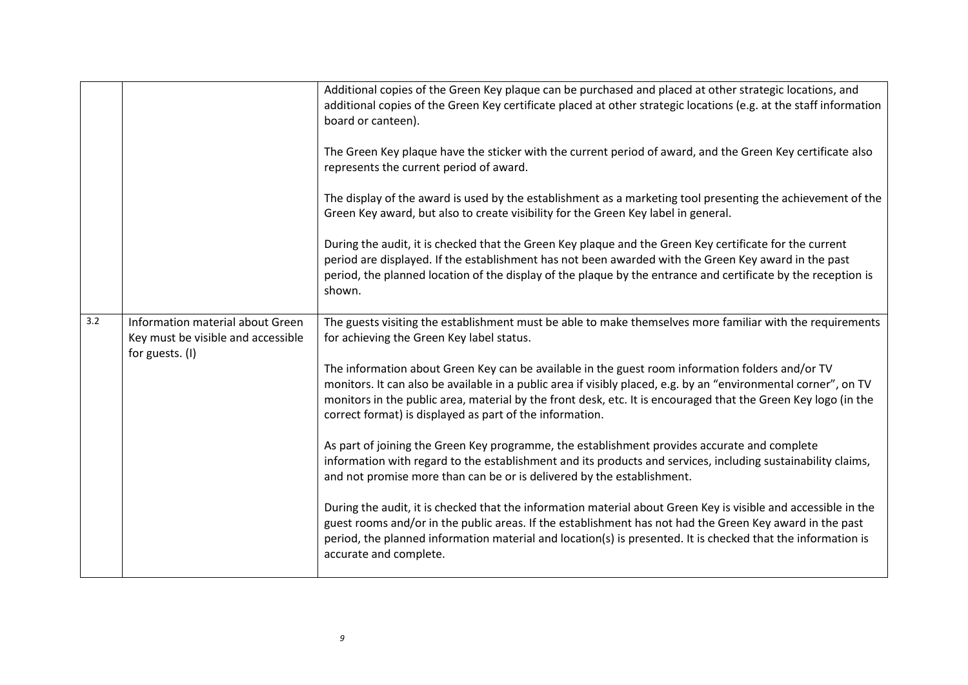|     |                                                                                           | Additional copies of the Green Key plaque can be purchased and placed at other strategic locations, and<br>additional copies of the Green Key certificate placed at other strategic locations (e.g. at the staff information<br>board or canteen).<br>The Green Key plaque have the sticker with the current period of award, and the Green Key certificate also<br>represents the current period of award. |
|-----|-------------------------------------------------------------------------------------------|-------------------------------------------------------------------------------------------------------------------------------------------------------------------------------------------------------------------------------------------------------------------------------------------------------------------------------------------------------------------------------------------------------------|
|     |                                                                                           | The display of the award is used by the establishment as a marketing tool presenting the achievement of the<br>Green Key award, but also to create visibility for the Green Key label in general.                                                                                                                                                                                                           |
|     |                                                                                           | During the audit, it is checked that the Green Key plaque and the Green Key certificate for the current<br>period are displayed. If the establishment has not been awarded with the Green Key award in the past<br>period, the planned location of the display of the plaque by the entrance and certificate by the reception is<br>shown.                                                                  |
| 3.2 | Information material about Green<br>Key must be visible and accessible<br>for guests. (I) | The guests visiting the establishment must be able to make themselves more familiar with the requirements<br>for achieving the Green Key label status.                                                                                                                                                                                                                                                      |
|     |                                                                                           | The information about Green Key can be available in the guest room information folders and/or TV<br>monitors. It can also be available in a public area if visibly placed, e.g. by an "environmental corner", on TV<br>monitors in the public area, material by the front desk, etc. It is encouraged that the Green Key logo (in the<br>correct format) is displayed as part of the information.           |
|     |                                                                                           | As part of joining the Green Key programme, the establishment provides accurate and complete<br>information with regard to the establishment and its products and services, including sustainability claims,<br>and not promise more than can be or is delivered by the establishment.                                                                                                                      |
|     |                                                                                           | During the audit, it is checked that the information material about Green Key is visible and accessible in the<br>guest rooms and/or in the public areas. If the establishment has not had the Green Key award in the past<br>period, the planned information material and location(s) is presented. It is checked that the information is<br>accurate and complete.                                        |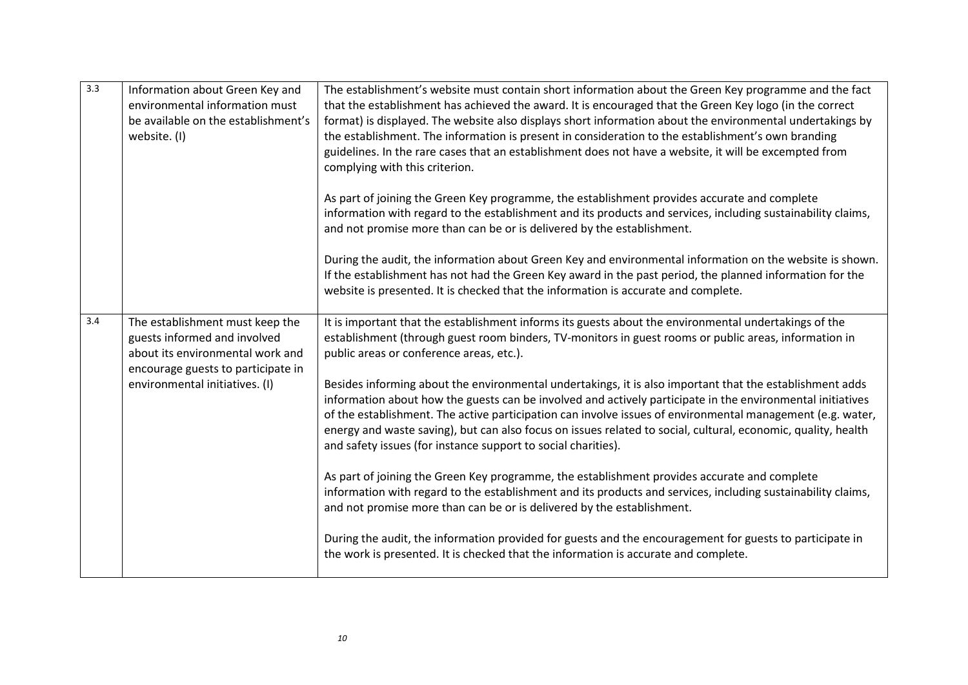| 3.3 | Information about Green Key and<br>environmental information must<br>be available on the establishment's<br>website. (I)                  | The establishment's website must contain short information about the Green Key programme and the fact<br>that the establishment has achieved the award. It is encouraged that the Green Key logo (in the correct<br>format) is displayed. The website also displays short information about the environmental undertakings by<br>the establishment. The information is present in consideration to the establishment's own branding<br>guidelines. In the rare cases that an establishment does not have a website, it will be excempted from<br>complying with this criterion. |
|-----|-------------------------------------------------------------------------------------------------------------------------------------------|---------------------------------------------------------------------------------------------------------------------------------------------------------------------------------------------------------------------------------------------------------------------------------------------------------------------------------------------------------------------------------------------------------------------------------------------------------------------------------------------------------------------------------------------------------------------------------|
|     |                                                                                                                                           | As part of joining the Green Key programme, the establishment provides accurate and complete<br>information with regard to the establishment and its products and services, including sustainability claims,<br>and not promise more than can be or is delivered by the establishment.                                                                                                                                                                                                                                                                                          |
|     |                                                                                                                                           | During the audit, the information about Green Key and environmental information on the website is shown.<br>If the establishment has not had the Green Key award in the past period, the planned information for the<br>website is presented. It is checked that the information is accurate and complete.                                                                                                                                                                                                                                                                      |
| 3.4 | The establishment must keep the<br>guests informed and involved<br>about its environmental work and<br>encourage guests to participate in | It is important that the establishment informs its guests about the environmental undertakings of the<br>establishment (through guest room binders, TV-monitors in guest rooms or public areas, information in<br>public areas or conference areas, etc.).                                                                                                                                                                                                                                                                                                                      |
|     | environmental initiatives. (I)                                                                                                            | Besides informing about the environmental undertakings, it is also important that the establishment adds<br>information about how the guests can be involved and actively participate in the environmental initiatives<br>of the establishment. The active participation can involve issues of environmental management (e.g. water,<br>energy and waste saving), but can also focus on issues related to social, cultural, economic, quality, health<br>and safety issues (for instance support to social charities).                                                          |
|     |                                                                                                                                           | As part of joining the Green Key programme, the establishment provides accurate and complete<br>information with regard to the establishment and its products and services, including sustainability claims,<br>and not promise more than can be or is delivered by the establishment.                                                                                                                                                                                                                                                                                          |
|     |                                                                                                                                           | During the audit, the information provided for guests and the encouragement for guests to participate in<br>the work is presented. It is checked that the information is accurate and complete.                                                                                                                                                                                                                                                                                                                                                                                 |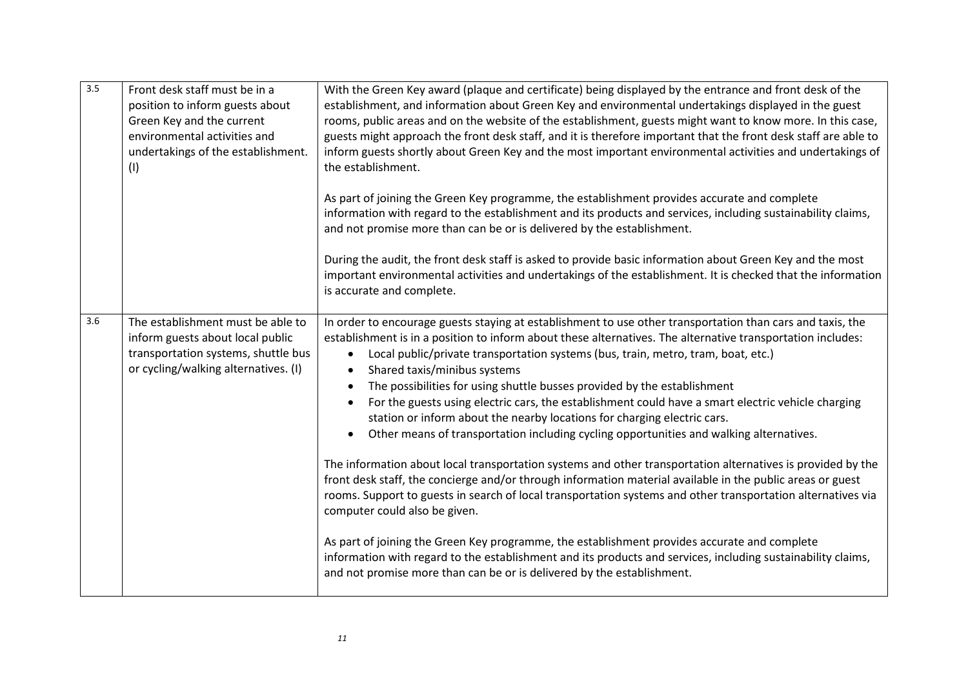| 3.5 | Front desk staff must be in a<br>position to inform guests about<br>Green Key and the current<br>environmental activities and<br>undertakings of the establishment.<br>(1) | With the Green Key award (plaque and certificate) being displayed by the entrance and front desk of the<br>establishment, and information about Green Key and environmental undertakings displayed in the guest<br>rooms, public areas and on the website of the establishment, guests might want to know more. In this case,<br>guests might approach the front desk staff, and it is therefore important that the front desk staff are able to<br>inform guests shortly about Green Key and the most important environmental activities and undertakings of<br>the establishment.                                                                                                                                                                                                                                                                                                                                                                                                                                                                                                                                                                                                                                                                                                                                                                                                          |
|-----|----------------------------------------------------------------------------------------------------------------------------------------------------------------------------|----------------------------------------------------------------------------------------------------------------------------------------------------------------------------------------------------------------------------------------------------------------------------------------------------------------------------------------------------------------------------------------------------------------------------------------------------------------------------------------------------------------------------------------------------------------------------------------------------------------------------------------------------------------------------------------------------------------------------------------------------------------------------------------------------------------------------------------------------------------------------------------------------------------------------------------------------------------------------------------------------------------------------------------------------------------------------------------------------------------------------------------------------------------------------------------------------------------------------------------------------------------------------------------------------------------------------------------------------------------------------------------------|
|     |                                                                                                                                                                            | As part of joining the Green Key programme, the establishment provides accurate and complete<br>information with regard to the establishment and its products and services, including sustainability claims,<br>and not promise more than can be or is delivered by the establishment.                                                                                                                                                                                                                                                                                                                                                                                                                                                                                                                                                                                                                                                                                                                                                                                                                                                                                                                                                                                                                                                                                                       |
|     |                                                                                                                                                                            | During the audit, the front desk staff is asked to provide basic information about Green Key and the most<br>important environmental activities and undertakings of the establishment. It is checked that the information<br>is accurate and complete.                                                                                                                                                                                                                                                                                                                                                                                                                                                                                                                                                                                                                                                                                                                                                                                                                                                                                                                                                                                                                                                                                                                                       |
| 3.6 | The establishment must be able to<br>inform guests about local public<br>transportation systems, shuttle bus<br>or cycling/walking alternatives. (I)                       | In order to encourage guests staying at establishment to use other transportation than cars and taxis, the<br>establishment is in a position to inform about these alternatives. The alternative transportation includes:<br>Local public/private transportation systems (bus, train, metro, tram, boat, etc.)<br>Shared taxis/minibus systems<br>$\bullet$<br>The possibilities for using shuttle busses provided by the establishment<br>For the guests using electric cars, the establishment could have a smart electric vehicle charging<br>station or inform about the nearby locations for charging electric cars.<br>Other means of transportation including cycling opportunities and walking alternatives.<br>The information about local transportation systems and other transportation alternatives is provided by the<br>front desk staff, the concierge and/or through information material available in the public areas or guest<br>rooms. Support to guests in search of local transportation systems and other transportation alternatives via<br>computer could also be given.<br>As part of joining the Green Key programme, the establishment provides accurate and complete<br>information with regard to the establishment and its products and services, including sustainability claims,<br>and not promise more than can be or is delivered by the establishment. |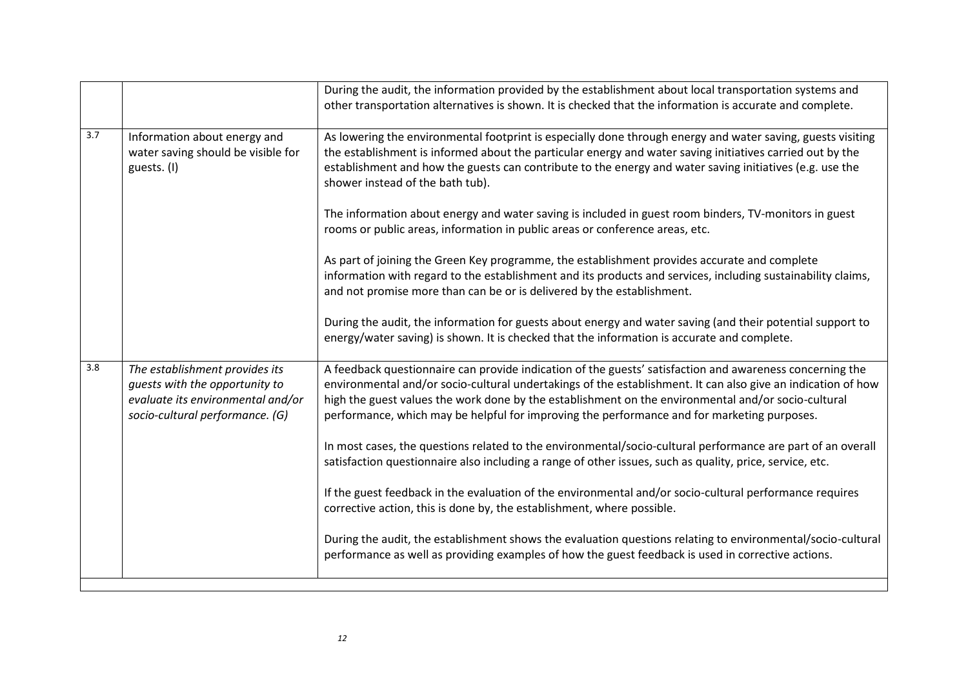|     |                                                                                                                                          | During the audit, the information provided by the establishment about local transportation systems and<br>other transportation alternatives is shown. It is checked that the information is accurate and complete.                                                                                                                                                                                                             |
|-----|------------------------------------------------------------------------------------------------------------------------------------------|--------------------------------------------------------------------------------------------------------------------------------------------------------------------------------------------------------------------------------------------------------------------------------------------------------------------------------------------------------------------------------------------------------------------------------|
| 3.7 | Information about energy and<br>water saving should be visible for<br>guests. (I)                                                        | As lowering the environmental footprint is especially done through energy and water saving, guests visiting<br>the establishment is informed about the particular energy and water saving initiatives carried out by the<br>establishment and how the guests can contribute to the energy and water saving initiatives (e.g. use the<br>shower instead of the bath tub).                                                       |
|     |                                                                                                                                          | The information about energy and water saving is included in guest room binders, TV-monitors in guest<br>rooms or public areas, information in public areas or conference areas, etc.                                                                                                                                                                                                                                          |
|     |                                                                                                                                          | As part of joining the Green Key programme, the establishment provides accurate and complete<br>information with regard to the establishment and its products and services, including sustainability claims,<br>and not promise more than can be or is delivered by the establishment.                                                                                                                                         |
|     |                                                                                                                                          | During the audit, the information for guests about energy and water saving (and their potential support to<br>energy/water saving) is shown. It is checked that the information is accurate and complete.                                                                                                                                                                                                                      |
| 3.8 | The establishment provides its<br>guests with the opportunity to<br>evaluate its environmental and/or<br>socio-cultural performance. (G) | A feedback questionnaire can provide indication of the guests' satisfaction and awareness concerning the<br>environmental and/or socio-cultural undertakings of the establishment. It can also give an indication of how<br>high the guest values the work done by the establishment on the environmental and/or socio-cultural<br>performance, which may be helpful for improving the performance and for marketing purposes. |
|     |                                                                                                                                          | In most cases, the questions related to the environmental/socio-cultural performance are part of an overall<br>satisfaction questionnaire also including a range of other issues, such as quality, price, service, etc.                                                                                                                                                                                                        |
|     |                                                                                                                                          | If the guest feedback in the evaluation of the environmental and/or socio-cultural performance requires<br>corrective action, this is done by, the establishment, where possible.                                                                                                                                                                                                                                              |
|     |                                                                                                                                          | During the audit, the establishment shows the evaluation questions relating to environmental/socio-cultural<br>performance as well as providing examples of how the guest feedback is used in corrective actions.                                                                                                                                                                                                              |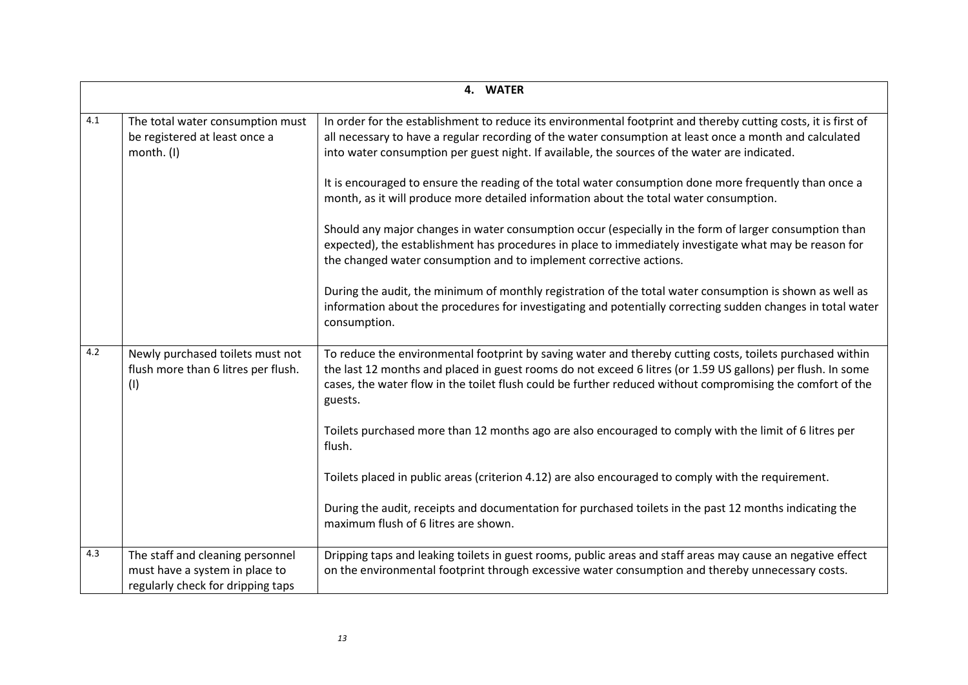|     | 4. WATER                                                                                                |                                                                                                                                                                                                                                                                                                                                                   |  |
|-----|---------------------------------------------------------------------------------------------------------|---------------------------------------------------------------------------------------------------------------------------------------------------------------------------------------------------------------------------------------------------------------------------------------------------------------------------------------------------|--|
|     |                                                                                                         |                                                                                                                                                                                                                                                                                                                                                   |  |
| 4.1 | The total water consumption must<br>be registered at least once a<br>month. (I)                         | In order for the establishment to reduce its environmental footprint and thereby cutting costs, it is first of<br>all necessary to have a regular recording of the water consumption at least once a month and calculated<br>into water consumption per guest night. If available, the sources of the water are indicated.                        |  |
|     |                                                                                                         | It is encouraged to ensure the reading of the total water consumption done more frequently than once a<br>month, as it will produce more detailed information about the total water consumption.                                                                                                                                                  |  |
|     |                                                                                                         | Should any major changes in water consumption occur (especially in the form of larger consumption than<br>expected), the establishment has procedures in place to immediately investigate what may be reason for<br>the changed water consumption and to implement corrective actions.                                                            |  |
|     |                                                                                                         | During the audit, the minimum of monthly registration of the total water consumption is shown as well as<br>information about the procedures for investigating and potentially correcting sudden changes in total water<br>consumption.                                                                                                           |  |
| 4.2 | Newly purchased toilets must not<br>flush more than 6 litres per flush.<br>(1)                          | To reduce the environmental footprint by saving water and thereby cutting costs, toilets purchased within<br>the last 12 months and placed in guest rooms do not exceed 6 litres (or 1.59 US gallons) per flush. In some<br>cases, the water flow in the toilet flush could be further reduced without compromising the comfort of the<br>guests. |  |
|     |                                                                                                         | Toilets purchased more than 12 months ago are also encouraged to comply with the limit of 6 litres per<br>flush.                                                                                                                                                                                                                                  |  |
|     |                                                                                                         | Toilets placed in public areas (criterion 4.12) are also encouraged to comply with the requirement.                                                                                                                                                                                                                                               |  |
|     |                                                                                                         | During the audit, receipts and documentation for purchased toilets in the past 12 months indicating the<br>maximum flush of 6 litres are shown.                                                                                                                                                                                                   |  |
| 4.3 | The staff and cleaning personnel<br>must have a system in place to<br>regularly check for dripping taps | Dripping taps and leaking toilets in guest rooms, public areas and staff areas may cause an negative effect<br>on the environmental footprint through excessive water consumption and thereby unnecessary costs.                                                                                                                                  |  |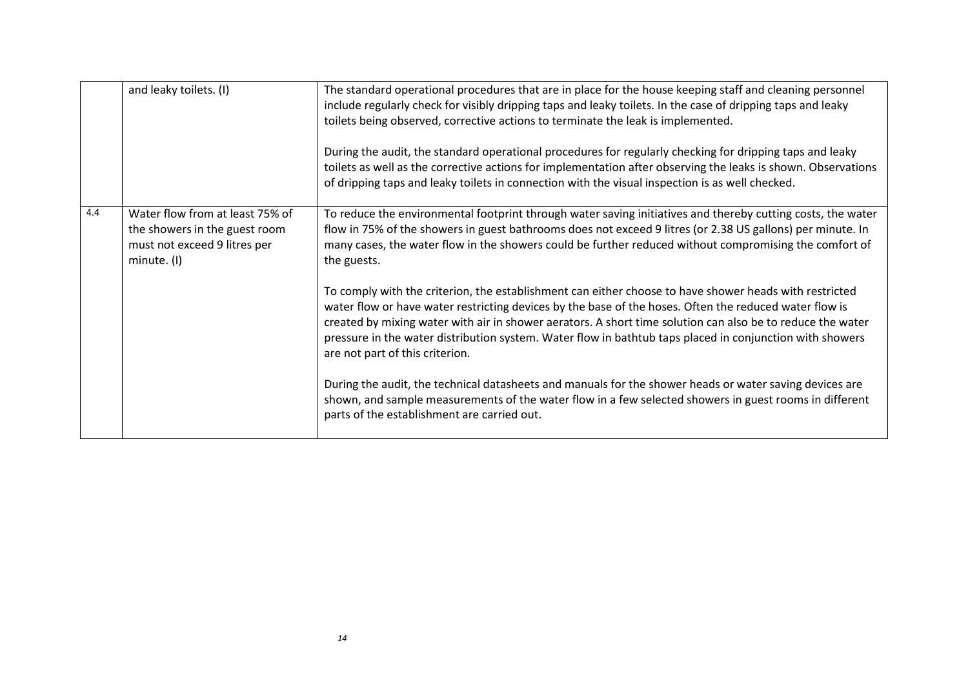|     | and leaky toilets. (I)                                                                                          | The standard operational procedures that are in place for the house keeping staff and cleaning personnel<br>include regularly check for visibly dripping taps and leaky toilets. In the case of dripping taps and leaky<br>toilets being observed, corrective actions to terminate the leak is implemented.<br>During the audit, the standard operational procedures for regularly checking for dripping taps and leaky<br>toilets as well as the corrective actions for implementation after observing the leaks is shown. Observations<br>of dripping taps and leaky toilets in connection with the visual inspection is as well checked.                                                                                                                                                                                                                                                                                                                                                                                                                                                             |
|-----|-----------------------------------------------------------------------------------------------------------------|---------------------------------------------------------------------------------------------------------------------------------------------------------------------------------------------------------------------------------------------------------------------------------------------------------------------------------------------------------------------------------------------------------------------------------------------------------------------------------------------------------------------------------------------------------------------------------------------------------------------------------------------------------------------------------------------------------------------------------------------------------------------------------------------------------------------------------------------------------------------------------------------------------------------------------------------------------------------------------------------------------------------------------------------------------------------------------------------------------|
| 4.4 | Water flow from at least 75% of<br>the showers in the guest room<br>must not exceed 9 litres per<br>minute. (I) | To reduce the environmental footprint through water saving initiatives and thereby cutting costs, the water<br>flow in 75% of the showers in guest bathrooms does not exceed 9 litres (or 2.38 US gallons) per minute. In<br>many cases, the water flow in the showers could be further reduced without compromising the comfort of<br>the guests.<br>To comply with the criterion, the establishment can either choose to have shower heads with restricted<br>water flow or have water restricting devices by the base of the hoses. Often the reduced water flow is<br>created by mixing water with air in shower aerators. A short time solution can also be to reduce the water<br>pressure in the water distribution system. Water flow in bathtub taps placed in conjunction with showers<br>are not part of this criterion.<br>During the audit, the technical datasheets and manuals for the shower heads or water saving devices are<br>shown, and sample measurements of the water flow in a few selected showers in guest rooms in different<br>parts of the establishment are carried out. |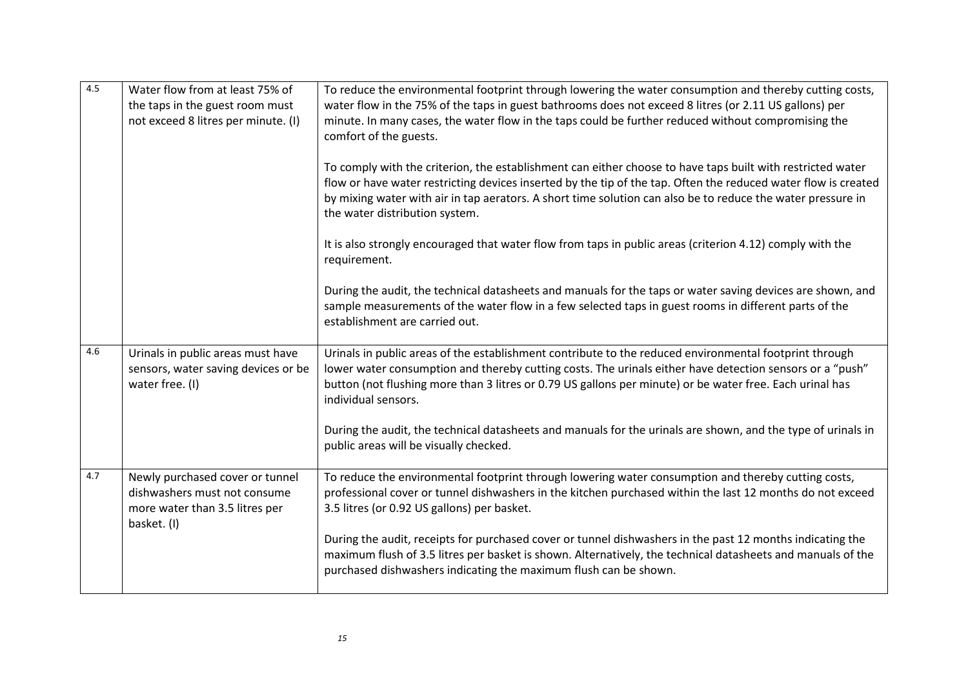| 4.5 | Water flow from at least 75% of<br>the taps in the guest room must<br>not exceed 8 litres per minute. (I)        | To reduce the environmental footprint through lowering the water consumption and thereby cutting costs,<br>water flow in the 75% of the taps in guest bathrooms does not exceed 8 litres (or 2.11 US gallons) per<br>minute. In many cases, the water flow in the taps could be further reduced without compromising the<br>comfort of the guests.                            |
|-----|------------------------------------------------------------------------------------------------------------------|-------------------------------------------------------------------------------------------------------------------------------------------------------------------------------------------------------------------------------------------------------------------------------------------------------------------------------------------------------------------------------|
|     |                                                                                                                  | To comply with the criterion, the establishment can either choose to have taps built with restricted water<br>flow or have water restricting devices inserted by the tip of the tap. Often the reduced water flow is created<br>by mixing water with air in tap aerators. A short time solution can also be to reduce the water pressure in<br>the water distribution system. |
|     |                                                                                                                  | It is also strongly encouraged that water flow from taps in public areas (criterion 4.12) comply with the<br>requirement.                                                                                                                                                                                                                                                     |
|     |                                                                                                                  | During the audit, the technical datasheets and manuals for the taps or water saving devices are shown, and<br>sample measurements of the water flow in a few selected taps in guest rooms in different parts of the<br>establishment are carried out.                                                                                                                         |
| 4.6 | Urinals in public areas must have<br>sensors, water saving devices or be<br>water free. (I)                      | Urinals in public areas of the establishment contribute to the reduced environmental footprint through<br>lower water consumption and thereby cutting costs. The urinals either have detection sensors or a "push"<br>button (not flushing more than 3 litres or 0.79 US gallons per minute) or be water free. Each urinal has<br>individual sensors.                         |
|     |                                                                                                                  | During the audit, the technical datasheets and manuals for the urinals are shown, and the type of urinals in<br>public areas will be visually checked.                                                                                                                                                                                                                        |
| 4.7 | Newly purchased cover or tunnel<br>dishwashers must not consume<br>more water than 3.5 litres per<br>basket. (I) | To reduce the environmental footprint through lowering water consumption and thereby cutting costs,<br>professional cover or tunnel dishwashers in the kitchen purchased within the last 12 months do not exceed<br>3.5 litres (or 0.92 US gallons) per basket.                                                                                                               |
|     |                                                                                                                  | During the audit, receipts for purchased cover or tunnel dishwashers in the past 12 months indicating the<br>maximum flush of 3.5 litres per basket is shown. Alternatively, the technical datasheets and manuals of the<br>purchased dishwashers indicating the maximum flush can be shown.                                                                                  |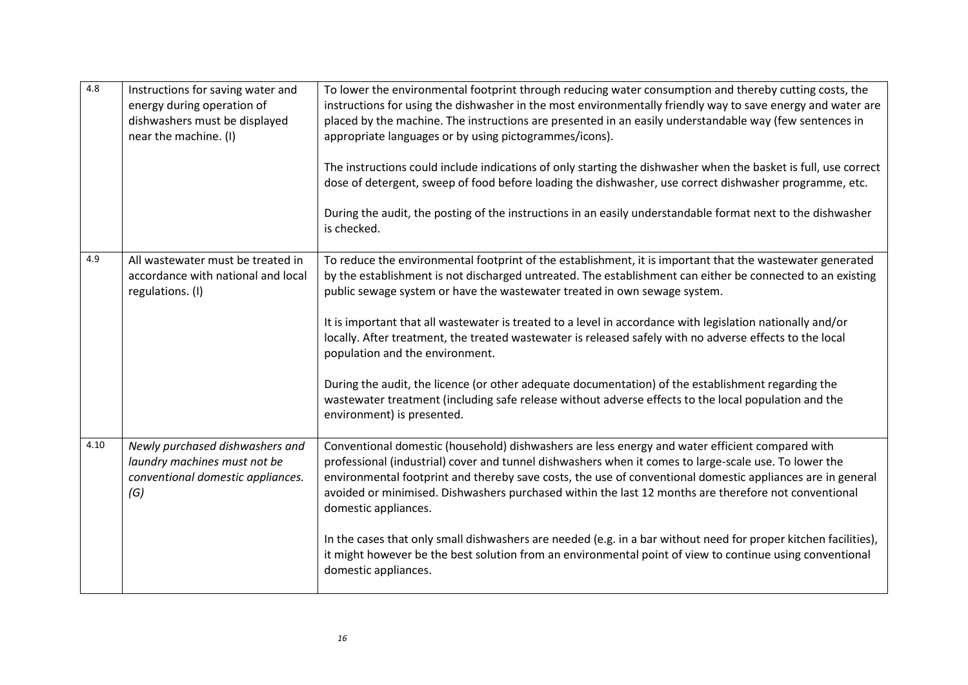| 4.8  | Instructions for saving water and<br>energy during operation of<br>dishwashers must be displayed<br>near the machine. (I) | To lower the environmental footprint through reducing water consumption and thereby cutting costs, the<br>instructions for using the dishwasher in the most environmentally friendly way to save energy and water are<br>placed by the machine. The instructions are presented in an easily understandable way (few sentences in<br>appropriate languages or by using pictogrammes/icons).<br>The instructions could include indications of only starting the dishwasher when the basket is full, use correct<br>dose of detergent, sweep of food before loading the dishwasher, use correct dishwasher programme, etc.<br>During the audit, the posting of the instructions in an easily understandable format next to the dishwasher<br>is checked.                                                         |
|------|---------------------------------------------------------------------------------------------------------------------------|---------------------------------------------------------------------------------------------------------------------------------------------------------------------------------------------------------------------------------------------------------------------------------------------------------------------------------------------------------------------------------------------------------------------------------------------------------------------------------------------------------------------------------------------------------------------------------------------------------------------------------------------------------------------------------------------------------------------------------------------------------------------------------------------------------------|
| 4.9  | All wastewater must be treated in<br>accordance with national and local<br>regulations. (I)                               | To reduce the environmental footprint of the establishment, it is important that the wastewater generated<br>by the establishment is not discharged untreated. The establishment can either be connected to an existing<br>public sewage system or have the wastewater treated in own sewage system.<br>It is important that all wastewater is treated to a level in accordance with legislation nationally and/or<br>locally. After treatment, the treated wastewater is released safely with no adverse effects to the local<br>population and the environment.<br>During the audit, the licence (or other adequate documentation) of the establishment regarding the<br>wastewater treatment (including safe release without adverse effects to the local population and the<br>environment) is presented. |
| 4.10 | Newly purchased dishwashers and<br>laundry machines must not be<br>conventional domestic appliances.<br>(G)               | Conventional domestic (household) dishwashers are less energy and water efficient compared with<br>professional (industrial) cover and tunnel dishwashers when it comes to large-scale use. To lower the<br>environmental footprint and thereby save costs, the use of conventional domestic appliances are in general<br>avoided or minimised. Dishwashers purchased within the last 12 months are therefore not conventional<br>domestic appliances.<br>In the cases that only small dishwashers are needed (e.g. in a bar without need for proper kitchen facilities),<br>it might however be the best solution from an environmental point of view to continue using conventional<br>domestic appliances.                                                                                                 |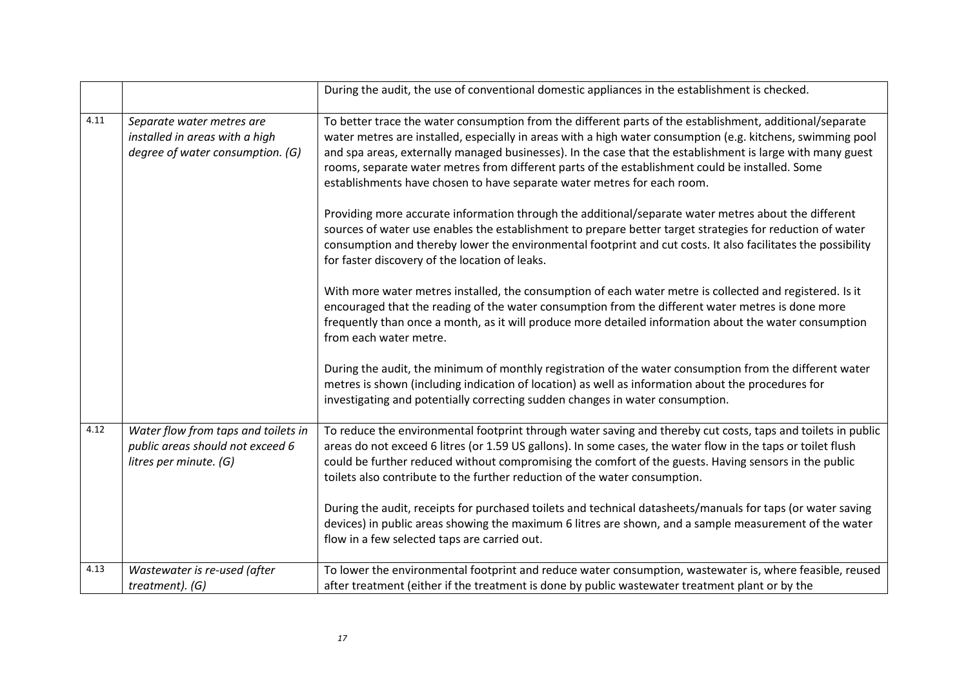|      |                                                                                                   | During the audit, the use of conventional domestic appliances in the establishment is checked.                                                                                                                                                                                                                                                                                                                                                                                                                      |
|------|---------------------------------------------------------------------------------------------------|---------------------------------------------------------------------------------------------------------------------------------------------------------------------------------------------------------------------------------------------------------------------------------------------------------------------------------------------------------------------------------------------------------------------------------------------------------------------------------------------------------------------|
| 4.11 | Separate water metres are<br>installed in areas with a high<br>degree of water consumption. (G)   | To better trace the water consumption from the different parts of the establishment, additional/separate<br>water metres are installed, especially in areas with a high water consumption (e.g. kitchens, swimming pool<br>and spa areas, externally managed businesses). In the case that the establishment is large with many guest<br>rooms, separate water metres from different parts of the establishment could be installed. Some<br>establishments have chosen to have separate water metres for each room. |
|      |                                                                                                   | Providing more accurate information through the additional/separate water metres about the different<br>sources of water use enables the establishment to prepare better target strategies for reduction of water<br>consumption and thereby lower the environmental footprint and cut costs. It also facilitates the possibility<br>for faster discovery of the location of leaks.                                                                                                                                 |
|      |                                                                                                   | With more water metres installed, the consumption of each water metre is collected and registered. Is it<br>encouraged that the reading of the water consumption from the different water metres is done more<br>frequently than once a month, as it will produce more detailed information about the water consumption<br>from each water metre.                                                                                                                                                                   |
|      |                                                                                                   | During the audit, the minimum of monthly registration of the water consumption from the different water<br>metres is shown (including indication of location) as well as information about the procedures for<br>investigating and potentially correcting sudden changes in water consumption.                                                                                                                                                                                                                      |
| 4.12 | Water flow from taps and toilets in<br>public areas should not exceed 6<br>litres per minute. (G) | To reduce the environmental footprint through water saving and thereby cut costs, taps and toilets in public<br>areas do not exceed 6 litres (or 1.59 US gallons). In some cases, the water flow in the taps or toilet flush<br>could be further reduced without compromising the comfort of the guests. Having sensors in the public<br>toilets also contribute to the further reduction of the water consumption.                                                                                                 |
|      |                                                                                                   | During the audit, receipts for purchased toilets and technical datasheets/manuals for taps (or water saving<br>devices) in public areas showing the maximum 6 litres are shown, and a sample measurement of the water<br>flow in a few selected taps are carried out.                                                                                                                                                                                                                                               |
| 4.13 | Wastewater is re-used (after<br>treatment). (G)                                                   | To lower the environmental footprint and reduce water consumption, wastewater is, where feasible, reused<br>after treatment (either if the treatment is done by public wastewater treatment plant or by the                                                                                                                                                                                                                                                                                                         |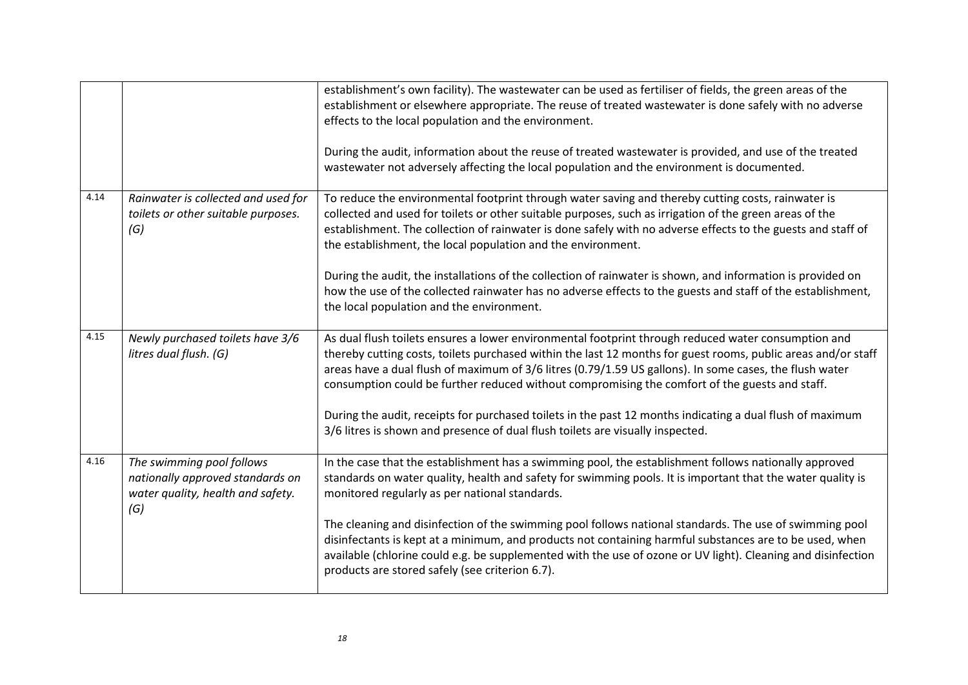|      |                                                                                                           | establishment's own facility). The wastewater can be used as fertiliser of fields, the green areas of the<br>establishment or elsewhere appropriate. The reuse of treated wastewater is done safely with no adverse<br>effects to the local population and the environment.<br>During the audit, information about the reuse of treated wastewater is provided, and use of the treated<br>wastewater not adversely affecting the local population and the environment is documented.                                                                                                                                                                                     |
|------|-----------------------------------------------------------------------------------------------------------|--------------------------------------------------------------------------------------------------------------------------------------------------------------------------------------------------------------------------------------------------------------------------------------------------------------------------------------------------------------------------------------------------------------------------------------------------------------------------------------------------------------------------------------------------------------------------------------------------------------------------------------------------------------------------|
| 4.14 | Rainwater is collected and used for<br>toilets or other suitable purposes.<br>(G)                         | To reduce the environmental footprint through water saving and thereby cutting costs, rainwater is<br>collected and used for toilets or other suitable purposes, such as irrigation of the green areas of the<br>establishment. The collection of rainwater is done safely with no adverse effects to the guests and staff of<br>the establishment, the local population and the environment.<br>During the audit, the installations of the collection of rainwater is shown, and information is provided on<br>how the use of the collected rainwater has no adverse effects to the guests and staff of the establishment,<br>the local population and the environment. |
| 4.15 | Newly purchased toilets have 3/6<br>litres dual flush. (G)                                                | As dual flush toilets ensures a lower environmental footprint through reduced water consumption and<br>thereby cutting costs, toilets purchased within the last 12 months for guest rooms, public areas and/or staff<br>areas have a dual flush of maximum of 3/6 litres (0.79/1.59 US gallons). In some cases, the flush water<br>consumption could be further reduced without compromising the comfort of the guests and staff.<br>During the audit, receipts for purchased toilets in the past 12 months indicating a dual flush of maximum<br>3/6 litres is shown and presence of dual flush toilets are visually inspected.                                         |
| 4.16 | The swimming pool follows<br>nationally approved standards on<br>water quality, health and safety.<br>(G) | In the case that the establishment has a swimming pool, the establishment follows nationally approved<br>standards on water quality, health and safety for swimming pools. It is important that the water quality is<br>monitored regularly as per national standards.<br>The cleaning and disinfection of the swimming pool follows national standards. The use of swimming pool<br>disinfectants is kept at a minimum, and products not containing harmful substances are to be used, when<br>available (chlorine could e.g. be supplemented with the use of ozone or UV light). Cleaning and disinfection<br>products are stored safely (see criterion 6.7).          |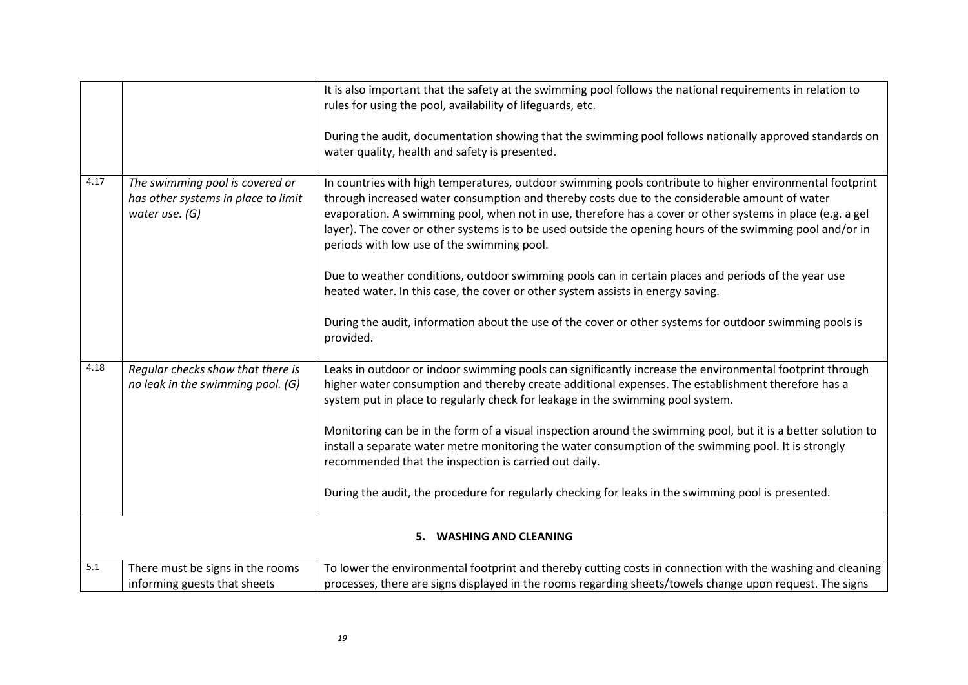|      |                                                                                          | It is also important that the safety at the swimming pool follows the national requirements in relation to<br>rules for using the pool, availability of lifeguards, etc.<br>During the audit, documentation showing that the swimming pool follows nationally approved standards on<br>water quality, health and safety is presented.                                                                                                                                                                                                                                                                                                                                                      |
|------|------------------------------------------------------------------------------------------|--------------------------------------------------------------------------------------------------------------------------------------------------------------------------------------------------------------------------------------------------------------------------------------------------------------------------------------------------------------------------------------------------------------------------------------------------------------------------------------------------------------------------------------------------------------------------------------------------------------------------------------------------------------------------------------------|
| 4.17 | The swimming pool is covered or<br>has other systems in place to limit<br>water use. (G) | In countries with high temperatures, outdoor swimming pools contribute to higher environmental footprint<br>through increased water consumption and thereby costs due to the considerable amount of water<br>evaporation. A swimming pool, when not in use, therefore has a cover or other systems in place (e.g. a gel<br>layer). The cover or other systems is to be used outside the opening hours of the swimming pool and/or in<br>periods with low use of the swimming pool.<br>Due to weather conditions, outdoor swimming pools can in certain places and periods of the year use<br>heated water. In this case, the cover or other system assists in energy saving.               |
|      |                                                                                          | During the audit, information about the use of the cover or other systems for outdoor swimming pools is<br>provided.                                                                                                                                                                                                                                                                                                                                                                                                                                                                                                                                                                       |
| 4.18 | Regular checks show that there is<br>no leak in the swimming pool. (G)                   | Leaks in outdoor or indoor swimming pools can significantly increase the environmental footprint through<br>higher water consumption and thereby create additional expenses. The establishment therefore has a<br>system put in place to regularly check for leakage in the swimming pool system.<br>Monitoring can be in the form of a visual inspection around the swimming pool, but it is a better solution to<br>install a separate water metre monitoring the water consumption of the swimming pool. It is strongly<br>recommended that the inspection is carried out daily.<br>During the audit, the procedure for regularly checking for leaks in the swimming pool is presented. |
|      |                                                                                          | <b>WASHING AND CLEANING</b><br>5.                                                                                                                                                                                                                                                                                                                                                                                                                                                                                                                                                                                                                                                          |
| 5.1  | There must be signs in the rooms<br>informing guests that sheets                         | To lower the environmental footprint and thereby cutting costs in connection with the washing and cleaning<br>processes, there are signs displayed in the rooms regarding sheets/towels change upon request. The signs                                                                                                                                                                                                                                                                                                                                                                                                                                                                     |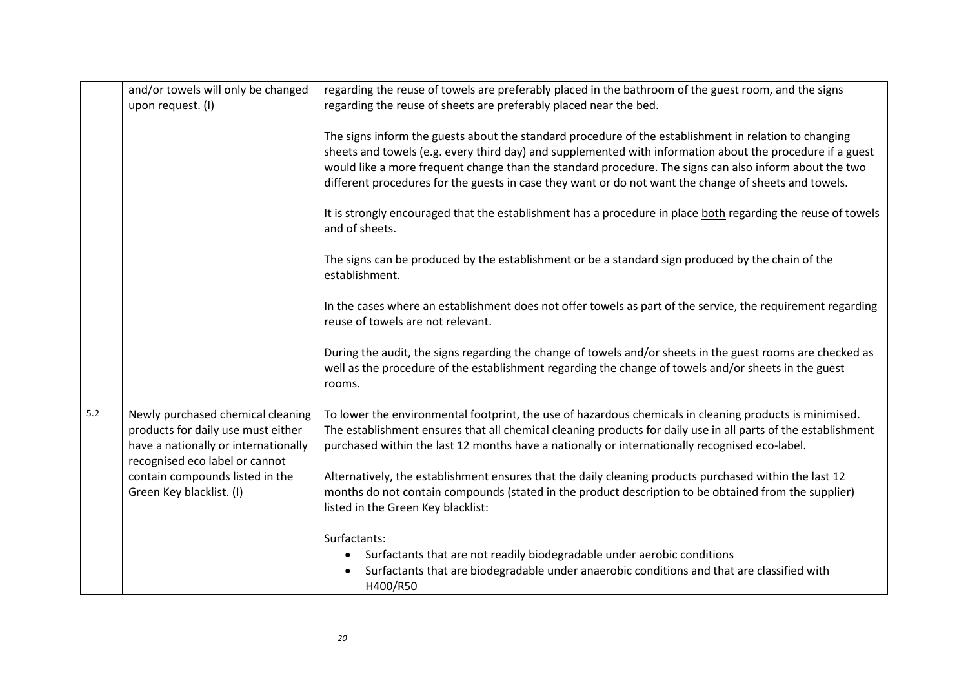|     | and/or towels will only be changed<br>upon request. (I)                                                                                           | regarding the reuse of towels are preferably placed in the bathroom of the guest room, and the signs<br>regarding the reuse of sheets are preferably placed near the bed.                                                                                                                                                                                                                                                             |
|-----|---------------------------------------------------------------------------------------------------------------------------------------------------|---------------------------------------------------------------------------------------------------------------------------------------------------------------------------------------------------------------------------------------------------------------------------------------------------------------------------------------------------------------------------------------------------------------------------------------|
|     |                                                                                                                                                   | The signs inform the guests about the standard procedure of the establishment in relation to changing<br>sheets and towels (e.g. every third day) and supplemented with information about the procedure if a guest<br>would like a more frequent change than the standard procedure. The signs can also inform about the two<br>different procedures for the guests in case they want or do not want the change of sheets and towels. |
|     |                                                                                                                                                   | It is strongly encouraged that the establishment has a procedure in place both regarding the reuse of towels<br>and of sheets.                                                                                                                                                                                                                                                                                                        |
|     |                                                                                                                                                   | The signs can be produced by the establishment or be a standard sign produced by the chain of the<br>establishment.                                                                                                                                                                                                                                                                                                                   |
|     |                                                                                                                                                   | In the cases where an establishment does not offer towels as part of the service, the requirement regarding<br>reuse of towels are not relevant.                                                                                                                                                                                                                                                                                      |
|     |                                                                                                                                                   | During the audit, the signs regarding the change of towels and/or sheets in the guest rooms are checked as<br>well as the procedure of the establishment regarding the change of towels and/or sheets in the guest<br>rooms.                                                                                                                                                                                                          |
| 5.2 | Newly purchased chemical cleaning<br>products for daily use must either<br>have a nationally or internationally<br>recognised eco label or cannot | To lower the environmental footprint, the use of hazardous chemicals in cleaning products is minimised.<br>The establishment ensures that all chemical cleaning products for daily use in all parts of the establishment<br>purchased within the last 12 months have a nationally or internationally recognised eco-label.                                                                                                            |
|     | contain compounds listed in the<br>Green Key blacklist. (I)                                                                                       | Alternatively, the establishment ensures that the daily cleaning products purchased within the last 12<br>months do not contain compounds (stated in the product description to be obtained from the supplier)<br>listed in the Green Key blacklist:                                                                                                                                                                                  |
|     |                                                                                                                                                   | Surfactants:                                                                                                                                                                                                                                                                                                                                                                                                                          |
|     |                                                                                                                                                   | Surfactants that are not readily biodegradable under aerobic conditions<br>Surfactants that are biodegradable under anaerobic conditions and that are classified with<br>H400/R50                                                                                                                                                                                                                                                     |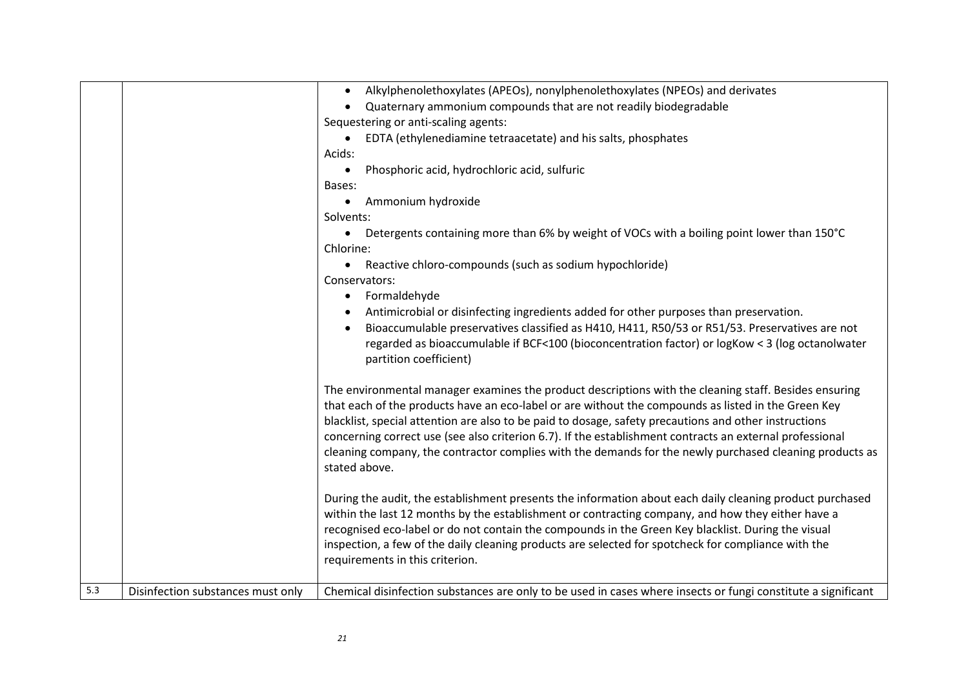|                  |                                   | Alkylphenolethoxylates (APEOs), nonylphenolethoxylates (NPEOs) and derivates<br>$\bullet$<br>Quaternary ammonium compounds that are not readily biodegradable                                                                                                                                                                                                                                                                                                                                                                                                 |
|------------------|-----------------------------------|---------------------------------------------------------------------------------------------------------------------------------------------------------------------------------------------------------------------------------------------------------------------------------------------------------------------------------------------------------------------------------------------------------------------------------------------------------------------------------------------------------------------------------------------------------------|
|                  |                                   | Sequestering or anti-scaling agents:                                                                                                                                                                                                                                                                                                                                                                                                                                                                                                                          |
|                  |                                   | EDTA (ethylenediamine tetraacetate) and his salts, phosphates<br>$\bullet$                                                                                                                                                                                                                                                                                                                                                                                                                                                                                    |
|                  |                                   | Acids:                                                                                                                                                                                                                                                                                                                                                                                                                                                                                                                                                        |
|                  |                                   | Phosphoric acid, hydrochloric acid, sulfuric<br>$\bullet$                                                                                                                                                                                                                                                                                                                                                                                                                                                                                                     |
|                  |                                   | Bases:                                                                                                                                                                                                                                                                                                                                                                                                                                                                                                                                                        |
|                  |                                   | Ammonium hydroxide<br>$\bullet$                                                                                                                                                                                                                                                                                                                                                                                                                                                                                                                               |
|                  |                                   | Solvents:                                                                                                                                                                                                                                                                                                                                                                                                                                                                                                                                                     |
|                  |                                   | Detergents containing more than 6% by weight of VOCs with a boiling point lower than 150°C<br>$\bullet$                                                                                                                                                                                                                                                                                                                                                                                                                                                       |
|                  |                                   | Chlorine:                                                                                                                                                                                                                                                                                                                                                                                                                                                                                                                                                     |
|                  |                                   | Reactive chloro-compounds (such as sodium hypochloride)<br>$\bullet$                                                                                                                                                                                                                                                                                                                                                                                                                                                                                          |
|                  |                                   | Conservators:                                                                                                                                                                                                                                                                                                                                                                                                                                                                                                                                                 |
|                  |                                   | Formaldehyde<br>$\bullet$                                                                                                                                                                                                                                                                                                                                                                                                                                                                                                                                     |
|                  |                                   | Antimicrobial or disinfecting ingredients added for other purposes than preservation.                                                                                                                                                                                                                                                                                                                                                                                                                                                                         |
|                  |                                   | Bioaccumulable preservatives classified as H410, H411, R50/53 or R51/53. Preservatives are not                                                                                                                                                                                                                                                                                                                                                                                                                                                                |
|                  |                                   | regarded as bioaccumulable if BCF<100 (bioconcentration factor) or logKow < 3 (log octanolwater<br>partition coefficient)                                                                                                                                                                                                                                                                                                                                                                                                                                     |
|                  |                                   | The environmental manager examines the product descriptions with the cleaning staff. Besides ensuring<br>that each of the products have an eco-label or are without the compounds as listed in the Green Key<br>blacklist, special attention are also to be paid to dosage, safety precautions and other instructions<br>concerning correct use (see also criterion 6.7). If the establishment contracts an external professional<br>cleaning company, the contractor complies with the demands for the newly purchased cleaning products as<br>stated above. |
|                  |                                   | During the audit, the establishment presents the information about each daily cleaning product purchased<br>within the last 12 months by the establishment or contracting company, and how they either have a<br>recognised eco-label or do not contain the compounds in the Green Key blacklist. During the visual<br>inspection, a few of the daily cleaning products are selected for spotcheck for compliance with the<br>requirements in this criterion.                                                                                                 |
| $\overline{5.3}$ | Disinfection substances must only | Chemical disinfection substances are only to be used in cases where insects or fungi constitute a significant                                                                                                                                                                                                                                                                                                                                                                                                                                                 |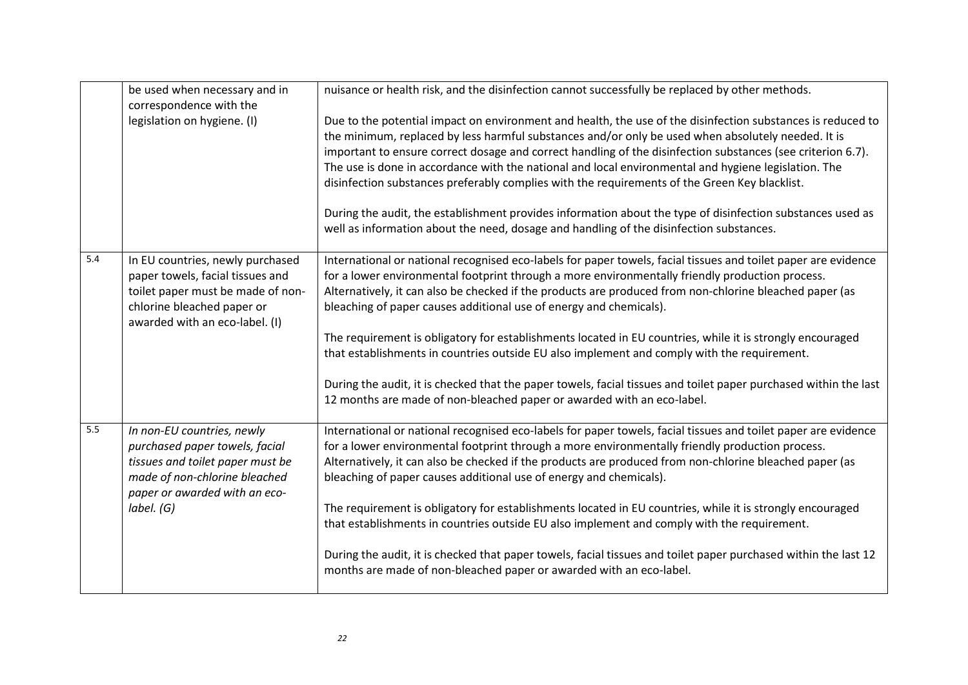|     | be used when necessary and in<br>correspondence with the                                                                                                                         | nuisance or health risk, and the disinfection cannot successfully be replaced by other methods.                                                                                                                                                                                                                                                                                                                                                                                                                                                                                                                                                                                                                                                                                                              |
|-----|----------------------------------------------------------------------------------------------------------------------------------------------------------------------------------|--------------------------------------------------------------------------------------------------------------------------------------------------------------------------------------------------------------------------------------------------------------------------------------------------------------------------------------------------------------------------------------------------------------------------------------------------------------------------------------------------------------------------------------------------------------------------------------------------------------------------------------------------------------------------------------------------------------------------------------------------------------------------------------------------------------|
|     | legislation on hygiene. (I)                                                                                                                                                      | Due to the potential impact on environment and health, the use of the disinfection substances is reduced to<br>the minimum, replaced by less harmful substances and/or only be used when absolutely needed. It is<br>important to ensure correct dosage and correct handling of the disinfection substances (see criterion 6.7).<br>The use is done in accordance with the national and local environmental and hygiene legislation. The<br>disinfection substances preferably complies with the requirements of the Green Key blacklist.<br>During the audit, the establishment provides information about the type of disinfection substances used as<br>well as information about the need, dosage and handling of the disinfection substances.                                                           |
| 5.4 | In EU countries, newly purchased<br>paper towels, facial tissues and<br>toilet paper must be made of non-<br>chlorine bleached paper or<br>awarded with an eco-label. (I)        | International or national recognised eco-labels for paper towels, facial tissues and toilet paper are evidence<br>for a lower environmental footprint through a more environmentally friendly production process.<br>Alternatively, it can also be checked if the products are produced from non-chlorine bleached paper (as<br>bleaching of paper causes additional use of energy and chemicals).<br>The requirement is obligatory for establishments located in EU countries, while it is strongly encouraged<br>that establishments in countries outside EU also implement and comply with the requirement.<br>During the audit, it is checked that the paper towels, facial tissues and toilet paper purchased within the last<br>12 months are made of non-bleached paper or awarded with an eco-label. |
| 5.5 | In non-EU countries, newly<br>purchased paper towels, facial<br>tissues and toilet paper must be<br>made of non-chlorine bleached<br>paper or awarded with an eco-<br>label. (G) | International or national recognised eco-labels for paper towels, facial tissues and toilet paper are evidence<br>for a lower environmental footprint through a more environmentally friendly production process.<br>Alternatively, it can also be checked if the products are produced from non-chlorine bleached paper (as<br>bleaching of paper causes additional use of energy and chemicals).<br>The requirement is obligatory for establishments located in EU countries, while it is strongly encouraged<br>that establishments in countries outside EU also implement and comply with the requirement.<br>During the audit, it is checked that paper towels, facial tissues and toilet paper purchased within the last 12<br>months are made of non-bleached paper or awarded with an eco-label.     |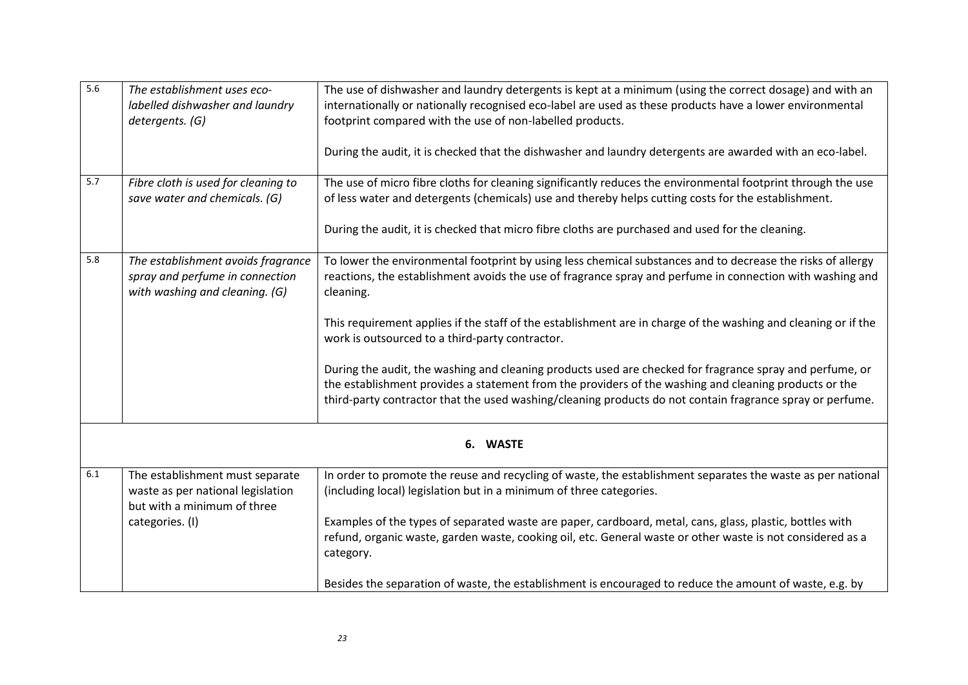| 5.6 | The establishment uses eco-         | The use of dishwasher and laundry detergents is kept at a minimum (using the correct dosage) and with an       |
|-----|-------------------------------------|----------------------------------------------------------------------------------------------------------------|
|     | labelled dishwasher and laundry     | internationally or nationally recognised eco-label are used as these products have a lower environmental       |
|     | detergents. (G)                     | footprint compared with the use of non-labelled products.                                                      |
|     |                                     |                                                                                                                |
|     |                                     | During the audit, it is checked that the dishwasher and laundry detergents are awarded with an eco-label.      |
|     |                                     |                                                                                                                |
| 5.7 | Fibre cloth is used for cleaning to | The use of micro fibre cloths for cleaning significantly reduces the environmental footprint through the use   |
|     | save water and chemicals. (G)       | of less water and detergents (chemicals) use and thereby helps cutting costs for the establishment.            |
|     |                                     |                                                                                                                |
|     |                                     | During the audit, it is checked that micro fibre cloths are purchased and used for the cleaning.               |
|     |                                     |                                                                                                                |
| 5.8 | The establishment avoids fragrance  | To lower the environmental footprint by using less chemical substances and to decrease the risks of allergy    |
|     | spray and perfume in connection     | reactions, the establishment avoids the use of fragrance spray and perfume in connection with washing and      |
|     | with washing and cleaning. (G)      | cleaning.                                                                                                      |
|     |                                     |                                                                                                                |
|     |                                     | This requirement applies if the staff of the establishment are in charge of the washing and cleaning or if the |
|     |                                     | work is outsourced to a third-party contractor.                                                                |
|     |                                     |                                                                                                                |
|     |                                     | During the audit, the washing and cleaning products used are checked for fragrance spray and perfume, or       |
|     |                                     | the establishment provides a statement from the providers of the washing and cleaning products or the          |
|     |                                     | third-party contractor that the used washing/cleaning products do not contain fragrance spray or perfume.      |
|     |                                     |                                                                                                                |
|     |                                     | 6. WASTE                                                                                                       |
|     |                                     |                                                                                                                |
| 6.1 | The establishment must separate     | In order to promote the reuse and recycling of waste, the establishment separates the waste as per national    |
|     | waste as per national legislation   | (including local) legislation but in a minimum of three categories.                                            |
|     | but with a minimum of three         |                                                                                                                |
|     | categories. (I)                     | Examples of the types of separated waste are paper, cardboard, metal, cans, glass, plastic, bottles with       |
|     |                                     | refund, organic waste, garden waste, cooking oil, etc. General waste or other waste is not considered as a     |
|     |                                     | category.                                                                                                      |
|     |                                     |                                                                                                                |
|     |                                     | Besides the separation of waste, the establishment is encouraged to reduce the amount of waste, e.g. by        |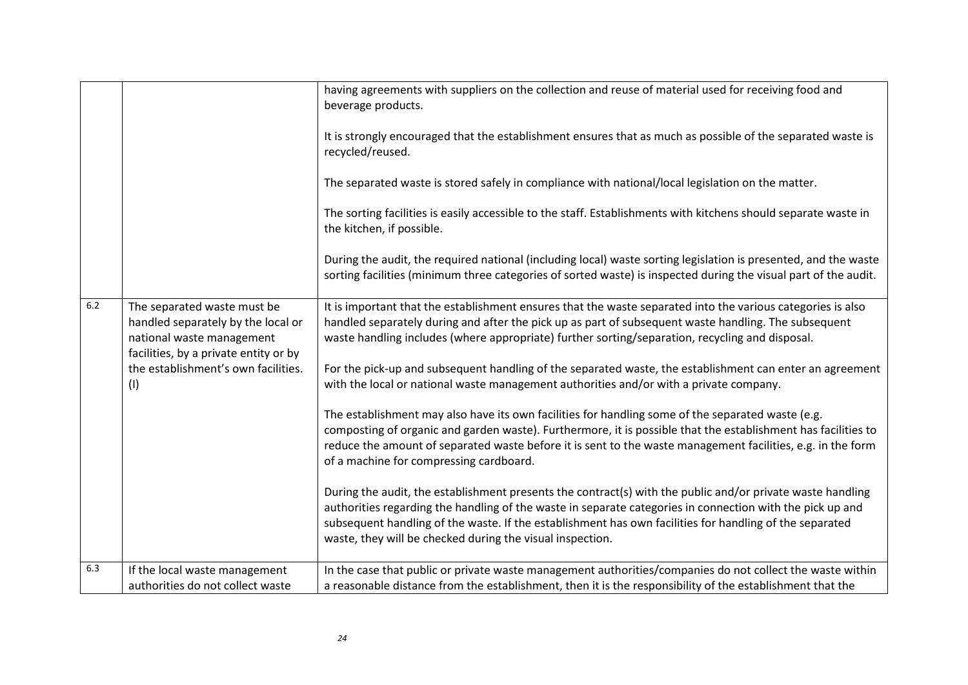| During the audit, the required national (including local) waste sorting legislation is presented, and the waste<br>sorting facilities (minimum three categories of sorted waste) is inspected during the visual part of the audit.                                                                                                                                                                                                                                                                                                                                                                                                                                                                                                                                                                                                                                                                                                                                                                                                                                                                                                                                                                                                                                                                                                                                                                                                                                                                              | It is strongly encouraged that the establishment ensures that as much as possible of the separated waste is<br>The sorting facilities is easily accessible to the staff. Establishments with kitchens should separate waste in |
|-----------------------------------------------------------------------------------------------------------------------------------------------------------------------------------------------------------------------------------------------------------------------------------------------------------------------------------------------------------------------------------------------------------------------------------------------------------------------------------------------------------------------------------------------------------------------------------------------------------------------------------------------------------------------------------------------------------------------------------------------------------------------------------------------------------------------------------------------------------------------------------------------------------------------------------------------------------------------------------------------------------------------------------------------------------------------------------------------------------------------------------------------------------------------------------------------------------------------------------------------------------------------------------------------------------------------------------------------------------------------------------------------------------------------------------------------------------------------------------------------------------------|--------------------------------------------------------------------------------------------------------------------------------------------------------------------------------------------------------------------------------|
| 6.2<br>The separated waste must be<br>It is important that the establishment ensures that the waste separated into the various categories is also<br>handled separately during and after the pick up as part of subsequent waste handling. The subsequent<br>handled separately by the local or<br>waste handling includes (where appropriate) further sorting/separation, recycling and disposal.<br>national waste management<br>facilities, by a private entity or by<br>the establishment's own facilities.<br>For the pick-up and subsequent handling of the separated waste, the establishment can enter an agreement<br>with the local or national waste management authorities and/or with a private company.<br>(1)<br>The establishment may also have its own facilities for handling some of the separated waste (e.g.<br>composting of organic and garden waste). Furthermore, it is possible that the establishment has facilities to<br>reduce the amount of separated waste before it is sent to the waste management facilities, e.g. in the form<br>of a machine for compressing cardboard.<br>During the audit, the establishment presents the contract(s) with the public and/or private waste handling<br>authorities regarding the handling of the waste in separate categories in connection with the pick up and<br>subsequent handling of the waste. If the establishment has own facilities for handling of the separated<br>waste, they will be checked during the visual inspection. |                                                                                                                                                                                                                                |
| 6.3<br>In the case that public or private waste management authorities/companies do not collect the waste within<br>If the local waste management<br>authorities do not collect waste<br>a reasonable distance from the establishment, then it is the responsibility of the establishment that the                                                                                                                                                                                                                                                                                                                                                                                                                                                                                                                                                                                                                                                                                                                                                                                                                                                                                                                                                                                                                                                                                                                                                                                                              |                                                                                                                                                                                                                                |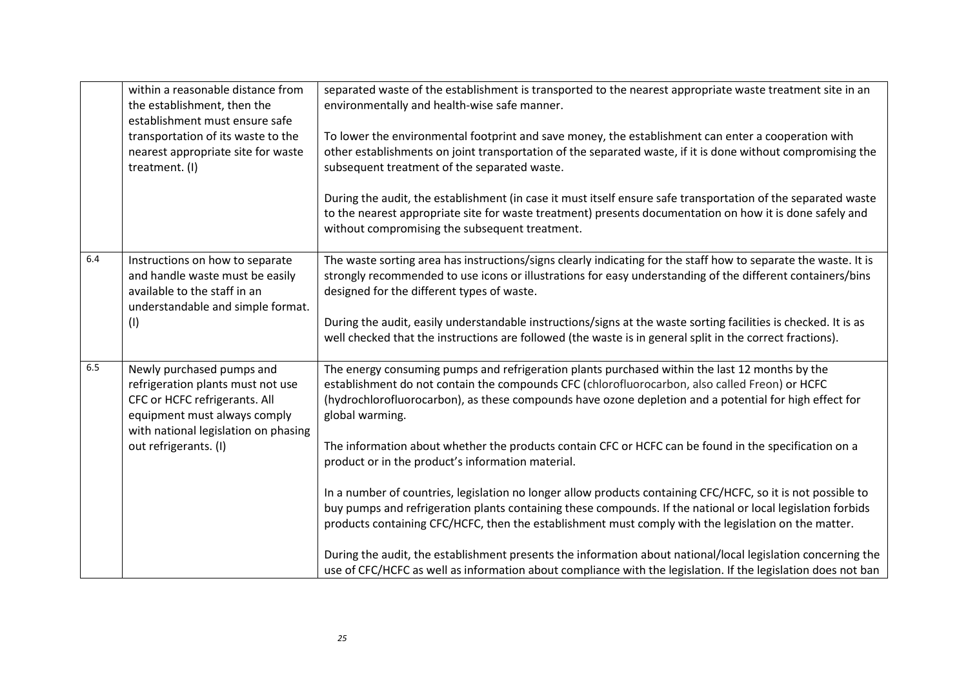|     | within a reasonable distance from<br>the establishment, then the<br>establishment must ensure safe<br>transportation of its waste to the<br>nearest appropriate site for waste<br>treatment. (I) | separated waste of the establishment is transported to the nearest appropriate waste treatment site in an<br>environmentally and health-wise safe manner.<br>To lower the environmental footprint and save money, the establishment can enter a cooperation with<br>other establishments on joint transportation of the separated waste, if it is done without compromising the<br>subsequent treatment of the separated waste.<br>During the audit, the establishment (in case it must itself ensure safe transportation of the separated waste<br>to the nearest appropriate site for waste treatment) presents documentation on how it is done safely and<br>without compromising the subsequent treatment.                                                                                                                                                                                                                                                                                                                                                      |
|-----|--------------------------------------------------------------------------------------------------------------------------------------------------------------------------------------------------|---------------------------------------------------------------------------------------------------------------------------------------------------------------------------------------------------------------------------------------------------------------------------------------------------------------------------------------------------------------------------------------------------------------------------------------------------------------------------------------------------------------------------------------------------------------------------------------------------------------------------------------------------------------------------------------------------------------------------------------------------------------------------------------------------------------------------------------------------------------------------------------------------------------------------------------------------------------------------------------------------------------------------------------------------------------------|
| 6.4 | Instructions on how to separate<br>and handle waste must be easily<br>available to the staff in an<br>understandable and simple format.<br>(1)                                                   | The waste sorting area has instructions/signs clearly indicating for the staff how to separate the waste. It is<br>strongly recommended to use icons or illustrations for easy understanding of the different containers/bins<br>designed for the different types of waste.<br>During the audit, easily understandable instructions/signs at the waste sorting facilities is checked. It is as<br>well checked that the instructions are followed (the waste is in general split in the correct fractions).                                                                                                                                                                                                                                                                                                                                                                                                                                                                                                                                                         |
| 6.5 | Newly purchased pumps and<br>refrigeration plants must not use<br>CFC or HCFC refrigerants. All<br>equipment must always comply<br>with national legislation on phasing<br>out refrigerants. (I) | The energy consuming pumps and refrigeration plants purchased within the last 12 months by the<br>establishment do not contain the compounds CFC (chlorofluorocarbon, also called Freon) or HCFC<br>(hydrochlorofluorocarbon), as these compounds have ozone depletion and a potential for high effect for<br>global warming.<br>The information about whether the products contain CFC or HCFC can be found in the specification on a<br>product or in the product's information material.<br>In a number of countries, legislation no longer allow products containing CFC/HCFC, so it is not possible to<br>buy pumps and refrigeration plants containing these compounds. If the national or local legislation forbids<br>products containing CFC/HCFC, then the establishment must comply with the legislation on the matter.<br>During the audit, the establishment presents the information about national/local legislation concerning the<br>use of CFC/HCFC as well as information about compliance with the legislation. If the legislation does not ban |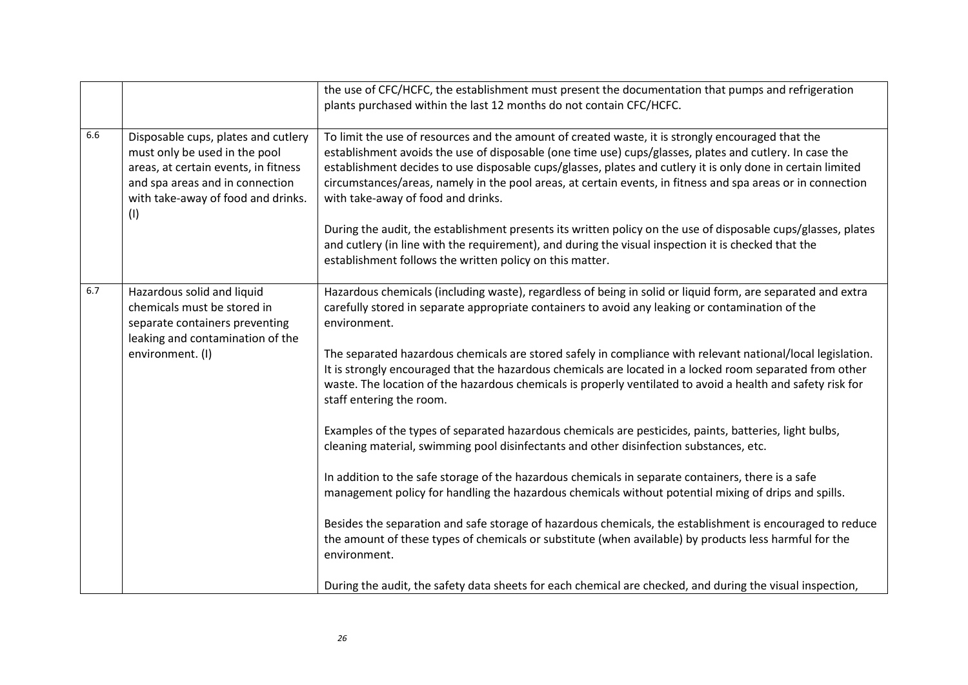|     |                                                                                                                                                                                              | the use of CFC/HCFC, the establishment must present the documentation that pumps and refrigeration<br>plants purchased within the last 12 months do not contain CFC/HCFC.                                                                                                                                                                                                                                                                                                        |
|-----|----------------------------------------------------------------------------------------------------------------------------------------------------------------------------------------------|----------------------------------------------------------------------------------------------------------------------------------------------------------------------------------------------------------------------------------------------------------------------------------------------------------------------------------------------------------------------------------------------------------------------------------------------------------------------------------|
| 6.6 | Disposable cups, plates and cutlery<br>must only be used in the pool<br>areas, at certain events, in fitness<br>and spa areas and in connection<br>with take-away of food and drinks.<br>(1) | To limit the use of resources and the amount of created waste, it is strongly encouraged that the<br>establishment avoids the use of disposable (one time use) cups/glasses, plates and cutlery. In case the<br>establishment decides to use disposable cups/glasses, plates and cutlery it is only done in certain limited<br>circumstances/areas, namely in the pool areas, at certain events, in fitness and spa areas or in connection<br>with take-away of food and drinks. |
|     |                                                                                                                                                                                              | During the audit, the establishment presents its written policy on the use of disposable cups/glasses, plates<br>and cutlery (in line with the requirement), and during the visual inspection it is checked that the<br>establishment follows the written policy on this matter.                                                                                                                                                                                                 |
| 6.7 | Hazardous solid and liquid<br>chemicals must be stored in<br>separate containers preventing<br>leaking and contamination of the                                                              | Hazardous chemicals (including waste), regardless of being in solid or liquid form, are separated and extra<br>carefully stored in separate appropriate containers to avoid any leaking or contamination of the<br>environment.                                                                                                                                                                                                                                                  |
|     | environment. (I)                                                                                                                                                                             | The separated hazardous chemicals are stored safely in compliance with relevant national/local legislation.<br>It is strongly encouraged that the hazardous chemicals are located in a locked room separated from other<br>waste. The location of the hazardous chemicals is properly ventilated to avoid a health and safety risk for<br>staff entering the room.                                                                                                               |
|     |                                                                                                                                                                                              | Examples of the types of separated hazardous chemicals are pesticides, paints, batteries, light bulbs,<br>cleaning material, swimming pool disinfectants and other disinfection substances, etc.                                                                                                                                                                                                                                                                                 |
|     |                                                                                                                                                                                              | In addition to the safe storage of the hazardous chemicals in separate containers, there is a safe<br>management policy for handling the hazardous chemicals without potential mixing of drips and spills.                                                                                                                                                                                                                                                                       |
|     |                                                                                                                                                                                              | Besides the separation and safe storage of hazardous chemicals, the establishment is encouraged to reduce<br>the amount of these types of chemicals or substitute (when available) by products less harmful for the<br>environment.                                                                                                                                                                                                                                              |
|     |                                                                                                                                                                                              | During the audit, the safety data sheets for each chemical are checked, and during the visual inspection,                                                                                                                                                                                                                                                                                                                                                                        |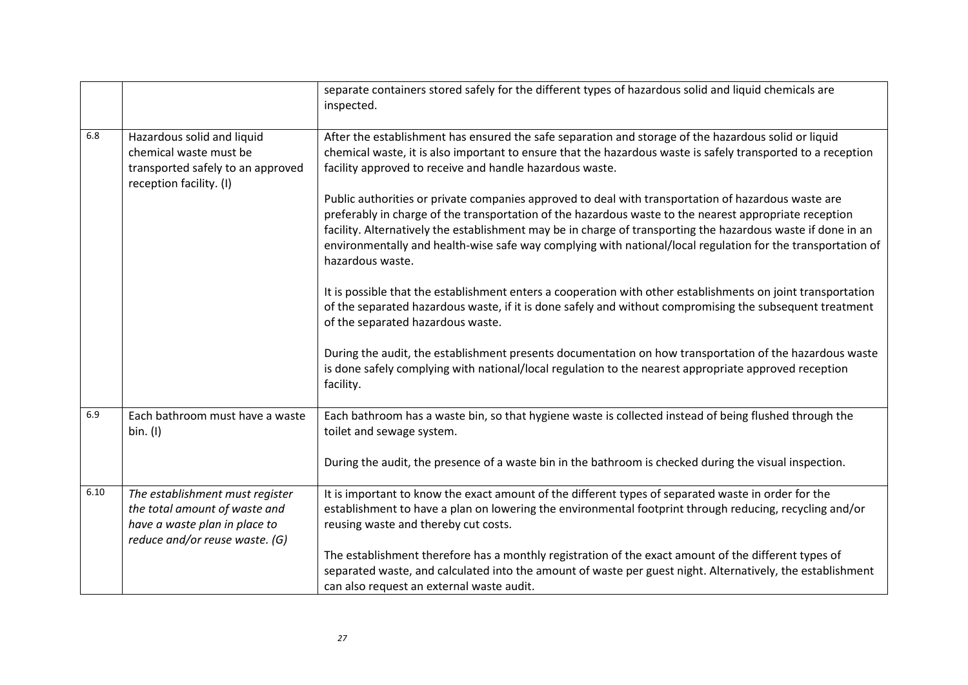|      |                                                                                                                                     | separate containers stored safely for the different types of hazardous solid and liquid chemicals are<br>inspected.                                                                                                                                                                                                                                                                                                                                              |
|------|-------------------------------------------------------------------------------------------------------------------------------------|------------------------------------------------------------------------------------------------------------------------------------------------------------------------------------------------------------------------------------------------------------------------------------------------------------------------------------------------------------------------------------------------------------------------------------------------------------------|
| 6.8  | Hazardous solid and liquid<br>chemical waste must be<br>transported safely to an approved<br>reception facility. (I)                | After the establishment has ensured the safe separation and storage of the hazardous solid or liquid<br>chemical waste, it is also important to ensure that the hazardous waste is safely transported to a reception<br>facility approved to receive and handle hazardous waste.                                                                                                                                                                                 |
|      |                                                                                                                                     | Public authorities or private companies approved to deal with transportation of hazardous waste are<br>preferably in charge of the transportation of the hazardous waste to the nearest appropriate reception<br>facility. Alternatively the establishment may be in charge of transporting the hazardous waste if done in an<br>environmentally and health-wise safe way complying with national/local regulation for the transportation of<br>hazardous waste. |
|      |                                                                                                                                     | It is possible that the establishment enters a cooperation with other establishments on joint transportation<br>of the separated hazardous waste, if it is done safely and without compromising the subsequent treatment<br>of the separated hazardous waste.                                                                                                                                                                                                    |
|      |                                                                                                                                     | During the audit, the establishment presents documentation on how transportation of the hazardous waste<br>is done safely complying with national/local regulation to the nearest appropriate approved reception<br>facility.                                                                                                                                                                                                                                    |
| 6.9  | Each bathroom must have a waste<br>bin. (I)                                                                                         | Each bathroom has a waste bin, so that hygiene waste is collected instead of being flushed through the<br>toilet and sewage system.                                                                                                                                                                                                                                                                                                                              |
|      |                                                                                                                                     | During the audit, the presence of a waste bin in the bathroom is checked during the visual inspection.                                                                                                                                                                                                                                                                                                                                                           |
| 6.10 | The establishment must register<br>the total amount of waste and<br>have a waste plan in place to<br>reduce and/or reuse waste. (G) | It is important to know the exact amount of the different types of separated waste in order for the<br>establishment to have a plan on lowering the environmental footprint through reducing, recycling and/or<br>reusing waste and thereby cut costs.                                                                                                                                                                                                           |
|      |                                                                                                                                     | The establishment therefore has a monthly registration of the exact amount of the different types of<br>separated waste, and calculated into the amount of waste per guest night. Alternatively, the establishment<br>can also request an external waste audit.                                                                                                                                                                                                  |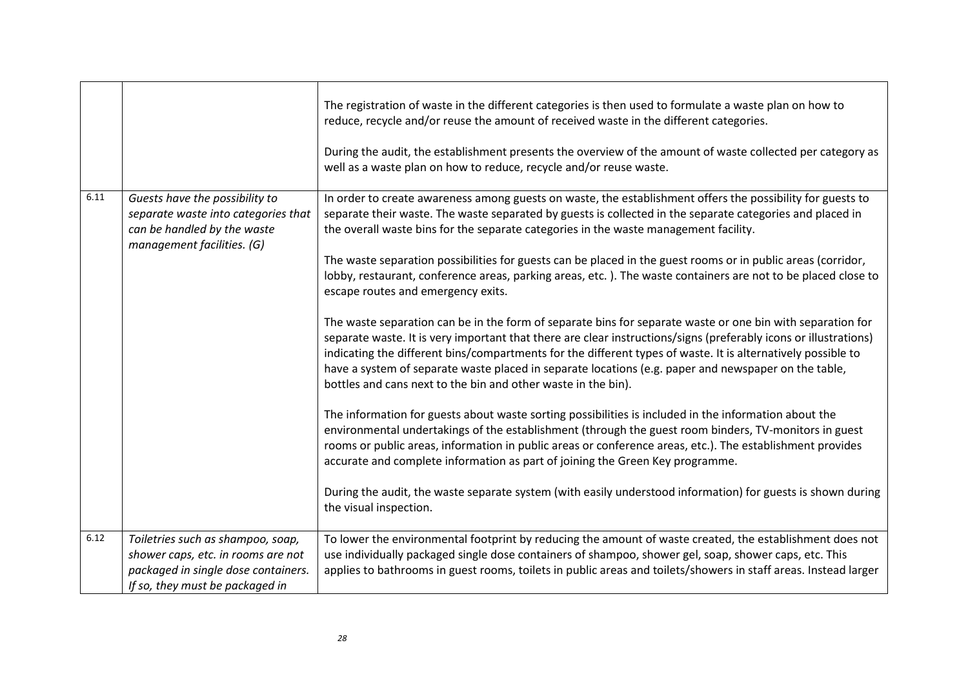|      |                                                                                                                                                   | The registration of waste in the different categories is then used to formulate a waste plan on how to<br>reduce, recycle and/or reuse the amount of received waste in the different categories.<br>During the audit, the establishment presents the overview of the amount of waste collected per category as<br>well as a waste plan on how to reduce, recycle and/or reuse waste.                                                                                                                                                                                                                                                                                                                                                                                                                                                                                                                                                                                                                                                                                                                                                                                                                                                                                                                                                                                                                                                                                                                                                                                                                                                                                       |
|------|---------------------------------------------------------------------------------------------------------------------------------------------------|----------------------------------------------------------------------------------------------------------------------------------------------------------------------------------------------------------------------------------------------------------------------------------------------------------------------------------------------------------------------------------------------------------------------------------------------------------------------------------------------------------------------------------------------------------------------------------------------------------------------------------------------------------------------------------------------------------------------------------------------------------------------------------------------------------------------------------------------------------------------------------------------------------------------------------------------------------------------------------------------------------------------------------------------------------------------------------------------------------------------------------------------------------------------------------------------------------------------------------------------------------------------------------------------------------------------------------------------------------------------------------------------------------------------------------------------------------------------------------------------------------------------------------------------------------------------------------------------------------------------------------------------------------------------------|
| 6.11 | Guests have the possibility to<br>separate waste into categories that<br>can be handled by the waste<br>management facilities. (G)                | In order to create awareness among guests on waste, the establishment offers the possibility for guests to<br>separate their waste. The waste separated by guests is collected in the separate categories and placed in<br>the overall waste bins for the separate categories in the waste management facility.<br>The waste separation possibilities for guests can be placed in the guest rooms or in public areas (corridor,<br>lobby, restaurant, conference areas, parking areas, etc.). The waste containers are not to be placed close to<br>escape routes and emergency exits.<br>The waste separation can be in the form of separate bins for separate waste or one bin with separation for<br>separate waste. It is very important that there are clear instructions/signs (preferably icons or illustrations)<br>indicating the different bins/compartments for the different types of waste. It is alternatively possible to<br>have a system of separate waste placed in separate locations (e.g. paper and newspaper on the table,<br>bottles and cans next to the bin and other waste in the bin).<br>The information for guests about waste sorting possibilities is included in the information about the<br>environmental undertakings of the establishment (through the guest room binders, TV-monitors in guest<br>rooms or public areas, information in public areas or conference areas, etc.). The establishment provides<br>accurate and complete information as part of joining the Green Key programme.<br>During the audit, the waste separate system (with easily understood information) for guests is shown during<br>the visual inspection. |
| 6.12 | Toiletries such as shampoo, soap,<br>shower caps, etc. in rooms are not<br>packaged in single dose containers.<br>If so, they must be packaged in | To lower the environmental footprint by reducing the amount of waste created, the establishment does not<br>use individually packaged single dose containers of shampoo, shower gel, soap, shower caps, etc. This<br>applies to bathrooms in guest rooms, toilets in public areas and toilets/showers in staff areas. Instead larger                                                                                                                                                                                                                                                                                                                                                                                                                                                                                                                                                                                                                                                                                                                                                                                                                                                                                                                                                                                                                                                                                                                                                                                                                                                                                                                                       |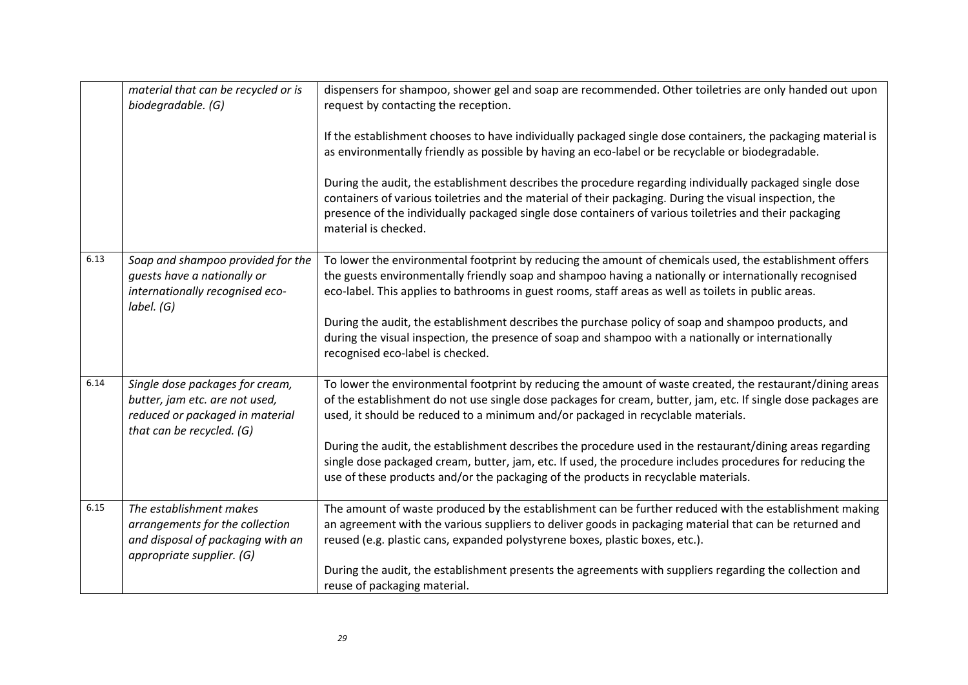|      | material that can be recycled or is<br>biodegradable. (G)                                                                         | dispensers for shampoo, shower gel and soap are recommended. Other toiletries are only handed out upon<br>request by contacting the reception.<br>If the establishment chooses to have individually packaged single dose containers, the packaging material is<br>as environmentally friendly as possible by having an eco-label or be recyclable or biodegradable.<br>During the audit, the establishment describes the procedure regarding individually packaged single dose<br>containers of various toiletries and the material of their packaging. During the visual inspection, the<br>presence of the individually packaged single dose containers of various toiletries and their packaging<br>material is checked. |
|------|-----------------------------------------------------------------------------------------------------------------------------------|-----------------------------------------------------------------------------------------------------------------------------------------------------------------------------------------------------------------------------------------------------------------------------------------------------------------------------------------------------------------------------------------------------------------------------------------------------------------------------------------------------------------------------------------------------------------------------------------------------------------------------------------------------------------------------------------------------------------------------|
| 6.13 | Soap and shampoo provided for the<br>guests have a nationally or<br>internationally recognised eco-<br>label. (G)                 | To lower the environmental footprint by reducing the amount of chemicals used, the establishment offers<br>the guests environmentally friendly soap and shampoo having a nationally or internationally recognised<br>eco-label. This applies to bathrooms in guest rooms, staff areas as well as toilets in public areas.<br>During the audit, the establishment describes the purchase policy of soap and shampoo products, and<br>during the visual inspection, the presence of soap and shampoo with a nationally or internationally<br>recognised eco-label is checked.                                                                                                                                                 |
| 6.14 | Single dose packages for cream,<br>butter, jam etc. are not used,<br>reduced or packaged in material<br>that can be recycled. (G) | To lower the environmental footprint by reducing the amount of waste created, the restaurant/dining areas<br>of the establishment do not use single dose packages for cream, butter, jam, etc. If single dose packages are<br>used, it should be reduced to a minimum and/or packaged in recyclable materials.<br>During the audit, the establishment describes the procedure used in the restaurant/dining areas regarding<br>single dose packaged cream, butter, jam, etc. If used, the procedure includes procedures for reducing the<br>use of these products and/or the packaging of the products in recyclable materials.                                                                                             |
| 6.15 | The establishment makes<br>arrangements for the collection<br>and disposal of packaging with an<br>appropriate supplier. (G)      | The amount of waste produced by the establishment can be further reduced with the establishment making<br>an agreement with the various suppliers to deliver goods in packaging material that can be returned and<br>reused (e.g. plastic cans, expanded polystyrene boxes, plastic boxes, etc.).<br>During the audit, the establishment presents the agreements with suppliers regarding the collection and<br>reuse of packaging material.                                                                                                                                                                                                                                                                                |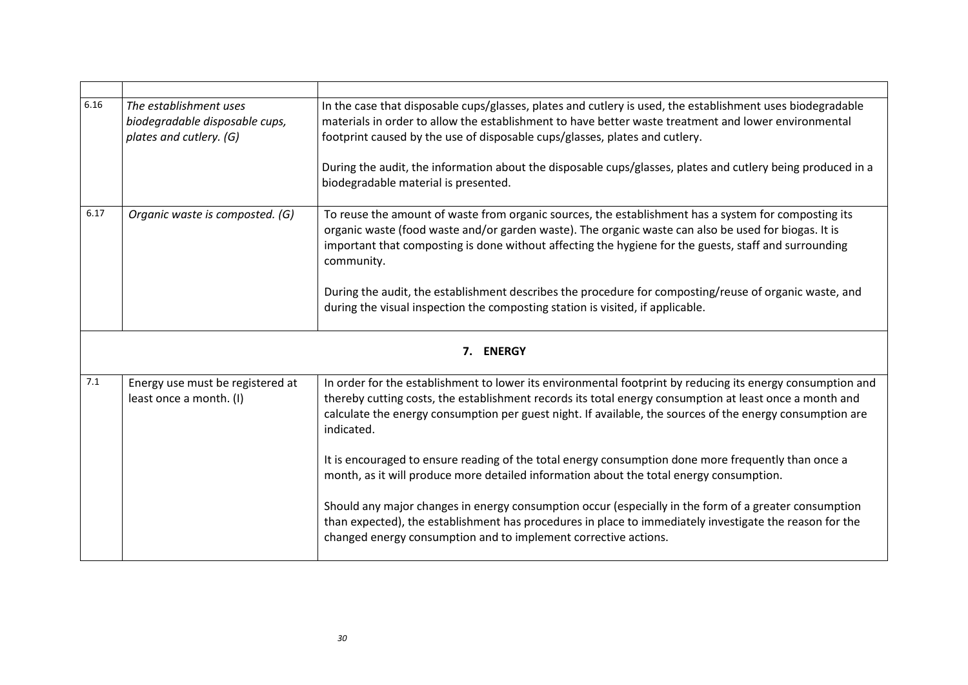| 6.16 | The establishment uses<br>biodegradable disposable cups,<br>plates and cutlery. (G) | In the case that disposable cups/glasses, plates and cutlery is used, the establishment uses biodegradable<br>materials in order to allow the establishment to have better waste treatment and lower environmental<br>footprint caused by the use of disposable cups/glasses, plates and cutlery.                                                |
|------|-------------------------------------------------------------------------------------|--------------------------------------------------------------------------------------------------------------------------------------------------------------------------------------------------------------------------------------------------------------------------------------------------------------------------------------------------|
|      |                                                                                     | During the audit, the information about the disposable cups/glasses, plates and cutlery being produced in a<br>biodegradable material is presented.                                                                                                                                                                                              |
| 6.17 | Organic waste is composted. (G)                                                     | To reuse the amount of waste from organic sources, the establishment has a system for composting its<br>organic waste (food waste and/or garden waste). The organic waste can also be used for biogas. It is<br>important that composting is done without affecting the hygiene for the guests, staff and surrounding<br>community.              |
|      |                                                                                     | During the audit, the establishment describes the procedure for composting/reuse of organic waste, and<br>during the visual inspection the composting station is visited, if applicable.                                                                                                                                                         |
|      |                                                                                     | 7. ENERGY                                                                                                                                                                                                                                                                                                                                        |
| 7.1  | Energy use must be registered at<br>least once a month. (I)                         | In order for the establishment to lower its environmental footprint by reducing its energy consumption and<br>thereby cutting costs, the establishment records its total energy consumption at least once a month and<br>calculate the energy consumption per guest night. If available, the sources of the energy consumption are<br>indicated. |
|      |                                                                                     | It is encouraged to ensure reading of the total energy consumption done more frequently than once a<br>month, as it will produce more detailed information about the total energy consumption.                                                                                                                                                   |
|      |                                                                                     | Should any major changes in energy consumption occur (especially in the form of a greater consumption<br>than expected), the establishment has procedures in place to immediately investigate the reason for the<br>changed energy consumption and to implement corrective actions.                                                              |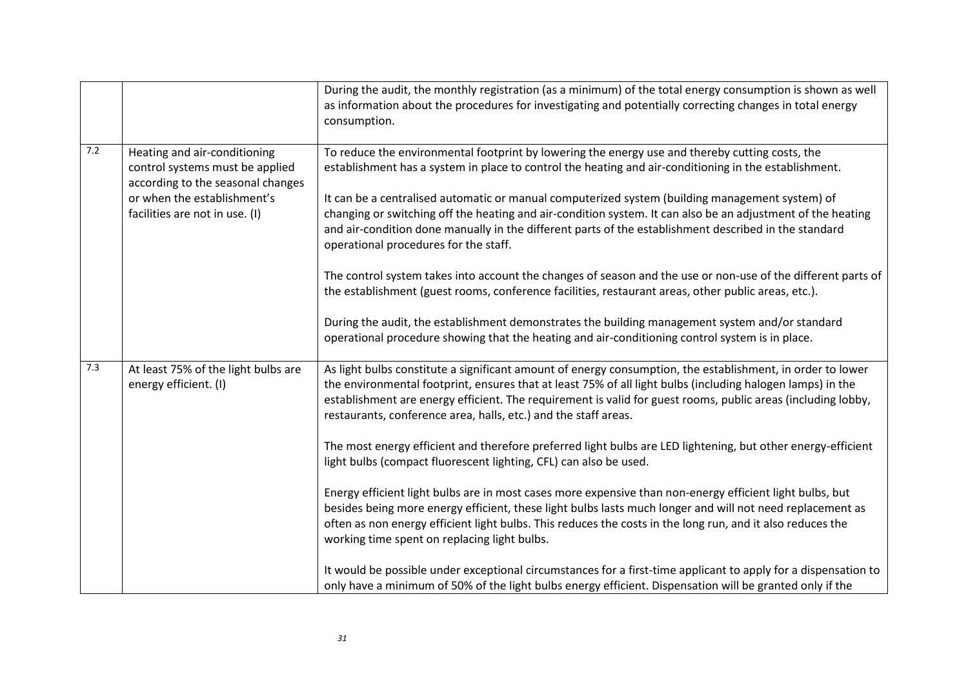|     |                                                                                                                                                                       | During the audit, the monthly registration (as a minimum) of the total energy consumption is shown as well<br>as information about the procedures for investigating and potentially correcting changes in total energy<br>consumption.                                                                                                                                                                                                                                                                                                                                                                                                                                                                                                                                                                                                                                                                                                                                                                                                                                                                                                                                                                                |
|-----|-----------------------------------------------------------------------------------------------------------------------------------------------------------------------|-----------------------------------------------------------------------------------------------------------------------------------------------------------------------------------------------------------------------------------------------------------------------------------------------------------------------------------------------------------------------------------------------------------------------------------------------------------------------------------------------------------------------------------------------------------------------------------------------------------------------------------------------------------------------------------------------------------------------------------------------------------------------------------------------------------------------------------------------------------------------------------------------------------------------------------------------------------------------------------------------------------------------------------------------------------------------------------------------------------------------------------------------------------------------------------------------------------------------|
| 7.2 | Heating and air-conditioning<br>control systems must be applied<br>according to the seasonal changes<br>or when the establishment's<br>facilities are not in use. (I) | To reduce the environmental footprint by lowering the energy use and thereby cutting costs, the<br>establishment has a system in place to control the heating and air-conditioning in the establishment.<br>It can be a centralised automatic or manual computerized system (building management system) of<br>changing or switching off the heating and air-condition system. It can also be an adjustment of the heating<br>and air-condition done manually in the different parts of the establishment described in the standard<br>operational procedures for the staff.<br>The control system takes into account the changes of season and the use or non-use of the different parts of<br>the establishment (guest rooms, conference facilities, restaurant areas, other public areas, etc.).<br>During the audit, the establishment demonstrates the building management system and/or standard<br>operational procedure showing that the heating and air-conditioning control system is in place.                                                                                                                                                                                                             |
| 7.3 | At least 75% of the light bulbs are<br>energy efficient. (I)                                                                                                          | As light bulbs constitute a significant amount of energy consumption, the establishment, in order to lower<br>the environmental footprint, ensures that at least 75% of all light bulbs (including halogen lamps) in the<br>establishment are energy efficient. The requirement is valid for guest rooms, public areas (including lobby,<br>restaurants, conference area, halls, etc.) and the staff areas.<br>The most energy efficient and therefore preferred light bulbs are LED lightening, but other energy-efficient<br>light bulbs (compact fluorescent lighting, CFL) can also be used.<br>Energy efficient light bulbs are in most cases more expensive than non-energy efficient light bulbs, but<br>besides being more energy efficient, these light bulbs lasts much longer and will not need replacement as<br>often as non energy efficient light bulbs. This reduces the costs in the long run, and it also reduces the<br>working time spent on replacing light bulbs.<br>It would be possible under exceptional circumstances for a first-time applicant to apply for a dispensation to<br>only have a minimum of 50% of the light bulbs energy efficient. Dispensation will be granted only if the |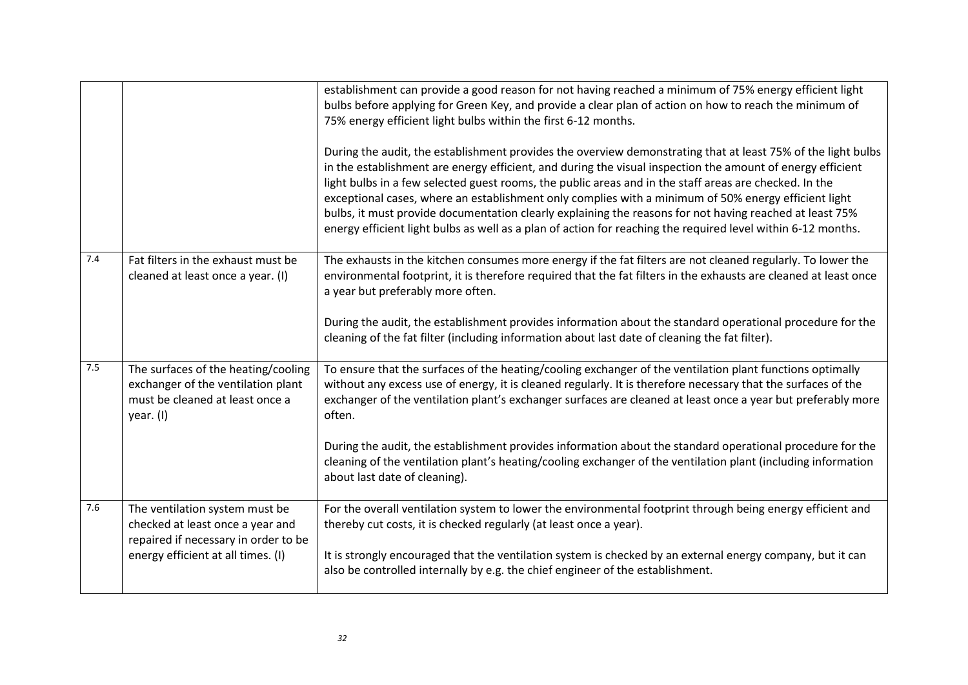|     |                                                                                                                                                  | establishment can provide a good reason for not having reached a minimum of 75% energy efficient light<br>bulbs before applying for Green Key, and provide a clear plan of action on how to reach the minimum of<br>75% energy efficient light bulbs within the first 6-12 months.<br>During the audit, the establishment provides the overview demonstrating that at least 75% of the light bulbs<br>in the establishment are energy efficient, and during the visual inspection the amount of energy efficient<br>light bulbs in a few selected guest rooms, the public areas and in the staff areas are checked. In the<br>exceptional cases, where an establishment only complies with a minimum of 50% energy efficient light<br>bulbs, it must provide documentation clearly explaining the reasons for not having reached at least 75%<br>energy efficient light bulbs as well as a plan of action for reaching the required level within 6-12 months. |
|-----|--------------------------------------------------------------------------------------------------------------------------------------------------|---------------------------------------------------------------------------------------------------------------------------------------------------------------------------------------------------------------------------------------------------------------------------------------------------------------------------------------------------------------------------------------------------------------------------------------------------------------------------------------------------------------------------------------------------------------------------------------------------------------------------------------------------------------------------------------------------------------------------------------------------------------------------------------------------------------------------------------------------------------------------------------------------------------------------------------------------------------|
| 7.4 | Fat filters in the exhaust must be<br>cleaned at least once a year. (I)                                                                          | The exhausts in the kitchen consumes more energy if the fat filters are not cleaned regularly. To lower the<br>environmental footprint, it is therefore required that the fat filters in the exhausts are cleaned at least once<br>a year but preferably more often.<br>During the audit, the establishment provides information about the standard operational procedure for the<br>cleaning of the fat filter (including information about last date of cleaning the fat filter).                                                                                                                                                                                                                                                                                                                                                                                                                                                                           |
| 7.5 | The surfaces of the heating/cooling<br>exchanger of the ventilation plant<br>must be cleaned at least once a<br>year. (I)                        | To ensure that the surfaces of the heating/cooling exchanger of the ventilation plant functions optimally<br>without any excess use of energy, it is cleaned regularly. It is therefore necessary that the surfaces of the<br>exchanger of the ventilation plant's exchanger surfaces are cleaned at least once a year but preferably more<br>often.<br>During the audit, the establishment provides information about the standard operational procedure for the<br>cleaning of the ventilation plant's heating/cooling exchanger of the ventilation plant (including information<br>about last date of cleaning).                                                                                                                                                                                                                                                                                                                                           |
| 7.6 | The ventilation system must be<br>checked at least once a year and<br>repaired if necessary in order to be<br>energy efficient at all times. (I) | For the overall ventilation system to lower the environmental footprint through being energy efficient and<br>thereby cut costs, it is checked regularly (at least once a year).<br>It is strongly encouraged that the ventilation system is checked by an external energy company, but it can<br>also be controlled internally by e.g. the chief engineer of the establishment.                                                                                                                                                                                                                                                                                                                                                                                                                                                                                                                                                                              |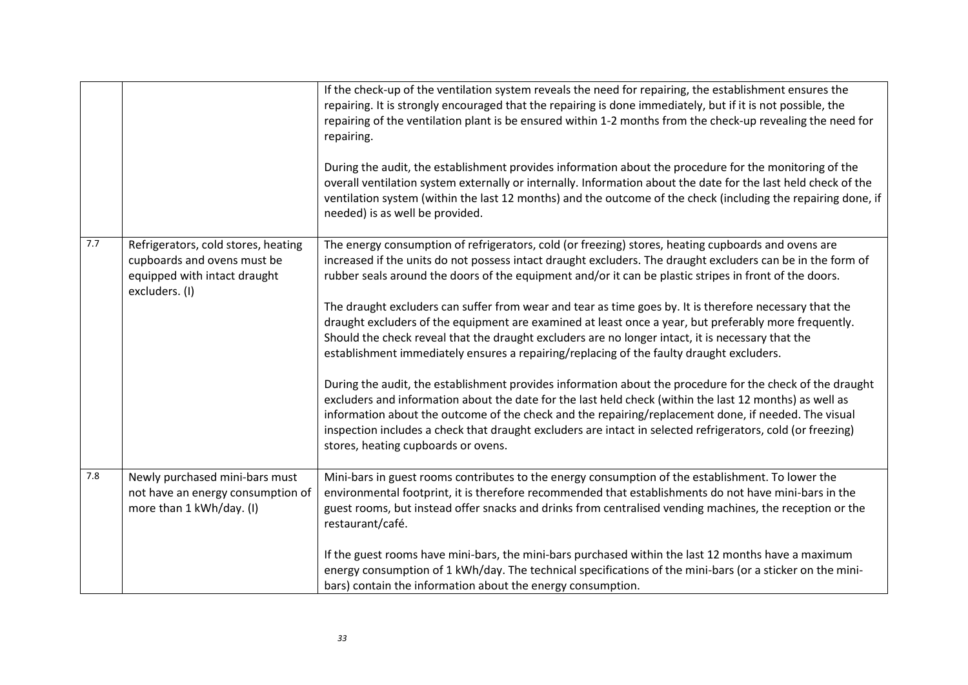|     |                                                                                                                      | If the check-up of the ventilation system reveals the need for repairing, the establishment ensures the<br>repairing. It is strongly encouraged that the repairing is done immediately, but if it is not possible, the<br>repairing of the ventilation plant is be ensured within 1-2 months from the check-up revealing the need for<br>repairing.<br>During the audit, the establishment provides information about the procedure for the monitoring of the<br>overall ventilation system externally or internally. Information about the date for the last held check of the<br>ventilation system (within the last 12 months) and the outcome of the check (including the repairing done, if<br>needed) is as well be provided.                                                                                                                                                                                                                                                                                                                                                                                                                                                                                                     |
|-----|----------------------------------------------------------------------------------------------------------------------|-----------------------------------------------------------------------------------------------------------------------------------------------------------------------------------------------------------------------------------------------------------------------------------------------------------------------------------------------------------------------------------------------------------------------------------------------------------------------------------------------------------------------------------------------------------------------------------------------------------------------------------------------------------------------------------------------------------------------------------------------------------------------------------------------------------------------------------------------------------------------------------------------------------------------------------------------------------------------------------------------------------------------------------------------------------------------------------------------------------------------------------------------------------------------------------------------------------------------------------------|
| 7.7 | Refrigerators, cold stores, heating<br>cupboards and ovens must be<br>equipped with intact draught<br>excluders. (I) | The energy consumption of refrigerators, cold (or freezing) stores, heating cupboards and ovens are<br>increased if the units do not possess intact draught excluders. The draught excluders can be in the form of<br>rubber seals around the doors of the equipment and/or it can be plastic stripes in front of the doors.<br>The draught excluders can suffer from wear and tear as time goes by. It is therefore necessary that the<br>draught excluders of the equipment are examined at least once a year, but preferably more frequently.<br>Should the check reveal that the draught excluders are no longer intact, it is necessary that the<br>establishment immediately ensures a repairing/replacing of the faulty draught excluders.<br>During the audit, the establishment provides information about the procedure for the check of the draught<br>excluders and information about the date for the last held check (within the last 12 months) as well as<br>information about the outcome of the check and the repairing/replacement done, if needed. The visual<br>inspection includes a check that draught excluders are intact in selected refrigerators, cold (or freezing)<br>stores, heating cupboards or ovens. |
| 7.8 | Newly purchased mini-bars must<br>not have an energy consumption of<br>more than 1 kWh/day. (I)                      | Mini-bars in guest rooms contributes to the energy consumption of the establishment. To lower the<br>environmental footprint, it is therefore recommended that establishments do not have mini-bars in the<br>guest rooms, but instead offer snacks and drinks from centralised vending machines, the reception or the<br>restaurant/café.<br>If the guest rooms have mini-bars, the mini-bars purchased within the last 12 months have a maximum<br>energy consumption of 1 kWh/day. The technical specifications of the mini-bars (or a sticker on the mini-<br>bars) contain the information about the energy consumption.                                                                                                                                                                                                                                                                                                                                                                                                                                                                                                                                                                                                           |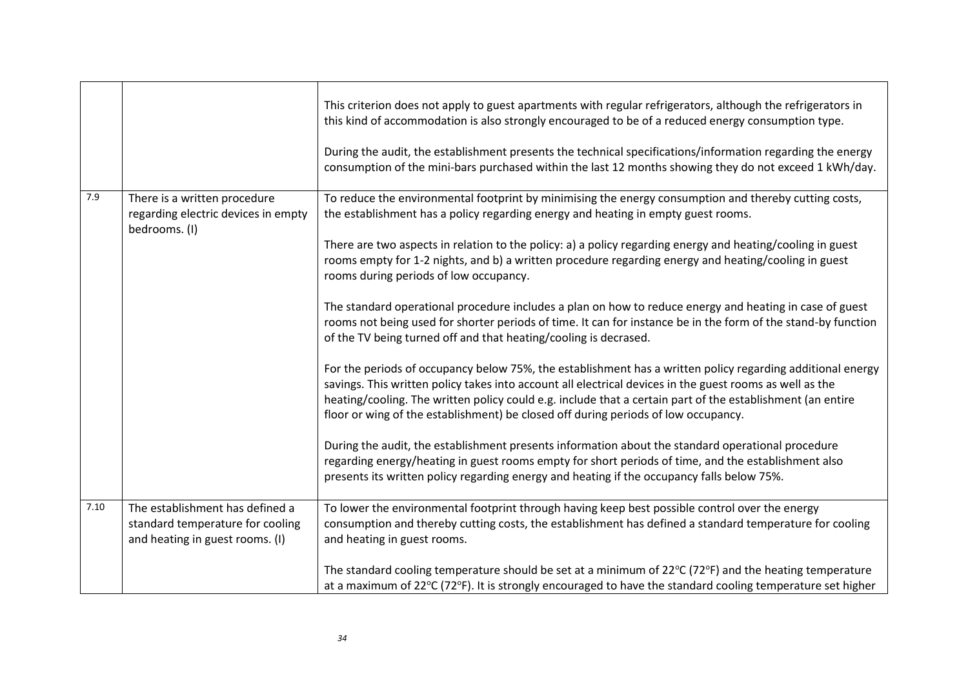|      |                                                                                      | This criterion does not apply to guest apartments with regular refrigerators, although the refrigerators in<br>this kind of accommodation is also strongly encouraged to be of a reduced energy consumption type.<br>During the audit, the establishment presents the technical specifications/information regarding the energy                                                                                            |
|------|--------------------------------------------------------------------------------------|----------------------------------------------------------------------------------------------------------------------------------------------------------------------------------------------------------------------------------------------------------------------------------------------------------------------------------------------------------------------------------------------------------------------------|
|      |                                                                                      | consumption of the mini-bars purchased within the last 12 months showing they do not exceed 1 kWh/day.                                                                                                                                                                                                                                                                                                                     |
| 7.9  | There is a written procedure<br>regarding electric devices in empty<br>bedrooms. (I) | To reduce the environmental footprint by minimising the energy consumption and thereby cutting costs,<br>the establishment has a policy regarding energy and heating in empty guest rooms.                                                                                                                                                                                                                                 |
|      |                                                                                      | There are two aspects in relation to the policy: a) a policy regarding energy and heating/cooling in guest<br>rooms empty for 1-2 nights, and b) a written procedure regarding energy and heating/cooling in guest<br>rooms during periods of low occupancy.                                                                                                                                                               |
|      |                                                                                      | The standard operational procedure includes a plan on how to reduce energy and heating in case of guest<br>rooms not being used for shorter periods of time. It can for instance be in the form of the stand-by function<br>of the TV being turned off and that heating/cooling is decrased.                                                                                                                               |
|      |                                                                                      | For the periods of occupancy below 75%, the establishment has a written policy regarding additional energy<br>savings. This written policy takes into account all electrical devices in the guest rooms as well as the<br>heating/cooling. The written policy could e.g. include that a certain part of the establishment (an entire<br>floor or wing of the establishment) be closed off during periods of low occupancy. |
|      |                                                                                      | During the audit, the establishment presents information about the standard operational procedure<br>regarding energy/heating in guest rooms empty for short periods of time, and the establishment also<br>presents its written policy regarding energy and heating if the occupancy falls below 75%.                                                                                                                     |
| 7.10 | The establishment has defined a                                                      | To lower the environmental footprint through having keep best possible control over the energy                                                                                                                                                                                                                                                                                                                             |
|      | standard temperature for cooling<br>and heating in guest rooms. (I)                  | consumption and thereby cutting costs, the establishment has defined a standard temperature for cooling<br>and heating in guest rooms.                                                                                                                                                                                                                                                                                     |
|      |                                                                                      | The standard cooling temperature should be set at a minimum of $22^{\circ}C$ (72 $^{\circ}F$ ) and the heating temperature<br>at a maximum of 22°C (72°F). It is strongly encouraged to have the standard cooling temperature set higher                                                                                                                                                                                   |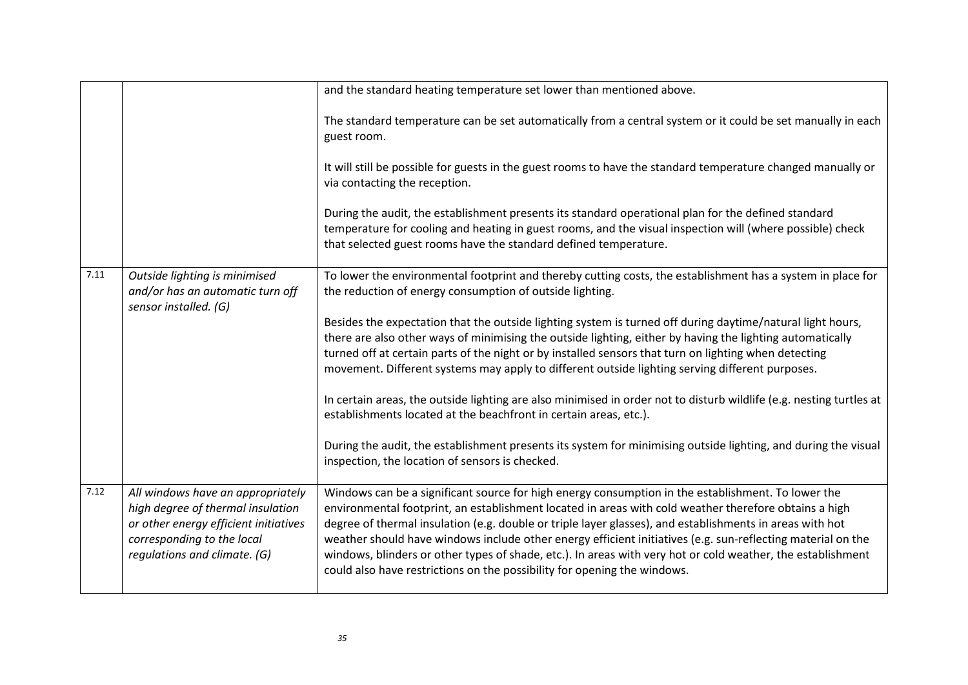|      |                                                                                                                                                                               | and the standard heating temperature set lower than mentioned above.                                                                                                                                                                                                                                                                                                                                                                                                                                                                                                                                                              |
|------|-------------------------------------------------------------------------------------------------------------------------------------------------------------------------------|-----------------------------------------------------------------------------------------------------------------------------------------------------------------------------------------------------------------------------------------------------------------------------------------------------------------------------------------------------------------------------------------------------------------------------------------------------------------------------------------------------------------------------------------------------------------------------------------------------------------------------------|
|      |                                                                                                                                                                               | The standard temperature can be set automatically from a central system or it could be set manually in each<br>guest room.                                                                                                                                                                                                                                                                                                                                                                                                                                                                                                        |
|      |                                                                                                                                                                               | It will still be possible for guests in the guest rooms to have the standard temperature changed manually or<br>via contacting the reception.                                                                                                                                                                                                                                                                                                                                                                                                                                                                                     |
|      |                                                                                                                                                                               | During the audit, the establishment presents its standard operational plan for the defined standard<br>temperature for cooling and heating in guest rooms, and the visual inspection will (where possible) check<br>that selected guest rooms have the standard defined temperature.                                                                                                                                                                                                                                                                                                                                              |
| 7.11 | Outside lighting is minimised<br>and/or has an automatic turn off<br>sensor installed. (G)                                                                                    | To lower the environmental footprint and thereby cutting costs, the establishment has a system in place for<br>the reduction of energy consumption of outside lighting.                                                                                                                                                                                                                                                                                                                                                                                                                                                           |
|      |                                                                                                                                                                               | Besides the expectation that the outside lighting system is turned off during daytime/natural light hours,<br>there are also other ways of minimising the outside lighting, either by having the lighting automatically<br>turned off at certain parts of the night or by installed sensors that turn on lighting when detecting<br>movement. Different systems may apply to different outside lighting serving different purposes.                                                                                                                                                                                               |
|      |                                                                                                                                                                               | In certain areas, the outside lighting are also minimised in order not to disturb wildlife (e.g. nesting turtles at<br>establishments located at the beachfront in certain areas, etc.).                                                                                                                                                                                                                                                                                                                                                                                                                                          |
|      |                                                                                                                                                                               | During the audit, the establishment presents its system for minimising outside lighting, and during the visual<br>inspection, the location of sensors is checked.                                                                                                                                                                                                                                                                                                                                                                                                                                                                 |
| 7.12 | All windows have an appropriately<br>high degree of thermal insulation<br>or other energy efficient initiatives<br>corresponding to the local<br>regulations and climate. (G) | Windows can be a significant source for high energy consumption in the establishment. To lower the<br>environmental footprint, an establishment located in areas with cold weather therefore obtains a high<br>degree of thermal insulation (e.g. double or triple layer glasses), and establishments in areas with hot<br>weather should have windows include other energy efficient initiatives (e.g. sun-reflecting material on the<br>windows, blinders or other types of shade, etc.). In areas with very hot or cold weather, the establishment<br>could also have restrictions on the possibility for opening the windows. |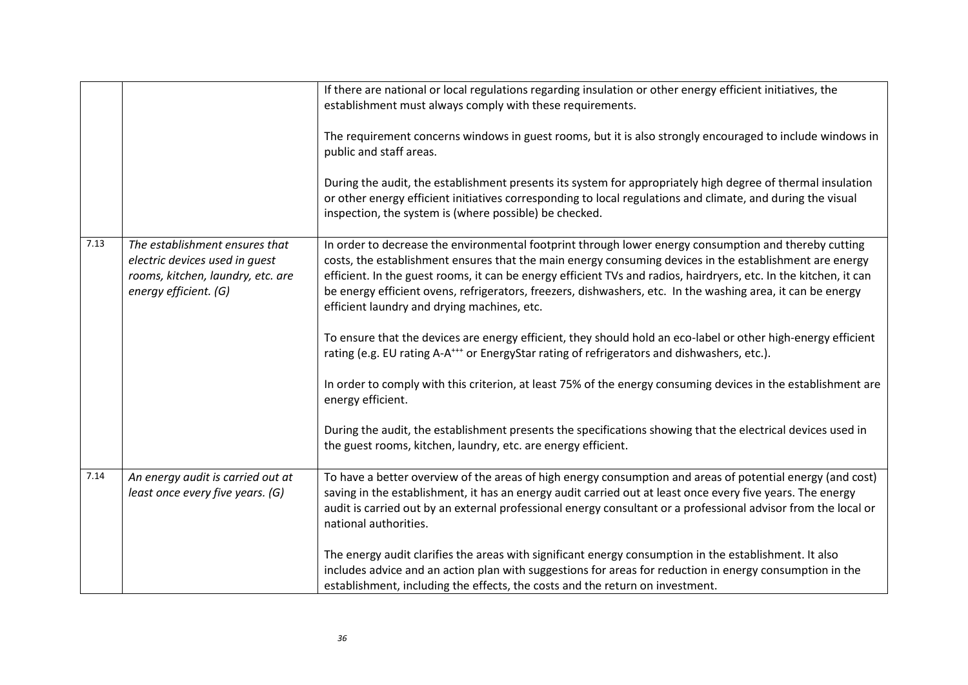|      |                                                                                                                                | If there are national or local regulations regarding insulation or other energy efficient initiatives, the<br>establishment must always comply with these requirements.<br>The requirement concerns windows in guest rooms, but it is also strongly encouraged to include windows in<br>public and staff areas.<br>During the audit, the establishment presents its system for appropriately high degree of thermal insulation<br>or other energy efficient initiatives corresponding to local regulations and climate, and during the visual<br>inspection, the system is (where possible) be checked.                                                                                                                                                                                                                                                                                                                                                                                                                                               |
|------|--------------------------------------------------------------------------------------------------------------------------------|-------------------------------------------------------------------------------------------------------------------------------------------------------------------------------------------------------------------------------------------------------------------------------------------------------------------------------------------------------------------------------------------------------------------------------------------------------------------------------------------------------------------------------------------------------------------------------------------------------------------------------------------------------------------------------------------------------------------------------------------------------------------------------------------------------------------------------------------------------------------------------------------------------------------------------------------------------------------------------------------------------------------------------------------------------|
| 7.13 | The establishment ensures that<br>electric devices used in guest<br>rooms, kitchen, laundry, etc. are<br>energy efficient. (G) | In order to decrease the environmental footprint through lower energy consumption and thereby cutting<br>costs, the establishment ensures that the main energy consuming devices in the establishment are energy<br>efficient. In the guest rooms, it can be energy efficient TVs and radios, hairdryers, etc. In the kitchen, it can<br>be energy efficient ovens, refrigerators, freezers, dishwashers, etc. In the washing area, it can be energy<br>efficient laundry and drying machines, etc.<br>To ensure that the devices are energy efficient, they should hold an eco-label or other high-energy efficient<br>rating (e.g. EU rating A-A <sup>+++</sup> or EnergyStar rating of refrigerators and dishwashers, etc.).<br>In order to comply with this criterion, at least 75% of the energy consuming devices in the establishment are<br>energy efficient.<br>During the audit, the establishment presents the specifications showing that the electrical devices used in<br>the guest rooms, kitchen, laundry, etc. are energy efficient. |
| 7.14 | An energy audit is carried out at<br>least once every five years. (G)                                                          | To have a better overview of the areas of high energy consumption and areas of potential energy (and cost)<br>saving in the establishment, it has an energy audit carried out at least once every five years. The energy<br>audit is carried out by an external professional energy consultant or a professional advisor from the local or<br>national authorities.<br>The energy audit clarifies the areas with significant energy consumption in the establishment. It also<br>includes advice and an action plan with suggestions for areas for reduction in energy consumption in the<br>establishment, including the effects, the costs and the return on investment.                                                                                                                                                                                                                                                                                                                                                                            |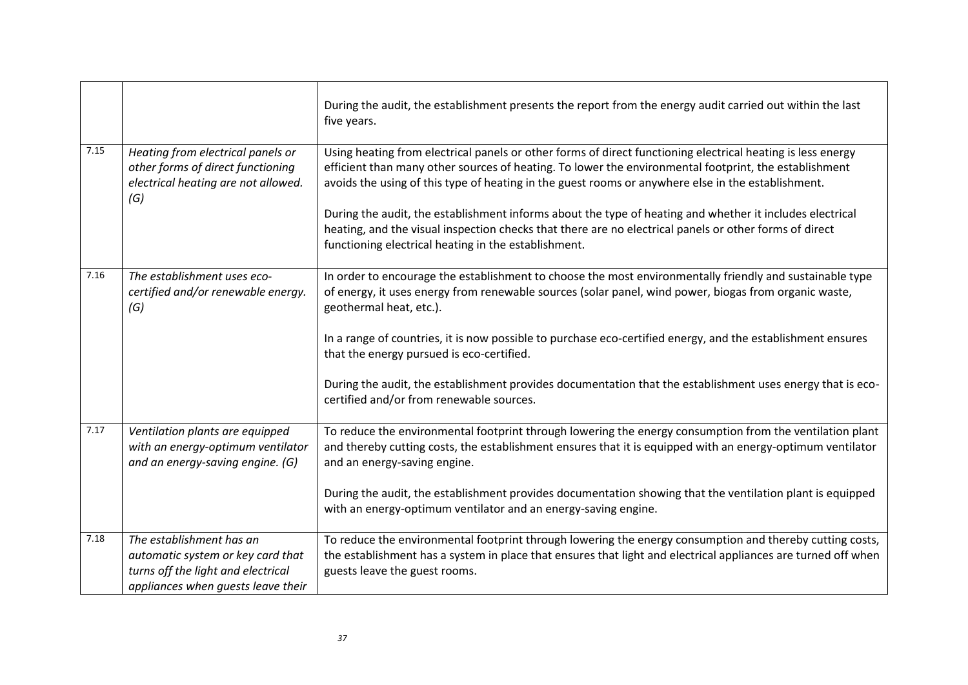|      |                                                                                                                                           | During the audit, the establishment presents the report from the energy audit carried out within the last<br>five years.                                                                                                                                                                                                   |
|------|-------------------------------------------------------------------------------------------------------------------------------------------|----------------------------------------------------------------------------------------------------------------------------------------------------------------------------------------------------------------------------------------------------------------------------------------------------------------------------|
| 7.15 | Heating from electrical panels or<br>other forms of direct functioning<br>electrical heating are not allowed.<br>(G)                      | Using heating from electrical panels or other forms of direct functioning electrical heating is less energy<br>efficient than many other sources of heating. To lower the environmental footprint, the establishment<br>avoids the using of this type of heating in the guest rooms or anywhere else in the establishment. |
|      |                                                                                                                                           | During the audit, the establishment informs about the type of heating and whether it includes electrical<br>heating, and the visual inspection checks that there are no electrical panels or other forms of direct<br>functioning electrical heating in the establishment.                                                 |
| 7.16 | The establishment uses eco-<br>certified and/or renewable energy.<br>(G)                                                                  | In order to encourage the establishment to choose the most environmentally friendly and sustainable type<br>of energy, it uses energy from renewable sources (solar panel, wind power, biogas from organic waste,<br>geothermal heat, etc.).                                                                               |
|      |                                                                                                                                           | In a range of countries, it is now possible to purchase eco-certified energy, and the establishment ensures<br>that the energy pursued is eco-certified.                                                                                                                                                                   |
|      |                                                                                                                                           | During the audit, the establishment provides documentation that the establishment uses energy that is eco-<br>certified and/or from renewable sources.                                                                                                                                                                     |
| 7.17 | Ventilation plants are equipped<br>with an energy-optimum ventilator<br>and an energy-saving engine. (G)                                  | To reduce the environmental footprint through lowering the energy consumption from the ventilation plant<br>and thereby cutting costs, the establishment ensures that it is equipped with an energy-optimum ventilator<br>and an energy-saving engine.                                                                     |
|      |                                                                                                                                           | During the audit, the establishment provides documentation showing that the ventilation plant is equipped<br>with an energy-optimum ventilator and an energy-saving engine.                                                                                                                                                |
| 7.18 | The establishment has an<br>automatic system or key card that<br>turns off the light and electrical<br>appliances when guests leave their | To reduce the environmental footprint through lowering the energy consumption and thereby cutting costs,<br>the establishment has a system in place that ensures that light and electrical appliances are turned off when<br>guests leave the guest rooms.                                                                 |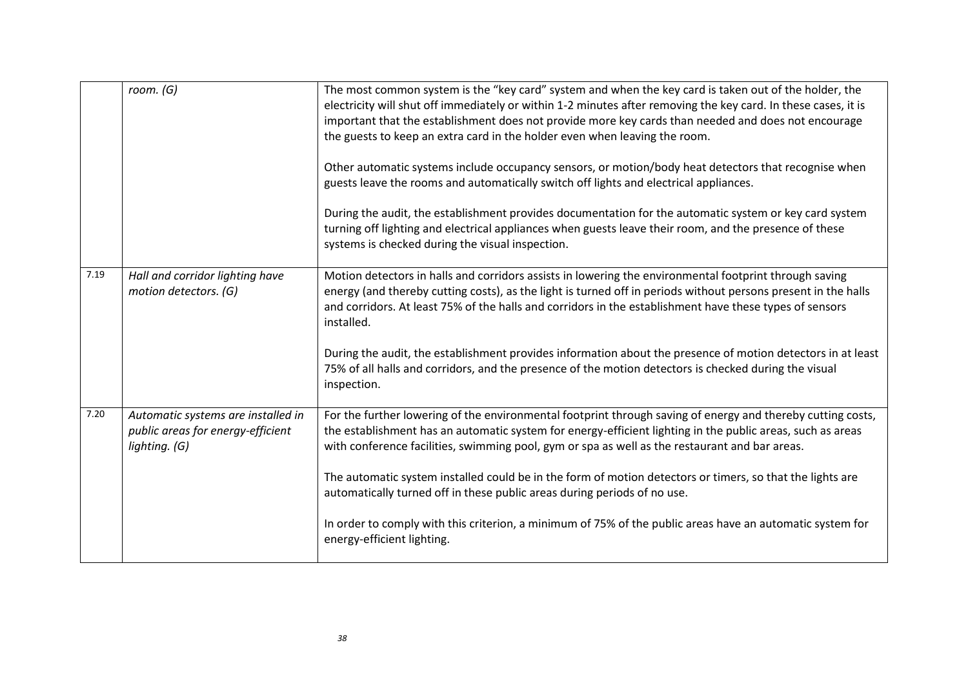|      | room. (G)                                                                                | The most common system is the "key card" system and when the key card is taken out of the holder, the<br>electricity will shut off immediately or within 1-2 minutes after removing the key card. In these cases, it is<br>important that the establishment does not provide more key cards than needed and does not encourage<br>the guests to keep an extra card in the holder even when leaving the room.<br>Other automatic systems include occupancy sensors, or motion/body heat detectors that recognise when<br>guests leave the rooms and automatically switch off lights and electrical appliances.<br>During the audit, the establishment provides documentation for the automatic system or key card system<br>turning off lighting and electrical appliances when guests leave their room, and the presence of these<br>systems is checked during the visual inspection. |
|------|------------------------------------------------------------------------------------------|---------------------------------------------------------------------------------------------------------------------------------------------------------------------------------------------------------------------------------------------------------------------------------------------------------------------------------------------------------------------------------------------------------------------------------------------------------------------------------------------------------------------------------------------------------------------------------------------------------------------------------------------------------------------------------------------------------------------------------------------------------------------------------------------------------------------------------------------------------------------------------------|
| 7.19 | Hall and corridor lighting have<br>motion detectors. (G)                                 | Motion detectors in halls and corridors assists in lowering the environmental footprint through saving<br>energy (and thereby cutting costs), as the light is turned off in periods without persons present in the halls<br>and corridors. At least 75% of the halls and corridors in the establishment have these types of sensors<br>installed.<br>During the audit, the establishment provides information about the presence of motion detectors in at least<br>75% of all halls and corridors, and the presence of the motion detectors is checked during the visual<br>inspection.                                                                                                                                                                                                                                                                                              |
| 7.20 | Automatic systems are installed in<br>public areas for energy-efficient<br>lighting. (G) | For the further lowering of the environmental footprint through saving of energy and thereby cutting costs,<br>the establishment has an automatic system for energy-efficient lighting in the public areas, such as areas<br>with conference facilities, swimming pool, gym or spa as well as the restaurant and bar areas.<br>The automatic system installed could be in the form of motion detectors or timers, so that the lights are<br>automatically turned off in these public areas during periods of no use.<br>In order to comply with this criterion, a minimum of 75% of the public areas have an automatic system for<br>energy-efficient lighting.                                                                                                                                                                                                                       |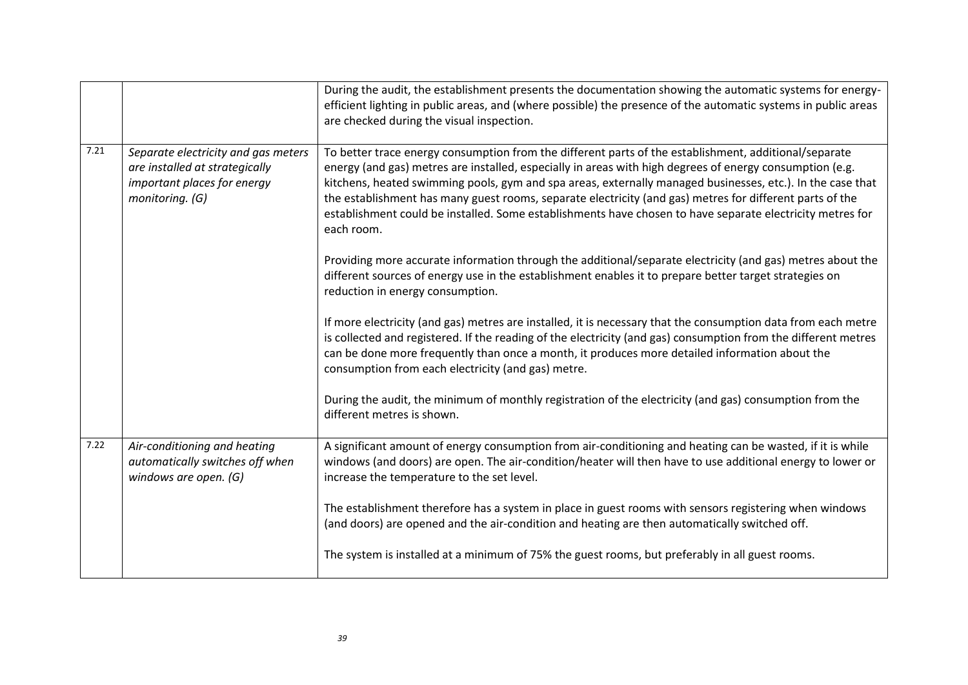|      |                                                                                                                         | During the audit, the establishment presents the documentation showing the automatic systems for energy-<br>efficient lighting in public areas, and (where possible) the presence of the automatic systems in public areas<br>are checked during the visual inspection.                                                                                                                                                                                                                                                                                                |
|------|-------------------------------------------------------------------------------------------------------------------------|------------------------------------------------------------------------------------------------------------------------------------------------------------------------------------------------------------------------------------------------------------------------------------------------------------------------------------------------------------------------------------------------------------------------------------------------------------------------------------------------------------------------------------------------------------------------|
| 7.21 | Separate electricity and gas meters<br>are installed at strategically<br>important places for energy<br>monitoring. (G) | To better trace energy consumption from the different parts of the establishment, additional/separate<br>energy (and gas) metres are installed, especially in areas with high degrees of energy consumption (e.g.<br>kitchens, heated swimming pools, gym and spa areas, externally managed businesses, etc.). In the case that<br>the establishment has many guest rooms, separate electricity (and gas) metres for different parts of the<br>establishment could be installed. Some establishments have chosen to have separate electricity metres for<br>each room. |
|      |                                                                                                                         | Providing more accurate information through the additional/separate electricity (and gas) metres about the<br>different sources of energy use in the establishment enables it to prepare better target strategies on<br>reduction in energy consumption.                                                                                                                                                                                                                                                                                                               |
|      |                                                                                                                         | If more electricity (and gas) metres are installed, it is necessary that the consumption data from each metre<br>is collected and registered. If the reading of the electricity (and gas) consumption from the different metres<br>can be done more frequently than once a month, it produces more detailed information about the<br>consumption from each electricity (and gas) metre.                                                                                                                                                                                |
|      |                                                                                                                         | During the audit, the minimum of monthly registration of the electricity (and gas) consumption from the<br>different metres is shown.                                                                                                                                                                                                                                                                                                                                                                                                                                  |
| 7.22 | Air-conditioning and heating<br>automatically switches off when<br>windows are open. (G)                                | A significant amount of energy consumption from air-conditioning and heating can be wasted, if it is while<br>windows (and doors) are open. The air-condition/heater will then have to use additional energy to lower or<br>increase the temperature to the set level.                                                                                                                                                                                                                                                                                                 |
|      |                                                                                                                         | The establishment therefore has a system in place in guest rooms with sensors registering when windows<br>(and doors) are opened and the air-condition and heating are then automatically switched off.                                                                                                                                                                                                                                                                                                                                                                |
|      |                                                                                                                         | The system is installed at a minimum of 75% the guest rooms, but preferably in all guest rooms.                                                                                                                                                                                                                                                                                                                                                                                                                                                                        |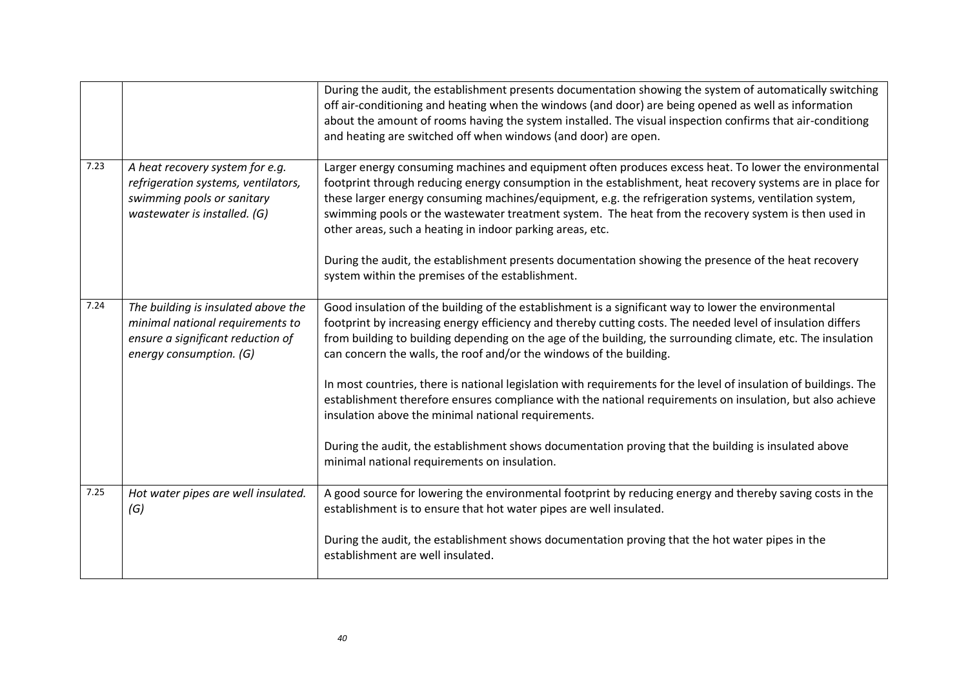|      |                                                                                                                                         | During the audit, the establishment presents documentation showing the system of automatically switching<br>off air-conditioning and heating when the windows (and door) are being opened as well as information<br>about the amount of rooms having the system installed. The visual inspection confirms that air-conditiong<br>and heating are switched off when windows (and door) are open.                                                                                                   |
|------|-----------------------------------------------------------------------------------------------------------------------------------------|---------------------------------------------------------------------------------------------------------------------------------------------------------------------------------------------------------------------------------------------------------------------------------------------------------------------------------------------------------------------------------------------------------------------------------------------------------------------------------------------------|
| 7.23 | A heat recovery system for e.g.<br>refrigeration systems, ventilators,<br>swimming pools or sanitary<br>wastewater is installed. (G)    | Larger energy consuming machines and equipment often produces excess heat. To lower the environmental<br>footprint through reducing energy consumption in the establishment, heat recovery systems are in place for<br>these larger energy consuming machines/equipment, e.g. the refrigeration systems, ventilation system,<br>swimming pools or the wastewater treatment system. The heat from the recovery system is then used in<br>other areas, such a heating in indoor parking areas, etc. |
|      |                                                                                                                                         | During the audit, the establishment presents documentation showing the presence of the heat recovery<br>system within the premises of the establishment.                                                                                                                                                                                                                                                                                                                                          |
| 7.24 | The building is insulated above the<br>minimal national requirements to<br>ensure a significant reduction of<br>energy consumption. (G) | Good insulation of the building of the establishment is a significant way to lower the environmental<br>footprint by increasing energy efficiency and thereby cutting costs. The needed level of insulation differs<br>from building to building depending on the age of the building, the surrounding climate, etc. The insulation<br>can concern the walls, the roof and/or the windows of the building.                                                                                        |
|      |                                                                                                                                         | In most countries, there is national legislation with requirements for the level of insulation of buildings. The<br>establishment therefore ensures compliance with the national requirements on insulation, but also achieve<br>insulation above the minimal national requirements.                                                                                                                                                                                                              |
|      |                                                                                                                                         | During the audit, the establishment shows documentation proving that the building is insulated above<br>minimal national requirements on insulation.                                                                                                                                                                                                                                                                                                                                              |
| 7.25 | Hot water pipes are well insulated.<br>(G)                                                                                              | A good source for lowering the environmental footprint by reducing energy and thereby saving costs in the<br>establishment is to ensure that hot water pipes are well insulated.                                                                                                                                                                                                                                                                                                                  |
|      |                                                                                                                                         | During the audit, the establishment shows documentation proving that the hot water pipes in the<br>establishment are well insulated.                                                                                                                                                                                                                                                                                                                                                              |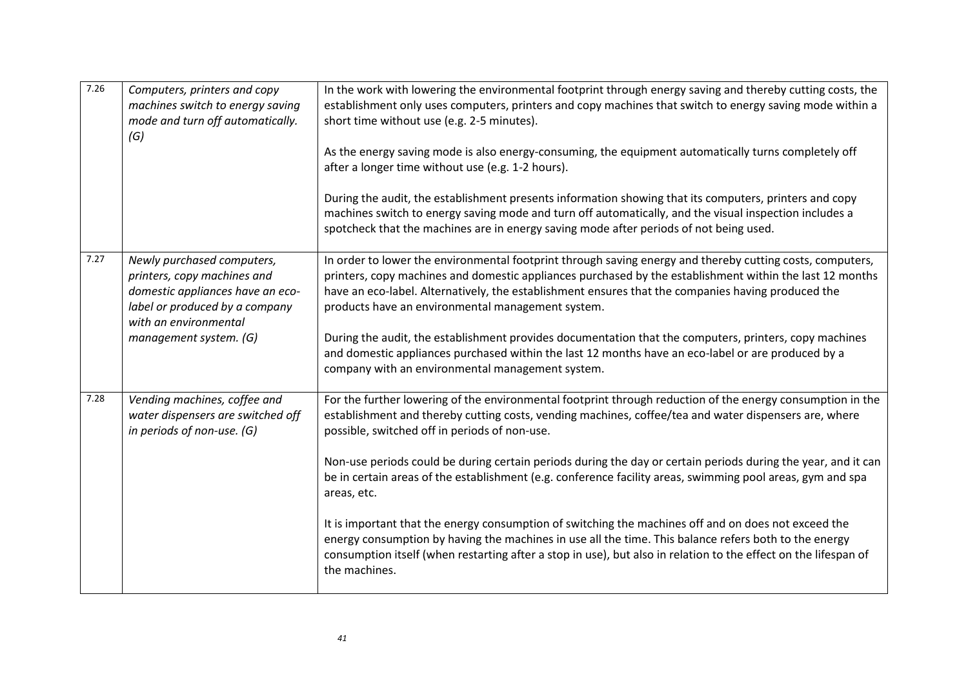| 7.26 | Computers, printers and copy<br>machines switch to energy saving<br>mode and turn off automatically.<br>(G)                                                                        | In the work with lowering the environmental footprint through energy saving and thereby cutting costs, the<br>establishment only uses computers, printers and copy machines that switch to energy saving mode within a<br>short time without use (e.g. 2-5 minutes).<br>As the energy saving mode is also energy-consuming, the equipment automatically turns completely off<br>after a longer time without use (e.g. 1-2 hours).<br>During the audit, the establishment presents information showing that its computers, printers and copy<br>machines switch to energy saving mode and turn off automatically, and the visual inspection includes a<br>spotcheck that the machines are in energy saving mode after periods of not being used.                                                                                                                         |
|------|------------------------------------------------------------------------------------------------------------------------------------------------------------------------------------|-------------------------------------------------------------------------------------------------------------------------------------------------------------------------------------------------------------------------------------------------------------------------------------------------------------------------------------------------------------------------------------------------------------------------------------------------------------------------------------------------------------------------------------------------------------------------------------------------------------------------------------------------------------------------------------------------------------------------------------------------------------------------------------------------------------------------------------------------------------------------|
| 7.27 | Newly purchased computers,<br>printers, copy machines and<br>domestic appliances have an eco-<br>label or produced by a company<br>with an environmental<br>management system. (G) | In order to lower the environmental footprint through saving energy and thereby cutting costs, computers,<br>printers, copy machines and domestic appliances purchased by the establishment within the last 12 months<br>have an eco-label. Alternatively, the establishment ensures that the companies having produced the<br>products have an environmental management system.<br>During the audit, the establishment provides documentation that the computers, printers, copy machines<br>and domestic appliances purchased within the last 12 months have an eco-label or are produced by a<br>company with an environmental management system.                                                                                                                                                                                                                    |
| 7.28 | Vending machines, coffee and<br>water dispensers are switched off<br>in periods of non-use. (G)                                                                                    | For the further lowering of the environmental footprint through reduction of the energy consumption in the<br>establishment and thereby cutting costs, vending machines, coffee/tea and water dispensers are, where<br>possible, switched off in periods of non-use.<br>Non-use periods could be during certain periods during the day or certain periods during the year, and it can<br>be in certain areas of the establishment (e.g. conference facility areas, swimming pool areas, gym and spa<br>areas, etc.<br>It is important that the energy consumption of switching the machines off and on does not exceed the<br>energy consumption by having the machines in use all the time. This balance refers both to the energy<br>consumption itself (when restarting after a stop in use), but also in relation to the effect on the lifespan of<br>the machines. |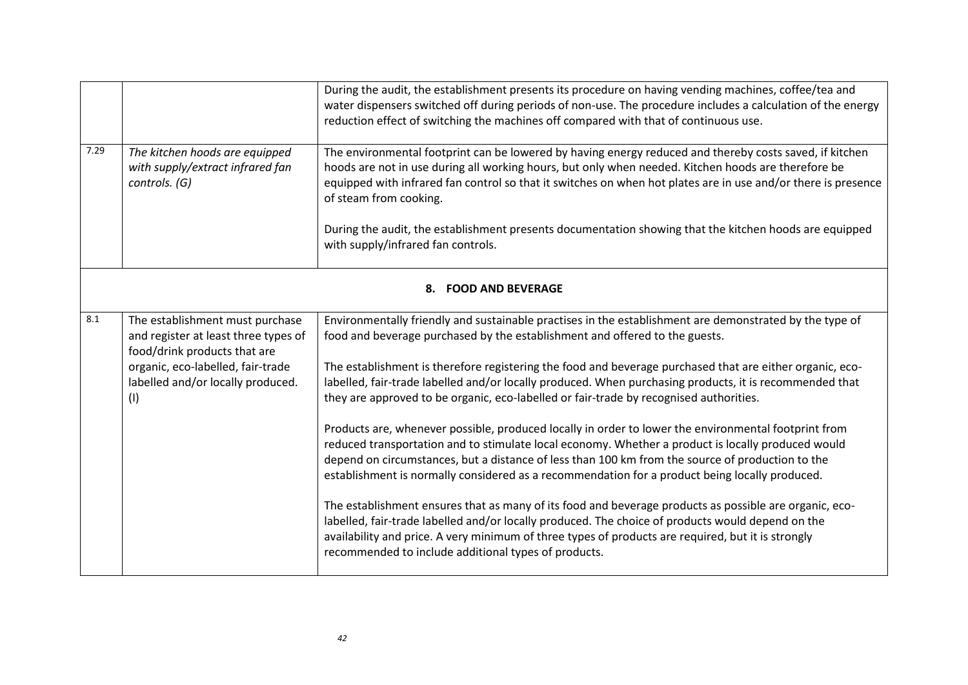|      |                                                                                                         | During the audit, the establishment presents its procedure on having vending machines, coffee/tea and<br>water dispensers switched off during periods of non-use. The procedure includes a calculation of the energy                                                                                                                                                                                             |  |
|------|---------------------------------------------------------------------------------------------------------|------------------------------------------------------------------------------------------------------------------------------------------------------------------------------------------------------------------------------------------------------------------------------------------------------------------------------------------------------------------------------------------------------------------|--|
|      |                                                                                                         | reduction effect of switching the machines off compared with that of continuous use.                                                                                                                                                                                                                                                                                                                             |  |
| 7.29 | The kitchen hoods are equipped<br>with supply/extract infrared fan<br>controls. (G)                     | The environmental footprint can be lowered by having energy reduced and thereby costs saved, if kitchen<br>hoods are not in use during all working hours, but only when needed. Kitchen hoods are therefore be<br>equipped with infrared fan control so that it switches on when hot plates are in use and/or there is presence<br>of steam from cooking.                                                        |  |
|      |                                                                                                         | During the audit, the establishment presents documentation showing that the kitchen hoods are equipped<br>with supply/infrared fan controls.                                                                                                                                                                                                                                                                     |  |
|      | 8. FOOD AND BEVERAGE                                                                                    |                                                                                                                                                                                                                                                                                                                                                                                                                  |  |
| 8.1  | The establishment must purchase<br>and register at least three types of<br>food/drink products that are | Environmentally friendly and sustainable practises in the establishment are demonstrated by the type of<br>food and beverage purchased by the establishment and offered to the guests.                                                                                                                                                                                                                           |  |
|      | organic, eco-labelled, fair-trade<br>labelled and/or locally produced.<br>(1)                           | The establishment is therefore registering the food and beverage purchased that are either organic, eco-<br>labelled, fair-trade labelled and/or locally produced. When purchasing products, it is recommended that<br>they are approved to be organic, eco-labelled or fair-trade by recognised authorities.                                                                                                    |  |
|      |                                                                                                         | Products are, whenever possible, produced locally in order to lower the environmental footprint from<br>reduced transportation and to stimulate local economy. Whether a product is locally produced would<br>depend on circumstances, but a distance of less than 100 km from the source of production to the<br>establishment is normally considered as a recommendation for a product being locally produced. |  |
|      |                                                                                                         | The establishment ensures that as many of its food and beverage products as possible are organic, eco-<br>labelled, fair-trade labelled and/or locally produced. The choice of products would depend on the<br>availability and price. A very minimum of three types of products are required, but it is strongly<br>recommended to include additional types of products.                                        |  |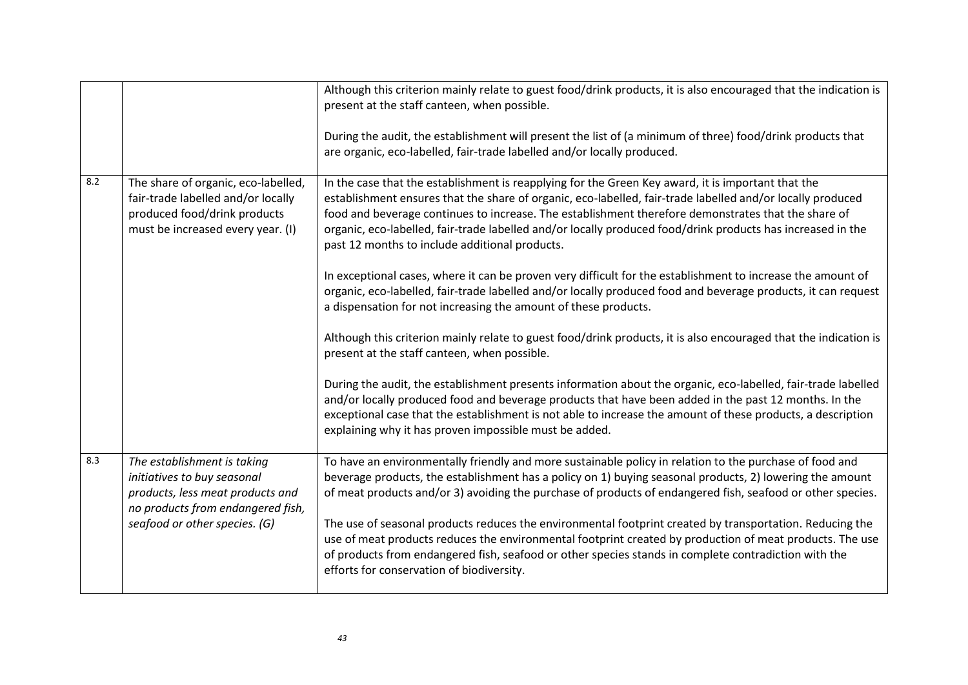|     |                                                                                                                                                | Although this criterion mainly relate to guest food/drink products, it is also encouraged that the indication is<br>present at the staff canteen, when possible.<br>During the audit, the establishment will present the list of (a minimum of three) food/drink products that<br>are organic, eco-labelled, fair-trade labelled and/or locally produced.                                                                                                                                |
|-----|------------------------------------------------------------------------------------------------------------------------------------------------|------------------------------------------------------------------------------------------------------------------------------------------------------------------------------------------------------------------------------------------------------------------------------------------------------------------------------------------------------------------------------------------------------------------------------------------------------------------------------------------|
| 8.2 | The share of organic, eco-labelled,<br>fair-trade labelled and/or locally<br>produced food/drink products<br>must be increased every year. (I) | In the case that the establishment is reapplying for the Green Key award, it is important that the<br>establishment ensures that the share of organic, eco-labelled, fair-trade labelled and/or locally produced<br>food and beverage continues to increase. The establishment therefore demonstrates that the share of<br>organic, eco-labelled, fair-trade labelled and/or locally produced food/drink products has increased in the<br>past 12 months to include additional products. |
|     |                                                                                                                                                | In exceptional cases, where it can be proven very difficult for the establishment to increase the amount of<br>organic, eco-labelled, fair-trade labelled and/or locally produced food and beverage products, it can request<br>a dispensation for not increasing the amount of these products.                                                                                                                                                                                          |
|     |                                                                                                                                                | Although this criterion mainly relate to guest food/drink products, it is also encouraged that the indication is<br>present at the staff canteen, when possible.                                                                                                                                                                                                                                                                                                                         |
|     |                                                                                                                                                | During the audit, the establishment presents information about the organic, eco-labelled, fair-trade labelled<br>and/or locally produced food and beverage products that have been added in the past 12 months. In the<br>exceptional case that the establishment is not able to increase the amount of these products, a description<br>explaining why it has proven impossible must be added.                                                                                          |
| 8.3 | The establishment is taking<br>initiatives to buy seasonal<br>products, less meat products and<br>no products from endangered fish,            | To have an environmentally friendly and more sustainable policy in relation to the purchase of food and<br>beverage products, the establishment has a policy on 1) buying seasonal products, 2) lowering the amount<br>of meat products and/or 3) avoiding the purchase of products of endangered fish, seafood or other species.                                                                                                                                                        |
|     | seafood or other species. (G)                                                                                                                  | The use of seasonal products reduces the environmental footprint created by transportation. Reducing the<br>use of meat products reduces the environmental footprint created by production of meat products. The use<br>of products from endangered fish, seafood or other species stands in complete contradiction with the<br>efforts for conservation of biodiversity.                                                                                                                |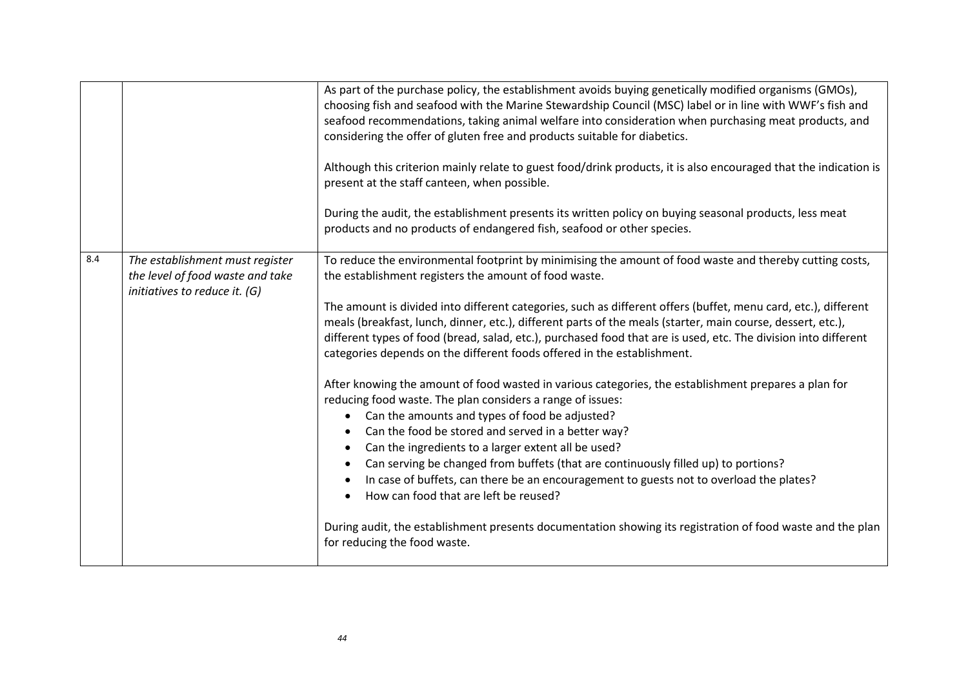|     |                                                                                                      | As part of the purchase policy, the establishment avoids buying genetically modified organisms (GMOs),<br>choosing fish and seafood with the Marine Stewardship Council (MSC) label or in line with WWF's fish and<br>seafood recommendations, taking animal welfare into consideration when purchasing meat products, and<br>considering the offer of gluten free and products suitable for diabetics.<br>Although this criterion mainly relate to guest food/drink products, it is also encouraged that the indication is<br>present at the staff canteen, when possible.<br>During the audit, the establishment presents its written policy on buying seasonal products, less meat<br>products and no products of endangered fish, seafood or other species.                                                                                                                                                                                                                                                                                                                                                                                                                                                                                                                                                           |
|-----|------------------------------------------------------------------------------------------------------|---------------------------------------------------------------------------------------------------------------------------------------------------------------------------------------------------------------------------------------------------------------------------------------------------------------------------------------------------------------------------------------------------------------------------------------------------------------------------------------------------------------------------------------------------------------------------------------------------------------------------------------------------------------------------------------------------------------------------------------------------------------------------------------------------------------------------------------------------------------------------------------------------------------------------------------------------------------------------------------------------------------------------------------------------------------------------------------------------------------------------------------------------------------------------------------------------------------------------------------------------------------------------------------------------------------------------|
| 8.4 | The establishment must register<br>the level of food waste and take<br>initiatives to reduce it. (G) | To reduce the environmental footprint by minimising the amount of food waste and thereby cutting costs,<br>the establishment registers the amount of food waste.<br>The amount is divided into different categories, such as different offers (buffet, menu card, etc.), different<br>meals (breakfast, lunch, dinner, etc.), different parts of the meals (starter, main course, dessert, etc.),<br>different types of food (bread, salad, etc.), purchased food that are is used, etc. The division into different<br>categories depends on the different foods offered in the establishment.<br>After knowing the amount of food wasted in various categories, the establishment prepares a plan for<br>reducing food waste. The plan considers a range of issues:<br>Can the amounts and types of food be adjusted?<br>$\bullet$<br>Can the food be stored and served in a better way?<br>Can the ingredients to a larger extent all be used?<br>Can serving be changed from buffets (that are continuously filled up) to portions?<br>In case of buffets, can there be an encouragement to guests not to overload the plates?<br>How can food that are left be reused?<br>During audit, the establishment presents documentation showing its registration of food waste and the plan<br>for reducing the food waste. |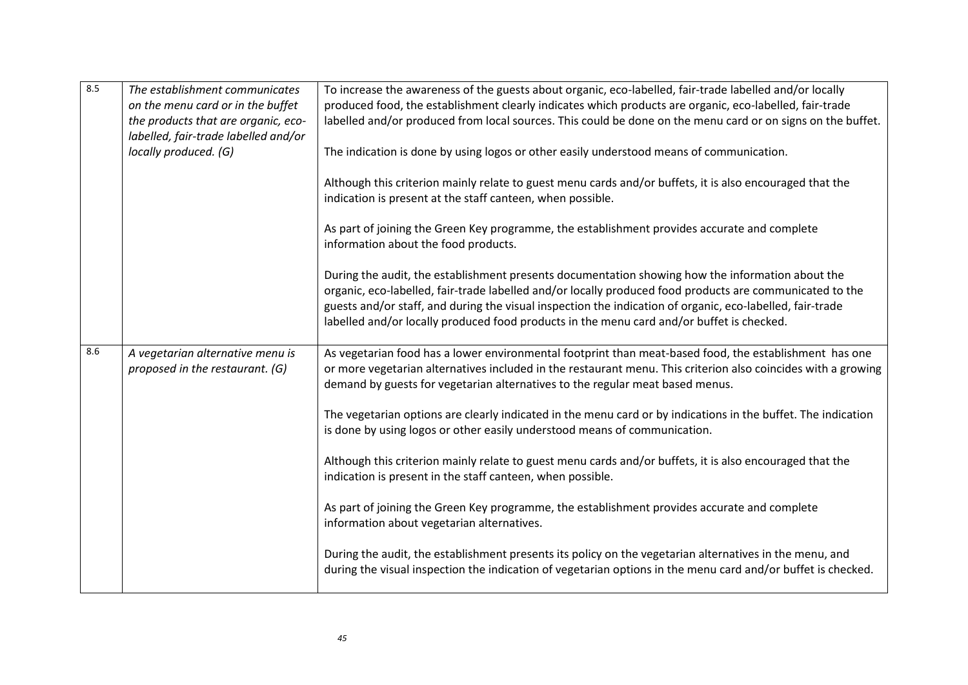| 8.5 | The establishment communicates                                      | To increase the awareness of the guests about organic, eco-labelled, fair-trade labelled and/or locally                                                                                                                                                                                                                                                                                                                |
|-----|---------------------------------------------------------------------|------------------------------------------------------------------------------------------------------------------------------------------------------------------------------------------------------------------------------------------------------------------------------------------------------------------------------------------------------------------------------------------------------------------------|
|     | on the menu card or in the buffet                                   | produced food, the establishment clearly indicates which products are organic, eco-labelled, fair-trade                                                                                                                                                                                                                                                                                                                |
|     | the products that are organic, eco-                                 | labelled and/or produced from local sources. This could be done on the menu card or on signs on the buffet.                                                                                                                                                                                                                                                                                                            |
|     | labelled, fair-trade labelled and/or                                |                                                                                                                                                                                                                                                                                                                                                                                                                        |
|     | locally produced. (G)                                               | The indication is done by using logos or other easily understood means of communication.                                                                                                                                                                                                                                                                                                                               |
|     |                                                                     | Although this criterion mainly relate to guest menu cards and/or buffets, it is also encouraged that the<br>indication is present at the staff canteen, when possible.                                                                                                                                                                                                                                                 |
|     |                                                                     | As part of joining the Green Key programme, the establishment provides accurate and complete<br>information about the food products.                                                                                                                                                                                                                                                                                   |
|     |                                                                     | During the audit, the establishment presents documentation showing how the information about the<br>organic, eco-labelled, fair-trade labelled and/or locally produced food products are communicated to the<br>guests and/or staff, and during the visual inspection the indication of organic, eco-labelled, fair-trade<br>labelled and/or locally produced food products in the menu card and/or buffet is checked. |
| 8.6 | A vegetarian alternative menu is<br>proposed in the restaurant. (G) | As vegetarian food has a lower environmental footprint than meat-based food, the establishment has one<br>or more vegetarian alternatives included in the restaurant menu. This criterion also coincides with a growing<br>demand by guests for vegetarian alternatives to the regular meat based menus.                                                                                                               |
|     |                                                                     | The vegetarian options are clearly indicated in the menu card or by indications in the buffet. The indication<br>is done by using logos or other easily understood means of communication.                                                                                                                                                                                                                             |
|     |                                                                     | Although this criterion mainly relate to guest menu cards and/or buffets, it is also encouraged that the<br>indication is present in the staff canteen, when possible.                                                                                                                                                                                                                                                 |
|     |                                                                     | As part of joining the Green Key programme, the establishment provides accurate and complete<br>information about vegetarian alternatives.                                                                                                                                                                                                                                                                             |
|     |                                                                     | During the audit, the establishment presents its policy on the vegetarian alternatives in the menu, and<br>during the visual inspection the indication of vegetarian options in the menu card and/or buffet is checked.                                                                                                                                                                                                |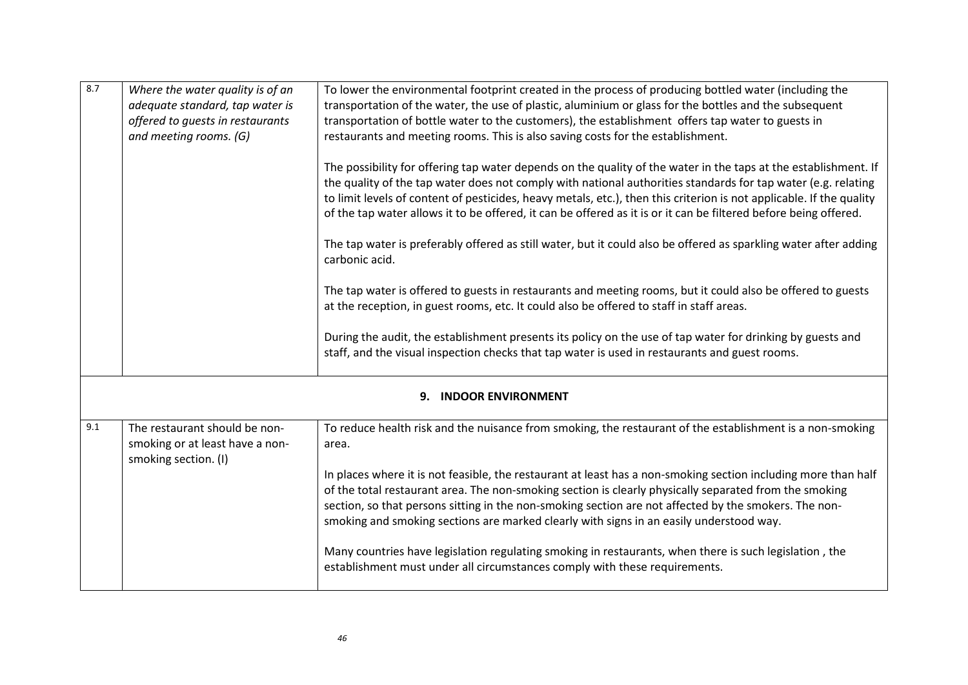| 8.7                       | Where the water quality is of an<br>adequate standard, tap water is<br>offered to guests in restaurants<br>and meeting rooms. (G) | To lower the environmental footprint created in the process of producing bottled water (including the<br>transportation of the water, the use of plastic, aluminium or glass for the bottles and the subsequent<br>transportation of bottle water to the customers), the establishment offers tap water to guests in<br>restaurants and meeting rooms. This is also saving costs for the establishment.<br>The possibility for offering tap water depends on the quality of the water in the taps at the establishment. If<br>the quality of the tap water does not comply with national authorities standards for tap water (e.g. relating<br>to limit levels of content of pesticides, heavy metals, etc.), then this criterion is not applicable. If the quality<br>of the tap water allows it to be offered, it can be offered as it is or it can be filtered before being offered.<br>The tap water is preferably offered as still water, but it could also be offered as sparkling water after adding<br>carbonic acid.<br>The tap water is offered to guests in restaurants and meeting rooms, but it could also be offered to guests<br>at the reception, in guest rooms, etc. It could also be offered to staff in staff areas.<br>During the audit, the establishment presents its policy on the use of tap water for drinking by guests and<br>staff, and the visual inspection checks that tap water is used in restaurants and guest rooms. |
|---------------------------|-----------------------------------------------------------------------------------------------------------------------------------|----------------------------------------------------------------------------------------------------------------------------------------------------------------------------------------------------------------------------------------------------------------------------------------------------------------------------------------------------------------------------------------------------------------------------------------------------------------------------------------------------------------------------------------------------------------------------------------------------------------------------------------------------------------------------------------------------------------------------------------------------------------------------------------------------------------------------------------------------------------------------------------------------------------------------------------------------------------------------------------------------------------------------------------------------------------------------------------------------------------------------------------------------------------------------------------------------------------------------------------------------------------------------------------------------------------------------------------------------------------------------------------------------------------------------------------------------------|
| <b>INDOOR ENVIRONMENT</b> |                                                                                                                                   |                                                                                                                                                                                                                                                                                                                                                                                                                                                                                                                                                                                                                                                                                                                                                                                                                                                                                                                                                                                                                                                                                                                                                                                                                                                                                                                                                                                                                                                          |
| 9.1                       | The restaurant should be non-<br>smoking or at least have a non-<br>smoking section. (I)                                          | To reduce health risk and the nuisance from smoking, the restaurant of the establishment is a non-smoking<br>area.                                                                                                                                                                                                                                                                                                                                                                                                                                                                                                                                                                                                                                                                                                                                                                                                                                                                                                                                                                                                                                                                                                                                                                                                                                                                                                                                       |

| In places where it is not feasible, the restaurant at least has a non-smoking section including more than half |
|----------------------------------------------------------------------------------------------------------------|
| of the total restaurant area. The non-smoking section is clearly physically separated from the smoking         |
| section, so that persons sitting in the non-smoking section are not affected by the smokers. The non-          |
| smoking and smoking sections are marked clearly with signs in an easily understood way.                        |
|                                                                                                                |
| Many countries have legislation regulating smoking in restaurants, when there is such legislation, the         |

establishment must under all circumstances comply with these requirements.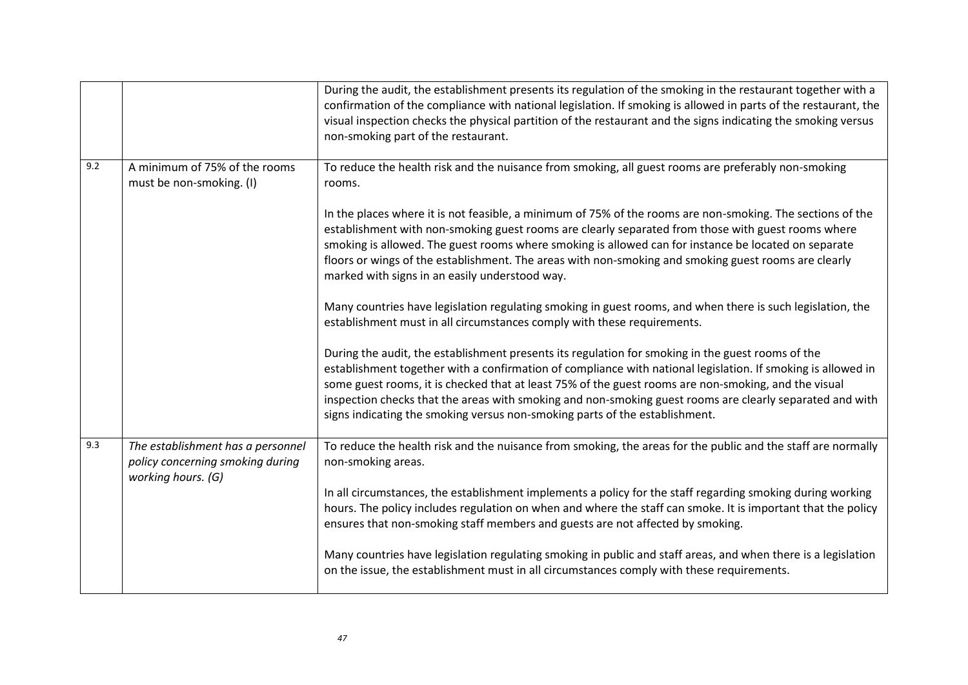|     |                                                                                             | During the audit, the establishment presents its regulation of the smoking in the restaurant together with a<br>confirmation of the compliance with national legislation. If smoking is allowed in parts of the restaurant, the<br>visual inspection checks the physical partition of the restaurant and the signs indicating the smoking versus<br>non-smoking part of the restaurant.                                                                                                                              |
|-----|---------------------------------------------------------------------------------------------|----------------------------------------------------------------------------------------------------------------------------------------------------------------------------------------------------------------------------------------------------------------------------------------------------------------------------------------------------------------------------------------------------------------------------------------------------------------------------------------------------------------------|
| 9.2 | A minimum of 75% of the rooms<br>must be non-smoking. (I)                                   | To reduce the health risk and the nuisance from smoking, all guest rooms are preferably non-smoking<br>rooms.                                                                                                                                                                                                                                                                                                                                                                                                        |
|     |                                                                                             | In the places where it is not feasible, a minimum of 75% of the rooms are non-smoking. The sections of the<br>establishment with non-smoking guest rooms are clearly separated from those with guest rooms where<br>smoking is allowed. The guest rooms where smoking is allowed can for instance be located on separate<br>floors or wings of the establishment. The areas with non-smoking and smoking guest rooms are clearly<br>marked with signs in an easily understood way.                                   |
|     |                                                                                             | Many countries have legislation regulating smoking in guest rooms, and when there is such legislation, the<br>establishment must in all circumstances comply with these requirements.                                                                                                                                                                                                                                                                                                                                |
|     |                                                                                             | During the audit, the establishment presents its regulation for smoking in the guest rooms of the<br>establishment together with a confirmation of compliance with national legislation. If smoking is allowed in<br>some guest rooms, it is checked that at least 75% of the guest rooms are non-smoking, and the visual<br>inspection checks that the areas with smoking and non-smoking guest rooms are clearly separated and with<br>signs indicating the smoking versus non-smoking parts of the establishment. |
| 9.3 | The establishment has a personnel<br>policy concerning smoking during<br>working hours. (G) | To reduce the health risk and the nuisance from smoking, the areas for the public and the staff are normally<br>non-smoking areas.                                                                                                                                                                                                                                                                                                                                                                                   |
|     |                                                                                             | In all circumstances, the establishment implements a policy for the staff regarding smoking during working<br>hours. The policy includes regulation on when and where the staff can smoke. It is important that the policy<br>ensures that non-smoking staff members and guests are not affected by smoking.                                                                                                                                                                                                         |
|     |                                                                                             | Many countries have legislation regulating smoking in public and staff areas, and when there is a legislation<br>on the issue, the establishment must in all circumstances comply with these requirements.                                                                                                                                                                                                                                                                                                           |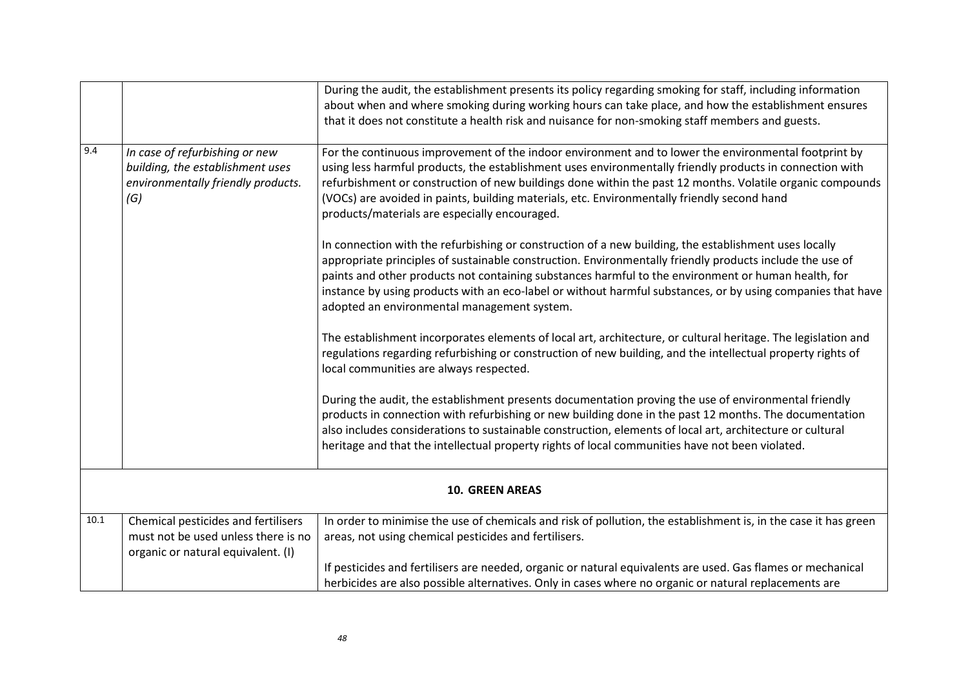|          |                                                                                                                  | During the audit, the establishment presents its policy regarding smoking for staff, including information<br>about when and where smoking during working hours can take place, and how the establishment ensures<br>that it does not constitute a health risk and nuisance for non-smoking staff members and guests.                                                                                                                                                                  |  |
|----------|------------------------------------------------------------------------------------------------------------------|----------------------------------------------------------------------------------------------------------------------------------------------------------------------------------------------------------------------------------------------------------------------------------------------------------------------------------------------------------------------------------------------------------------------------------------------------------------------------------------|--|
| 9.4      | In case of refurbishing or new<br>building, the establishment uses<br>environmentally friendly products.<br>(G)  | For the continuous improvement of the indoor environment and to lower the environmental footprint by<br>using less harmful products, the establishment uses environmentally friendly products in connection with<br>refurbishment or construction of new buildings done within the past 12 months. Volatile organic compounds<br>(VOCs) are avoided in paints, building materials, etc. Environmentally friendly second hand<br>products/materials are especially encouraged.          |  |
|          |                                                                                                                  | In connection with the refurbishing or construction of a new building, the establishment uses locally<br>appropriate principles of sustainable construction. Environmentally friendly products include the use of<br>paints and other products not containing substances harmful to the environment or human health, for<br>instance by using products with an eco-label or without harmful substances, or by using companies that have<br>adopted an environmental management system. |  |
|          |                                                                                                                  | The establishment incorporates elements of local art, architecture, or cultural heritage. The legislation and<br>regulations regarding refurbishing or construction of new building, and the intellectual property rights of<br>local communities are always respected.                                                                                                                                                                                                                |  |
|          |                                                                                                                  | During the audit, the establishment presents documentation proving the use of environmental friendly<br>products in connection with refurbishing or new building done in the past 12 months. The documentation<br>also includes considerations to sustainable construction, elements of local art, architecture or cultural<br>heritage and that the intellectual property rights of local communities have not been violated.                                                         |  |
|          | <b>10. GREEN AREAS</b>                                                                                           |                                                                                                                                                                                                                                                                                                                                                                                                                                                                                        |  |
| $10.1\,$ | Chemical pesticides and fertilisers<br>must not be used unless there is no<br>organic or natural equivalent. (I) | In order to minimise the use of chemicals and risk of pollution, the establishment is, in the case it has green<br>areas, not using chemical pesticides and fertilisers.                                                                                                                                                                                                                                                                                                               |  |
|          |                                                                                                                  | If pesticides and fertilisers are needed, organic or natural equivalents are used. Gas flames or mechanical<br>herbicides are also possible alternatives. Only in cases where no organic or natural replacements are                                                                                                                                                                                                                                                                   |  |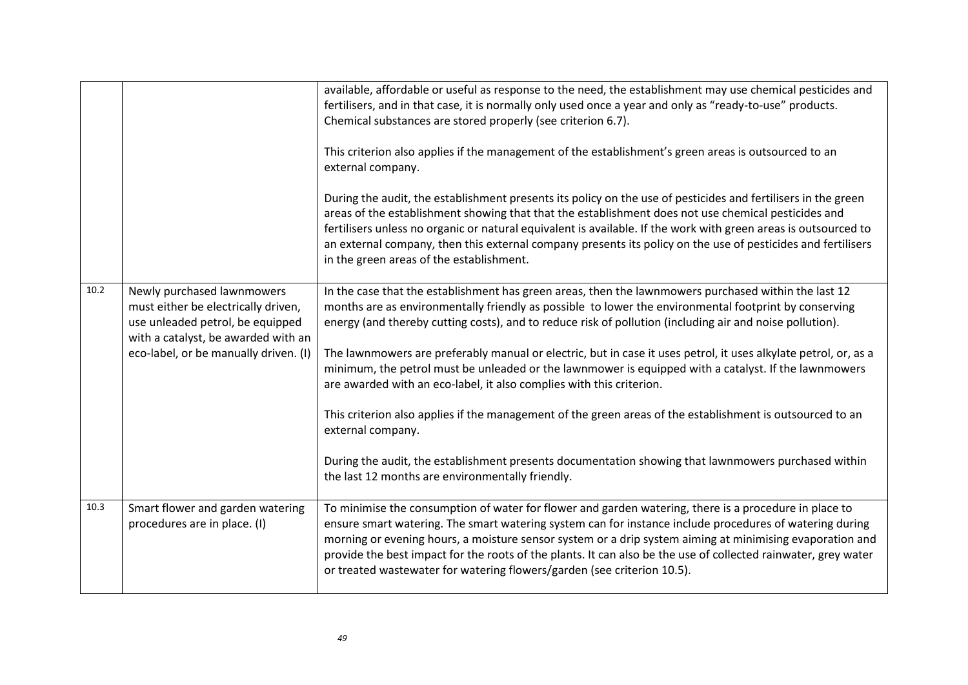|      |                                                                                                                                                                                       | available, affordable or useful as response to the need, the establishment may use chemical pesticides and<br>fertilisers, and in that case, it is normally only used once a year and only as "ready-to-use" products.<br>Chemical substances are stored properly (see criterion 6.7).<br>This criterion also applies if the management of the establishment's green areas is outsourced to an<br>external company.<br>During the audit, the establishment presents its policy on the use of pesticides and fertilisers in the green<br>areas of the establishment showing that that the establishment does not use chemical pesticides and<br>fertilisers unless no organic or natural equivalent is available. If the work with green areas is outsourced to<br>an external company, then this external company presents its policy on the use of pesticides and fertilisers<br>in the green areas of the establishment. |
|------|---------------------------------------------------------------------------------------------------------------------------------------------------------------------------------------|----------------------------------------------------------------------------------------------------------------------------------------------------------------------------------------------------------------------------------------------------------------------------------------------------------------------------------------------------------------------------------------------------------------------------------------------------------------------------------------------------------------------------------------------------------------------------------------------------------------------------------------------------------------------------------------------------------------------------------------------------------------------------------------------------------------------------------------------------------------------------------------------------------------------------|
| 10.2 | Newly purchased lawnmowers<br>must either be electrically driven,<br>use unleaded petrol, be equipped<br>with a catalyst, be awarded with an<br>eco-label, or be manually driven. (I) | In the case that the establishment has green areas, then the lawnmowers purchased within the last 12<br>months are as environmentally friendly as possible to lower the environmental footprint by conserving<br>energy (and thereby cutting costs), and to reduce risk of pollution (including air and noise pollution).<br>The lawnmowers are preferably manual or electric, but in case it uses petrol, it uses alkylate petrol, or, as a<br>minimum, the petrol must be unleaded or the lawnmower is equipped with a catalyst. If the lawnmowers<br>are awarded with an eco-label, it also complies with this criterion.<br>This criterion also applies if the management of the green areas of the establishment is outsourced to an<br>external company.<br>During the audit, the establishment presents documentation showing that lawnmowers purchased within<br>the last 12 months are environmentally friendly.  |
| 10.3 | Smart flower and garden watering<br>procedures are in place. (I)                                                                                                                      | To minimise the consumption of water for flower and garden watering, there is a procedure in place to<br>ensure smart watering. The smart watering system can for instance include procedures of watering during<br>morning or evening hours, a moisture sensor system or a drip system aiming at minimising evaporation and<br>provide the best impact for the roots of the plants. It can also be the use of collected rainwater, grey water<br>or treated wastewater for watering flowers/garden (see criterion 10.5).                                                                                                                                                                                                                                                                                                                                                                                                  |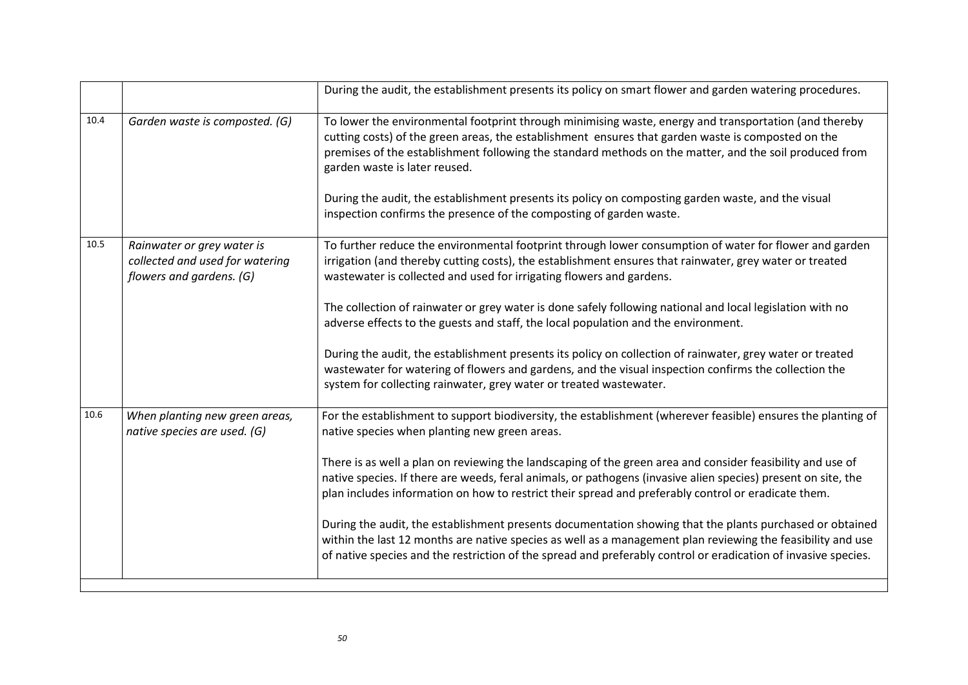|      |                                                                                           | During the audit, the establishment presents its policy on smart flower and garden watering procedures.                                                                                                                                                                                                                                                                                                                                                                                                                                                                                                                                                                                                                                                                                                                                          |
|------|-------------------------------------------------------------------------------------------|--------------------------------------------------------------------------------------------------------------------------------------------------------------------------------------------------------------------------------------------------------------------------------------------------------------------------------------------------------------------------------------------------------------------------------------------------------------------------------------------------------------------------------------------------------------------------------------------------------------------------------------------------------------------------------------------------------------------------------------------------------------------------------------------------------------------------------------------------|
| 10.4 | Garden waste is composted. (G)                                                            | To lower the environmental footprint through minimising waste, energy and transportation (and thereby<br>cutting costs) of the green areas, the establishment ensures that garden waste is composted on the<br>premises of the establishment following the standard methods on the matter, and the soil produced from<br>garden waste is later reused.<br>During the audit, the establishment presents its policy on composting garden waste, and the visual<br>inspection confirms the presence of the composting of garden waste.                                                                                                                                                                                                                                                                                                              |
| 10.5 | Rainwater or grey water is<br>collected and used for watering<br>flowers and gardens. (G) | To further reduce the environmental footprint through lower consumption of water for flower and garden<br>irrigation (and thereby cutting costs), the establishment ensures that rainwater, grey water or treated<br>wastewater is collected and used for irrigating flowers and gardens.<br>The collection of rainwater or grey water is done safely following national and local legislation with no<br>adverse effects to the guests and staff, the local population and the environment.<br>During the audit, the establishment presents its policy on collection of rainwater, grey water or treated<br>wastewater for watering of flowers and gardens, and the visual inspection confirms the collection the<br>system for collecting rainwater, grey water or treated wastewater.                                                         |
| 10.6 | When planting new green areas,<br>native species are used. (G)                            | For the establishment to support biodiversity, the establishment (wherever feasible) ensures the planting of<br>native species when planting new green areas.<br>There is as well a plan on reviewing the landscaping of the green area and consider feasibility and use of<br>native species. If there are weeds, feral animals, or pathogens (invasive alien species) present on site, the<br>plan includes information on how to restrict their spread and preferably control or eradicate them.<br>During the audit, the establishment presents documentation showing that the plants purchased or obtained<br>within the last 12 months are native species as well as a management plan reviewing the feasibility and use<br>of native species and the restriction of the spread and preferably control or eradication of invasive species. |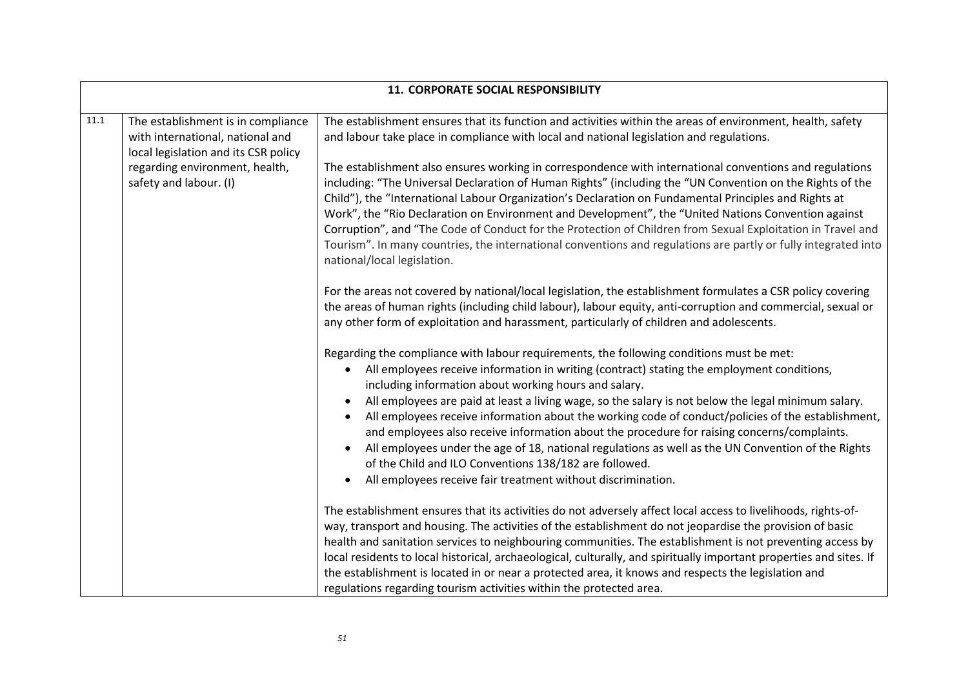| 11. CORPORATE SOCIAL RESPONSIBILITY |                                                                                                                |                                                                                                                                                                                                                                                                                                                                                                                                                                                                                                                                                                                                                                                                                                                                                                                                                                    |
|-------------------------------------|----------------------------------------------------------------------------------------------------------------|------------------------------------------------------------------------------------------------------------------------------------------------------------------------------------------------------------------------------------------------------------------------------------------------------------------------------------------------------------------------------------------------------------------------------------------------------------------------------------------------------------------------------------------------------------------------------------------------------------------------------------------------------------------------------------------------------------------------------------------------------------------------------------------------------------------------------------|
| $11.1\,$                            | The establishment is in compliance<br>with international, national and<br>local legislation and its CSR policy | The establishment ensures that its function and activities within the areas of environment, health, safety<br>and labour take place in compliance with local and national legislation and regulations.                                                                                                                                                                                                                                                                                                                                                                                                                                                                                                                                                                                                                             |
|                                     | regarding environment, health,<br>safety and labour. (I)                                                       | The establishment also ensures working in correspondence with international conventions and regulations<br>including: "The Universal Declaration of Human Rights" (including the "UN Convention on the Rights of the<br>Child"), the "International Labour Organization's Declaration on Fundamental Principles and Rights at<br>Work", the "Rio Declaration on Environment and Development", the "United Nations Convention against<br>Corruption", and "The Code of Conduct for the Protection of Children from Sexual Exploitation in Travel and<br>Tourism". In many countries, the international conventions and regulations are partly or fully integrated into<br>national/local legislation.                                                                                                                               |
|                                     |                                                                                                                | For the areas not covered by national/local legislation, the establishment formulates a CSR policy covering<br>the areas of human rights (including child labour), labour equity, anti-corruption and commercial, sexual or<br>any other form of exploitation and harassment, particularly of children and adolescents.                                                                                                                                                                                                                                                                                                                                                                                                                                                                                                            |
|                                     |                                                                                                                | Regarding the compliance with labour requirements, the following conditions must be met:<br>All employees receive information in writing (contract) stating the employment conditions,<br>$\bullet$<br>including information about working hours and salary.<br>All employees are paid at least a living wage, so the salary is not below the legal minimum salary.<br>$\bullet$<br>All employees receive information about the working code of conduct/policies of the establishment,<br>and employees also receive information about the procedure for raising concerns/complaints.<br>All employees under the age of 18, national regulations as well as the UN Convention of the Rights<br>of the Child and ILO Conventions 138/182 are followed.<br>All employees receive fair treatment without discrimination.<br>$\bullet$ |
|                                     |                                                                                                                | The establishment ensures that its activities do not adversely affect local access to livelihoods, rights-of-<br>way, transport and housing. The activities of the establishment do not jeopardise the provision of basic<br>health and sanitation services to neighbouring communities. The establishment is not preventing access by<br>local residents to local historical, archaeological, culturally, and spiritually important properties and sites. If<br>the establishment is located in or near a protected area, it knows and respects the legislation and<br>regulations regarding tourism activities within the protected area.                                                                                                                                                                                        |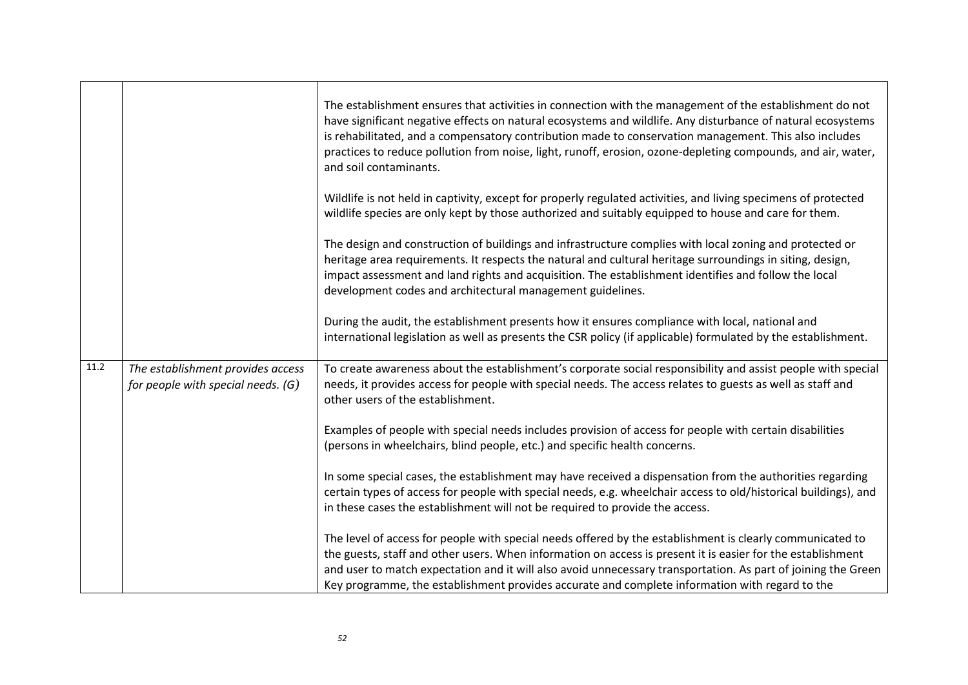|      |                                                                         | The establishment ensures that activities in connection with the management of the establishment do not<br>have significant negative effects on natural ecosystems and wildlife. Any disturbance of natural ecosystems<br>is rehabilitated, and a compensatory contribution made to conservation management. This also includes<br>practices to reduce pollution from noise, light, runoff, erosion, ozone-depleting compounds, and air, water,<br>and soil contaminants. |
|------|-------------------------------------------------------------------------|---------------------------------------------------------------------------------------------------------------------------------------------------------------------------------------------------------------------------------------------------------------------------------------------------------------------------------------------------------------------------------------------------------------------------------------------------------------------------|
|      |                                                                         | Wildlife is not held in captivity, except for properly regulated activities, and living specimens of protected<br>wildlife species are only kept by those authorized and suitably equipped to house and care for them.                                                                                                                                                                                                                                                    |
|      |                                                                         | The design and construction of buildings and infrastructure complies with local zoning and protected or<br>heritage area requirements. It respects the natural and cultural heritage surroundings in siting, design,<br>impact assessment and land rights and acquisition. The establishment identifies and follow the local<br>development codes and architectural management guidelines.                                                                                |
|      |                                                                         | During the audit, the establishment presents how it ensures compliance with local, national and<br>international legislation as well as presents the CSR policy (if applicable) formulated by the establishment.                                                                                                                                                                                                                                                          |
| 11.2 | The establishment provides access<br>for people with special needs. (G) | To create awareness about the establishment's corporate social responsibility and assist people with special<br>needs, it provides access for people with special needs. The access relates to guests as well as staff and<br>other users of the establishment.                                                                                                                                                                                                           |
|      |                                                                         | Examples of people with special needs includes provision of access for people with certain disabilities<br>(persons in wheelchairs, blind people, etc.) and specific health concerns.                                                                                                                                                                                                                                                                                     |
|      |                                                                         | In some special cases, the establishment may have received a dispensation from the authorities regarding<br>certain types of access for people with special needs, e.g. wheelchair access to old/historical buildings), and<br>in these cases the establishment will not be required to provide the access.                                                                                                                                                               |
|      |                                                                         | The level of access for people with special needs offered by the establishment is clearly communicated to<br>the guests, staff and other users. When information on access is present it is easier for the establishment<br>and user to match expectation and it will also avoid unnecessary transportation. As part of joining the Green<br>Key programme, the establishment provides accurate and complete information with regard to the                               |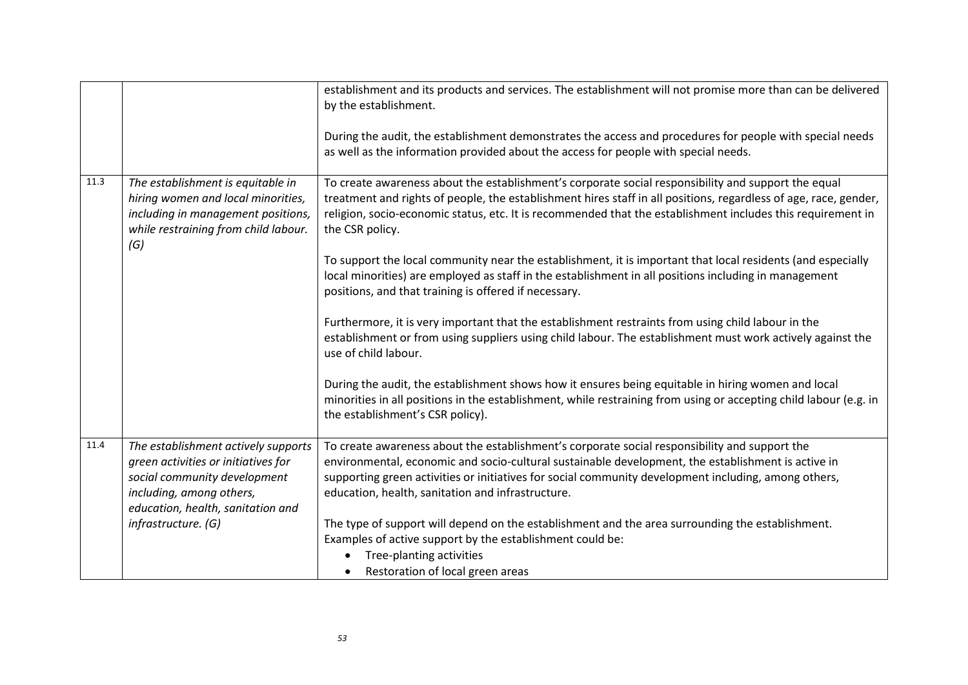| as well as the information provided about the access for people with special needs.                                                                                                                                                                                                                                                                                                                                                                                                                                                                     |  |
|---------------------------------------------------------------------------------------------------------------------------------------------------------------------------------------------------------------------------------------------------------------------------------------------------------------------------------------------------------------------------------------------------------------------------------------------------------------------------------------------------------------------------------------------------------|--|
| 11.3<br>To create awareness about the establishment's corporate social responsibility and support the equal<br>The establishment is equitable in<br>treatment and rights of people, the establishment hires staff in all positions, regardless of age, race, gender,<br>hiring women and local minorities,<br>religion, socio-economic status, etc. It is recommended that the establishment includes this requirement in<br>including in management positions,<br>while restraining from child labour.<br>the CSR policy.<br>(G)                       |  |
| To support the local community near the establishment, it is important that local residents (and especially<br>local minorities) are employed as staff in the establishment in all positions including in management<br>positions, and that training is offered if necessary.                                                                                                                                                                                                                                                                           |  |
| Furthermore, it is very important that the establishment restraints from using child labour in the<br>establishment or from using suppliers using child labour. The establishment must work actively against the<br>use of child labour.                                                                                                                                                                                                                                                                                                                |  |
| During the audit, the establishment shows how it ensures being equitable in hiring women and local<br>minorities in all positions in the establishment, while restraining from using or accepting child labour (e.g. in<br>the establishment's CSR policy).                                                                                                                                                                                                                                                                                             |  |
| 11.4<br>To create awareness about the establishment's corporate social responsibility and support the<br>The establishment actively supports<br>environmental, economic and socio-cultural sustainable development, the establishment is active in<br>green activities or initiatives for<br>supporting green activities or initiatives for social community development including, among others,<br>social community development<br>including, among others,<br>education, health, sanitation and infrastructure.<br>education, health, sanitation and |  |
| The type of support will depend on the establishment and the area surrounding the establishment.<br>infrastructure. (G)<br>Examples of active support by the establishment could be:<br>Tree-planting activities<br>Restoration of local green areas                                                                                                                                                                                                                                                                                                    |  |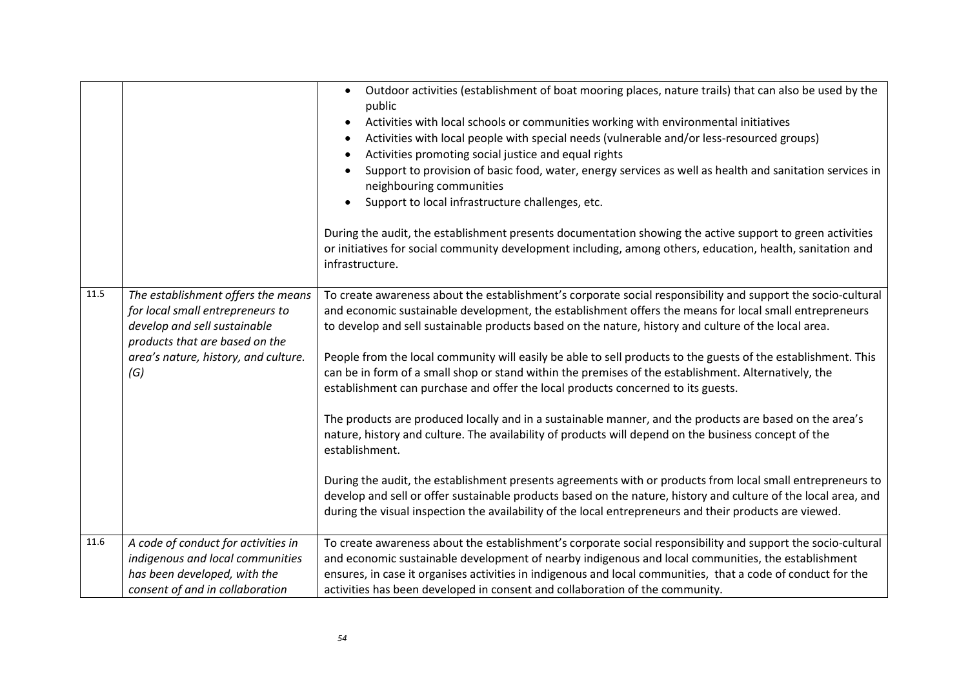|      |                                                                                                                                                                                         | Outdoor activities (establishment of boat mooring places, nature trails) that can also be used by the<br>public<br>Activities with local schools or communities working with environmental initiatives<br>$\bullet$<br>Activities with local people with special needs (vulnerable and/or less-resourced groups)<br>$\bullet$<br>Activities promoting social justice and equal rights<br>$\bullet$<br>Support to provision of basic food, water, energy services as well as health and sanitation services in<br>neighbouring communities<br>Support to local infrastructure challenges, etc.<br>$\bullet$<br>During the audit, the establishment presents documentation showing the active support to green activities<br>or initiatives for social community development including, among others, education, health, sanitation and<br>infrastructure.                                                                                                                                                                                                                                                                                                                                                                    |
|------|-----------------------------------------------------------------------------------------------------------------------------------------------------------------------------------------|-----------------------------------------------------------------------------------------------------------------------------------------------------------------------------------------------------------------------------------------------------------------------------------------------------------------------------------------------------------------------------------------------------------------------------------------------------------------------------------------------------------------------------------------------------------------------------------------------------------------------------------------------------------------------------------------------------------------------------------------------------------------------------------------------------------------------------------------------------------------------------------------------------------------------------------------------------------------------------------------------------------------------------------------------------------------------------------------------------------------------------------------------------------------------------------------------------------------------------|
| 11.5 | The establishment offers the means<br>for local small entrepreneurs to<br>develop and sell sustainable<br>products that are based on the<br>area's nature, history, and culture.<br>(G) | To create awareness about the establishment's corporate social responsibility and support the socio-cultural<br>and economic sustainable development, the establishment offers the means for local small entrepreneurs<br>to develop and sell sustainable products based on the nature, history and culture of the local area.<br>People from the local community will easily be able to sell products to the guests of the establishment. This<br>can be in form of a small shop or stand within the premises of the establishment. Alternatively, the<br>establishment can purchase and offer the local products concerned to its guests.<br>The products are produced locally and in a sustainable manner, and the products are based on the area's<br>nature, history and culture. The availability of products will depend on the business concept of the<br>establishment.<br>During the audit, the establishment presents agreements with or products from local small entrepreneurs to<br>develop and sell or offer sustainable products based on the nature, history and culture of the local area, and<br>during the visual inspection the availability of the local entrepreneurs and their products are viewed. |
| 11.6 | A code of conduct for activities in<br>indigenous and local communities<br>has been developed, with the<br>consent of and in collaboration                                              | To create awareness about the establishment's corporate social responsibility and support the socio-cultural<br>and economic sustainable development of nearby indigenous and local communities, the establishment<br>ensures, in case it organises activities in indigenous and local communities, that a code of conduct for the<br>activities has been developed in consent and collaboration of the community.                                                                                                                                                                                                                                                                                                                                                                                                                                                                                                                                                                                                                                                                                                                                                                                                          |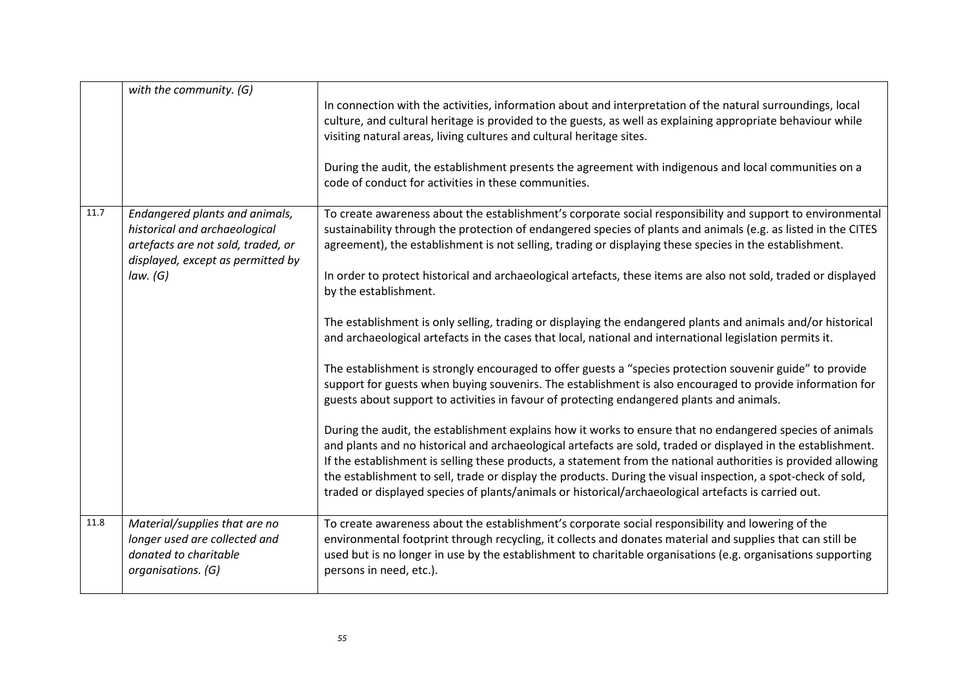|      | with the community. (G)                                                                                                                    | In connection with the activities, information about and interpretation of the natural surroundings, local<br>culture, and cultural heritage is provided to the guests, as well as explaining appropriate behaviour while<br>visiting natural areas, living cultures and cultural heritage sites.<br>During the audit, the establishment presents the agreement with indigenous and local communities on a<br>code of conduct for activities in these communities.                                                                                                    |
|------|--------------------------------------------------------------------------------------------------------------------------------------------|-----------------------------------------------------------------------------------------------------------------------------------------------------------------------------------------------------------------------------------------------------------------------------------------------------------------------------------------------------------------------------------------------------------------------------------------------------------------------------------------------------------------------------------------------------------------------|
|      |                                                                                                                                            |                                                                                                                                                                                                                                                                                                                                                                                                                                                                                                                                                                       |
| 11.7 | Endangered plants and animals,<br>historical and archaeological<br>artefacts are not sold, traded, or<br>displayed, except as permitted by | To create awareness about the establishment's corporate social responsibility and support to environmental<br>sustainability through the protection of endangered species of plants and animals (e.g. as listed in the CITES<br>agreement), the establishment is not selling, trading or displaying these species in the establishment.                                                                                                                                                                                                                               |
|      | law. (G)                                                                                                                                   | In order to protect historical and archaeological artefacts, these items are also not sold, traded or displayed<br>by the establishment.                                                                                                                                                                                                                                                                                                                                                                                                                              |
|      |                                                                                                                                            | The establishment is only selling, trading or displaying the endangered plants and animals and/or historical<br>and archaeological artefacts in the cases that local, national and international legislation permits it.                                                                                                                                                                                                                                                                                                                                              |
|      |                                                                                                                                            | The establishment is strongly encouraged to offer guests a "species protection souvenir guide" to provide<br>support for guests when buying souvenirs. The establishment is also encouraged to provide information for<br>guests about support to activities in favour of protecting endangered plants and animals.                                                                                                                                                                                                                                                   |
|      |                                                                                                                                            | During the audit, the establishment explains how it works to ensure that no endangered species of animals<br>and plants and no historical and archaeological artefacts are sold, traded or displayed in the establishment.<br>If the establishment is selling these products, a statement from the national authorities is provided allowing<br>the establishment to sell, trade or display the products. During the visual inspection, a spot-check of sold,<br>traded or displayed species of plants/animals or historical/archaeological artefacts is carried out. |
| 11.8 | Material/supplies that are no<br>longer used are collected and<br>donated to charitable<br>organisations. (G)                              | To create awareness about the establishment's corporate social responsibility and lowering of the<br>environmental footprint through recycling, it collects and donates material and supplies that can still be<br>used but is no longer in use by the establishment to charitable organisations (e.g. organisations supporting<br>persons in need, etc.).                                                                                                                                                                                                            |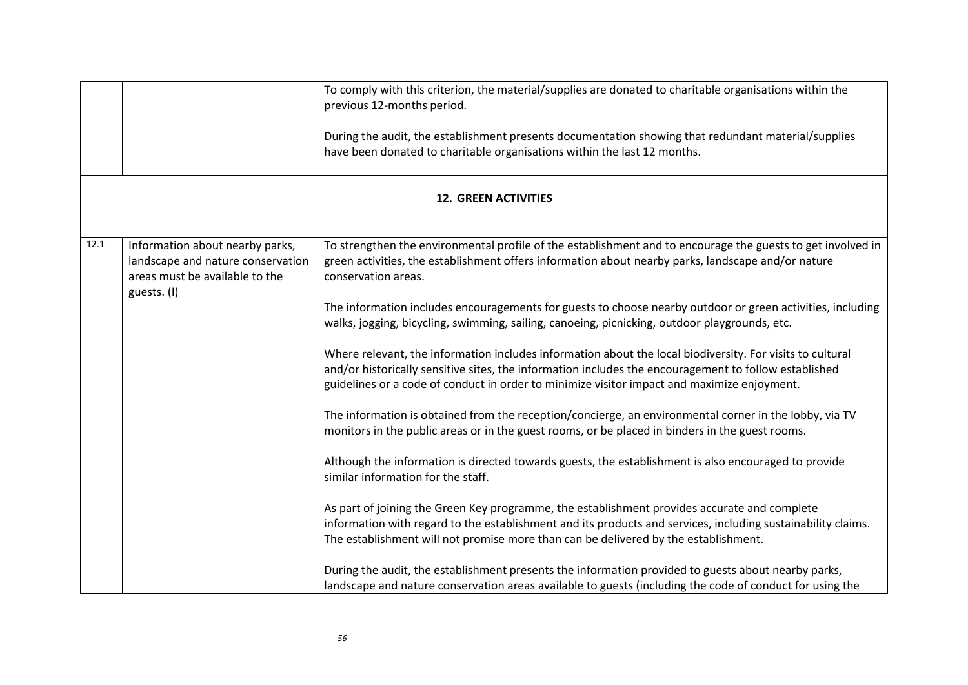|      |                                                                                                        | To comply with this criterion, the material/supplies are donated to charitable organisations within the<br>previous 12-months period.<br>During the audit, the establishment presents documentation showing that redundant material/supplies<br>have been donated to charitable organisations within the last 12 months. |  |  |
|------|--------------------------------------------------------------------------------------------------------|--------------------------------------------------------------------------------------------------------------------------------------------------------------------------------------------------------------------------------------------------------------------------------------------------------------------------|--|--|
|      | <b>12. GREEN ACTIVITIES</b>                                                                            |                                                                                                                                                                                                                                                                                                                          |  |  |
| 12.1 | Information about nearby parks,<br>landscape and nature conservation<br>areas must be available to the | To strengthen the environmental profile of the establishment and to encourage the guests to get involved in<br>green activities, the establishment offers information about nearby parks, landscape and/or nature<br>conservation areas.                                                                                 |  |  |
|      | guests. (I)                                                                                            | The information includes encouragements for guests to choose nearby outdoor or green activities, including<br>walks, jogging, bicycling, swimming, sailing, canoeing, picnicking, outdoor playgrounds, etc.                                                                                                              |  |  |
|      |                                                                                                        | Where relevant, the information includes information about the local biodiversity. For visits to cultural<br>and/or historically sensitive sites, the information includes the encouragement to follow established<br>guidelines or a code of conduct in order to minimize visitor impact and maximize enjoyment.        |  |  |
|      |                                                                                                        | The information is obtained from the reception/concierge, an environmental corner in the lobby, via TV<br>monitors in the public areas or in the guest rooms, or be placed in binders in the guest rooms.                                                                                                                |  |  |
|      |                                                                                                        | Although the information is directed towards guests, the establishment is also encouraged to provide<br>similar information for the staff.                                                                                                                                                                               |  |  |
|      |                                                                                                        | As part of joining the Green Key programme, the establishment provides accurate and complete<br>information with regard to the establishment and its products and services, including sustainability claims.<br>The establishment will not promise more than can be delivered by the establishment.                      |  |  |
|      |                                                                                                        | During the audit, the establishment presents the information provided to guests about nearby parks,<br>landscape and nature conservation areas available to guests (including the code of conduct for using the                                                                                                          |  |  |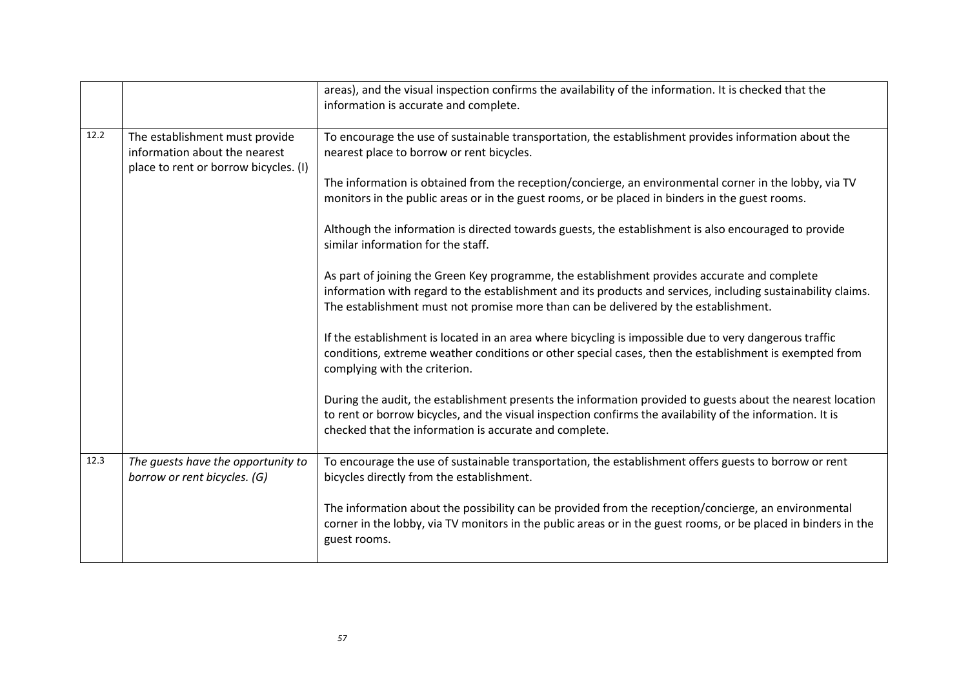|      |                                                                                                          | areas), and the visual inspection confirms the availability of the information. It is checked that the<br>information is accurate and complete.                                                                                                                                                     |
|------|----------------------------------------------------------------------------------------------------------|-----------------------------------------------------------------------------------------------------------------------------------------------------------------------------------------------------------------------------------------------------------------------------------------------------|
| 12.2 | The establishment must provide<br>information about the nearest<br>place to rent or borrow bicycles. (I) | To encourage the use of sustainable transportation, the establishment provides information about the<br>nearest place to borrow or rent bicycles.                                                                                                                                                   |
|      |                                                                                                          | The information is obtained from the reception/concierge, an environmental corner in the lobby, via TV<br>monitors in the public areas or in the guest rooms, or be placed in binders in the guest rooms.                                                                                           |
|      |                                                                                                          | Although the information is directed towards guests, the establishment is also encouraged to provide<br>similar information for the staff.                                                                                                                                                          |
|      |                                                                                                          | As part of joining the Green Key programme, the establishment provides accurate and complete<br>information with regard to the establishment and its products and services, including sustainability claims.<br>The establishment must not promise more than can be delivered by the establishment. |
|      |                                                                                                          | If the establishment is located in an area where bicycling is impossible due to very dangerous traffic<br>conditions, extreme weather conditions or other special cases, then the establishment is exempted from<br>complying with the criterion.                                                   |
|      |                                                                                                          | During the audit, the establishment presents the information provided to guests about the nearest location<br>to rent or borrow bicycles, and the visual inspection confirms the availability of the information. It is<br>checked that the information is accurate and complete.                   |
| 12.3 | The guests have the opportunity to<br>borrow or rent bicycles. (G)                                       | To encourage the use of sustainable transportation, the establishment offers guests to borrow or rent<br>bicycles directly from the establishment.                                                                                                                                                  |
|      |                                                                                                          | The information about the possibility can be provided from the reception/concierge, an environmental<br>corner in the lobby, via TV monitors in the public areas or in the guest rooms, or be placed in binders in the<br>guest rooms.                                                              |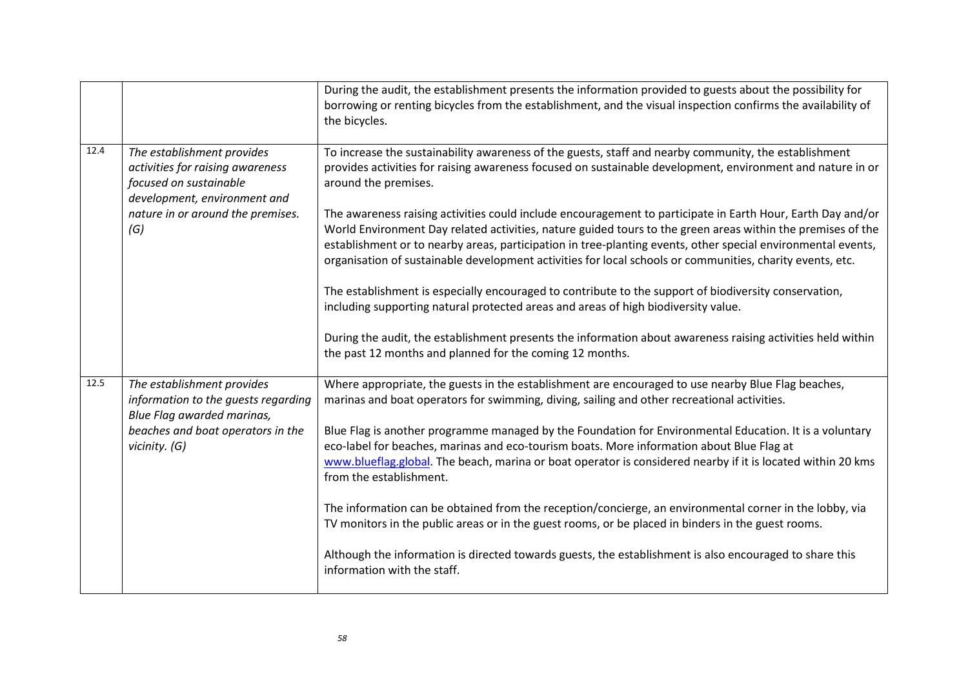|      |                                                                                                                          | During the audit, the establishment presents the information provided to guests about the possibility for<br>borrowing or renting bicycles from the establishment, and the visual inspection confirms the availability of<br>the bicycles.                                                                                                                                                                                                              |
|------|--------------------------------------------------------------------------------------------------------------------------|---------------------------------------------------------------------------------------------------------------------------------------------------------------------------------------------------------------------------------------------------------------------------------------------------------------------------------------------------------------------------------------------------------------------------------------------------------|
| 12.4 | The establishment provides<br>activities for raising awareness<br>focused on sustainable<br>development, environment and | To increase the sustainability awareness of the guests, staff and nearby community, the establishment<br>provides activities for raising awareness focused on sustainable development, environment and nature in or<br>around the premises.                                                                                                                                                                                                             |
|      | nature in or around the premises.<br>(G)                                                                                 | The awareness raising activities could include encouragement to participate in Earth Hour, Earth Day and/or<br>World Environment Day related activities, nature guided tours to the green areas within the premises of the<br>establishment or to nearby areas, participation in tree-planting events, other special environmental events,<br>organisation of sustainable development activities for local schools or communities, charity events, etc. |
|      |                                                                                                                          | The establishment is especially encouraged to contribute to the support of biodiversity conservation,<br>including supporting natural protected areas and areas of high biodiversity value.                                                                                                                                                                                                                                                             |
|      |                                                                                                                          | During the audit, the establishment presents the information about awareness raising activities held within<br>the past 12 months and planned for the coming 12 months.                                                                                                                                                                                                                                                                                 |
| 12.5 | The establishment provides<br>information to the guests regarding<br>Blue Flag awarded marinas,                          | Where appropriate, the guests in the establishment are encouraged to use nearby Blue Flag beaches,<br>marinas and boat operators for swimming, diving, sailing and other recreational activities.                                                                                                                                                                                                                                                       |
|      | beaches and boat operators in the<br>vicinity. (G)                                                                       | Blue Flag is another programme managed by the Foundation for Environmental Education. It is a voluntary<br>eco-label for beaches, marinas and eco-tourism boats. More information about Blue Flag at<br>www.blueflag.global. The beach, marina or boat operator is considered nearby if it is located within 20 kms<br>from the establishment.                                                                                                          |
|      |                                                                                                                          | The information can be obtained from the reception/concierge, an environmental corner in the lobby, via<br>TV monitors in the public areas or in the guest rooms, or be placed in binders in the guest rooms.                                                                                                                                                                                                                                           |
|      |                                                                                                                          | Although the information is directed towards guests, the establishment is also encouraged to share this<br>information with the staff.                                                                                                                                                                                                                                                                                                                  |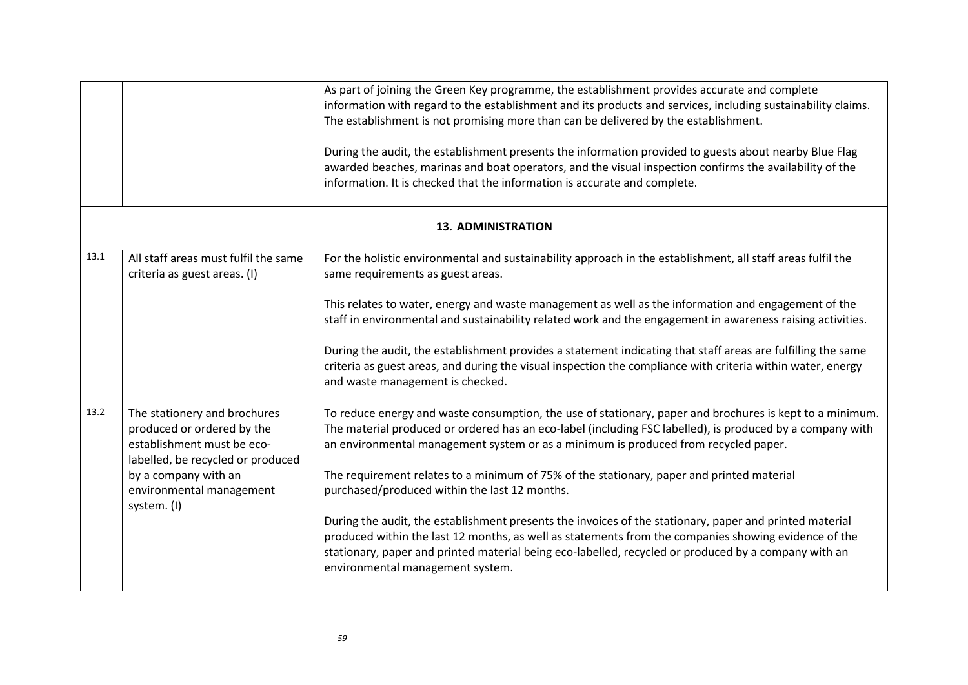|      |                                                                                                                                                                                                  | As part of joining the Green Key programme, the establishment provides accurate and complete<br>information with regard to the establishment and its products and services, including sustainability claims.<br>The establishment is not promising more than can be delivered by the establishment.<br>During the audit, the establishment presents the information provided to guests about nearby Blue Flag<br>awarded beaches, marinas and boat operators, and the visual inspection confirms the availability of the<br>information. It is checked that the information is accurate and complete.                                                                                                                                                                                                                     |
|------|--------------------------------------------------------------------------------------------------------------------------------------------------------------------------------------------------|---------------------------------------------------------------------------------------------------------------------------------------------------------------------------------------------------------------------------------------------------------------------------------------------------------------------------------------------------------------------------------------------------------------------------------------------------------------------------------------------------------------------------------------------------------------------------------------------------------------------------------------------------------------------------------------------------------------------------------------------------------------------------------------------------------------------------|
|      |                                                                                                                                                                                                  | <b>13. ADMINISTRATION</b>                                                                                                                                                                                                                                                                                                                                                                                                                                                                                                                                                                                                                                                                                                                                                                                                 |
| 13.1 | All staff areas must fulfil the same<br>criteria as guest areas. (I)                                                                                                                             | For the holistic environmental and sustainability approach in the establishment, all staff areas fulfil the<br>same requirements as guest areas.<br>This relates to water, energy and waste management as well as the information and engagement of the<br>staff in environmental and sustainability related work and the engagement in awareness raising activities.<br>During the audit, the establishment provides a statement indicating that staff areas are fulfilling the same<br>criteria as guest areas, and during the visual inspection the compliance with criteria within water, energy<br>and waste management is checked.                                                                                                                                                                                  |
| 13.2 | The stationery and brochures<br>produced or ordered by the<br>establishment must be eco-<br>labelled, be recycled or produced<br>by a company with an<br>environmental management<br>system. (I) | To reduce energy and waste consumption, the use of stationary, paper and brochures is kept to a minimum.<br>The material produced or ordered has an eco-label (including FSC labelled), is produced by a company with<br>an environmental management system or as a minimum is produced from recycled paper.<br>The requirement relates to a minimum of 75% of the stationary, paper and printed material<br>purchased/produced within the last 12 months.<br>During the audit, the establishment presents the invoices of the stationary, paper and printed material<br>produced within the last 12 months, as well as statements from the companies showing evidence of the<br>stationary, paper and printed material being eco-labelled, recycled or produced by a company with an<br>environmental management system. |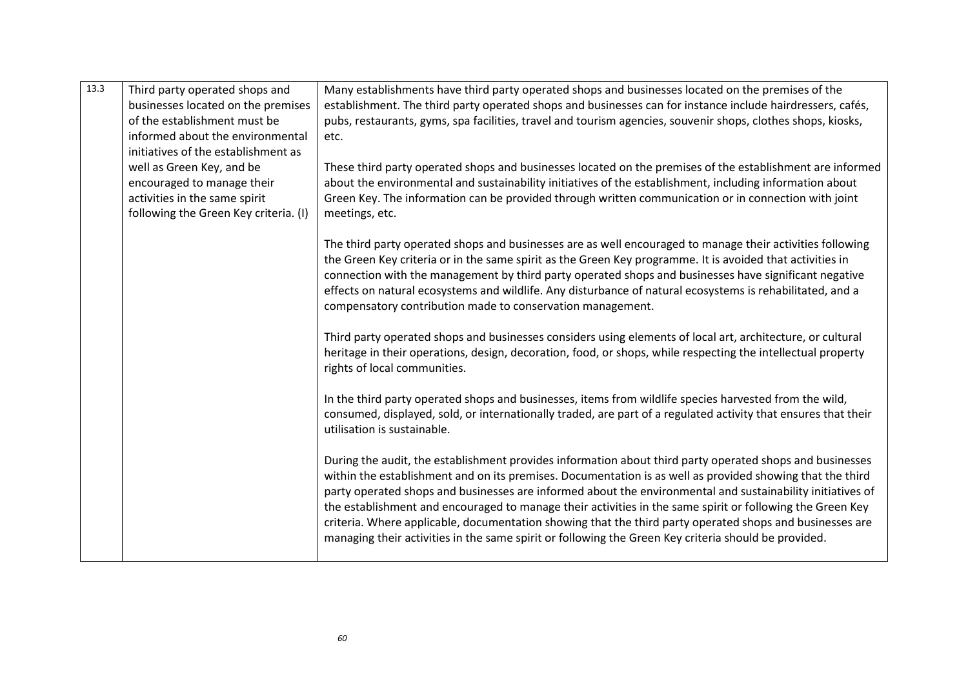| 13.3 | Third party operated shops and<br>businesses located on the premises<br>of the establishment must be<br>informed about the environmental<br>initiatives of the establishment as | Many establishments have third party operated shops and businesses located on the premises of the<br>establishment. The third party operated shops and businesses can for instance include hairdressers, cafés,<br>pubs, restaurants, gyms, spa facilities, travel and tourism agencies, souvenir shops, clothes shops, kiosks,<br>etc.                                                                                                                                                                                                                                                                                                                              |
|------|---------------------------------------------------------------------------------------------------------------------------------------------------------------------------------|----------------------------------------------------------------------------------------------------------------------------------------------------------------------------------------------------------------------------------------------------------------------------------------------------------------------------------------------------------------------------------------------------------------------------------------------------------------------------------------------------------------------------------------------------------------------------------------------------------------------------------------------------------------------|
|      | well as Green Key, and be<br>encouraged to manage their<br>activities in the same spirit<br>following the Green Key criteria. (I)                                               | These third party operated shops and businesses located on the premises of the establishment are informed<br>about the environmental and sustainability initiatives of the establishment, including information about<br>Green Key. The information can be provided through written communication or in connection with joint<br>meetings, etc.                                                                                                                                                                                                                                                                                                                      |
|      |                                                                                                                                                                                 | The third party operated shops and businesses are as well encouraged to manage their activities following<br>the Green Key criteria or in the same spirit as the Green Key programme. It is avoided that activities in<br>connection with the management by third party operated shops and businesses have significant negative<br>effects on natural ecosystems and wildlife. Any disturbance of natural ecosystems is rehabilitated, and a<br>compensatory contribution made to conservation management.                                                                                                                                                           |
|      |                                                                                                                                                                                 | Third party operated shops and businesses considers using elements of local art, architecture, or cultural<br>heritage in their operations, design, decoration, food, or shops, while respecting the intellectual property<br>rights of local communities.                                                                                                                                                                                                                                                                                                                                                                                                           |
|      |                                                                                                                                                                                 | In the third party operated shops and businesses, items from wildlife species harvested from the wild,<br>consumed, displayed, sold, or internationally traded, are part of a regulated activity that ensures that their<br>utilisation is sustainable.                                                                                                                                                                                                                                                                                                                                                                                                              |
|      |                                                                                                                                                                                 | During the audit, the establishment provides information about third party operated shops and businesses<br>within the establishment and on its premises. Documentation is as well as provided showing that the third<br>party operated shops and businesses are informed about the environmental and sustainability initiatives of<br>the establishment and encouraged to manage their activities in the same spirit or following the Green Key<br>criteria. Where applicable, documentation showing that the third party operated shops and businesses are<br>managing their activities in the same spirit or following the Green Key criteria should be provided. |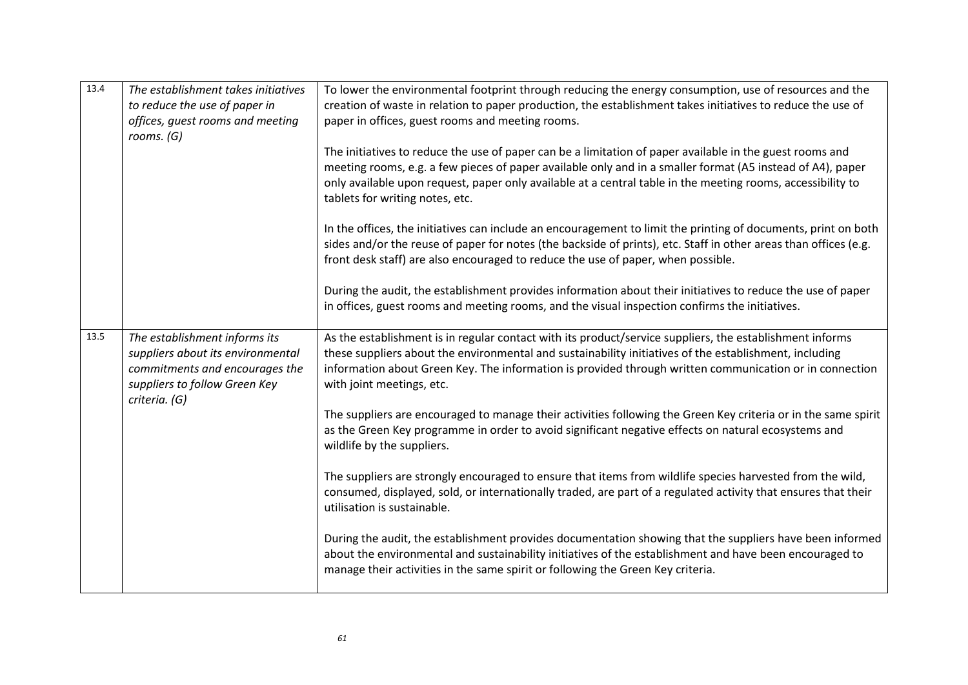| 13.4 | The establishment takes initiatives<br>to reduce the use of paper in<br>offices, guest rooms and meeting<br>rooms. $(G)$                               | To lower the environmental footprint through reducing the energy consumption, use of resources and the<br>creation of waste in relation to paper production, the establishment takes initiatives to reduce the use of<br>paper in offices, guest rooms and meeting rooms.<br>The initiatives to reduce the use of paper can be a limitation of paper available in the guest rooms and<br>meeting rooms, e.g. a few pieces of paper available only and in a smaller format (A5 instead of A4), paper<br>only available upon request, paper only available at a central table in the meeting rooms, accessibility to<br>tablets for writing notes, etc.<br>In the offices, the initiatives can include an encouragement to limit the printing of documents, print on both<br>sides and/or the reuse of paper for notes (the backside of prints), etc. Staff in other areas than offices (e.g.<br>front desk staff) are also encouraged to reduce the use of paper, when possible. |
|------|--------------------------------------------------------------------------------------------------------------------------------------------------------|---------------------------------------------------------------------------------------------------------------------------------------------------------------------------------------------------------------------------------------------------------------------------------------------------------------------------------------------------------------------------------------------------------------------------------------------------------------------------------------------------------------------------------------------------------------------------------------------------------------------------------------------------------------------------------------------------------------------------------------------------------------------------------------------------------------------------------------------------------------------------------------------------------------------------------------------------------------------------------|
|      |                                                                                                                                                        | During the audit, the establishment provides information about their initiatives to reduce the use of paper<br>in offices, guest rooms and meeting rooms, and the visual inspection confirms the initiatives.                                                                                                                                                                                                                                                                                                                                                                                                                                                                                                                                                                                                                                                                                                                                                                   |
| 13.5 | The establishment informs its<br>suppliers about its environmental<br>commitments and encourages the<br>suppliers to follow Green Key<br>criteria. (G) | As the establishment is in regular contact with its product/service suppliers, the establishment informs<br>these suppliers about the environmental and sustainability initiatives of the establishment, including<br>information about Green Key. The information is provided through written communication or in connection<br>with joint meetings, etc.                                                                                                                                                                                                                                                                                                                                                                                                                                                                                                                                                                                                                      |
|      |                                                                                                                                                        | The suppliers are encouraged to manage their activities following the Green Key criteria or in the same spirit<br>as the Green Key programme in order to avoid significant negative effects on natural ecosystems and<br>wildlife by the suppliers.                                                                                                                                                                                                                                                                                                                                                                                                                                                                                                                                                                                                                                                                                                                             |
|      |                                                                                                                                                        | The suppliers are strongly encouraged to ensure that items from wildlife species harvested from the wild,<br>consumed, displayed, sold, or internationally traded, are part of a regulated activity that ensures that their<br>utilisation is sustainable.                                                                                                                                                                                                                                                                                                                                                                                                                                                                                                                                                                                                                                                                                                                      |
|      |                                                                                                                                                        | During the audit, the establishment provides documentation showing that the suppliers have been informed<br>about the environmental and sustainability initiatives of the establishment and have been encouraged to<br>manage their activities in the same spirit or following the Green Key criteria.                                                                                                                                                                                                                                                                                                                                                                                                                                                                                                                                                                                                                                                                          |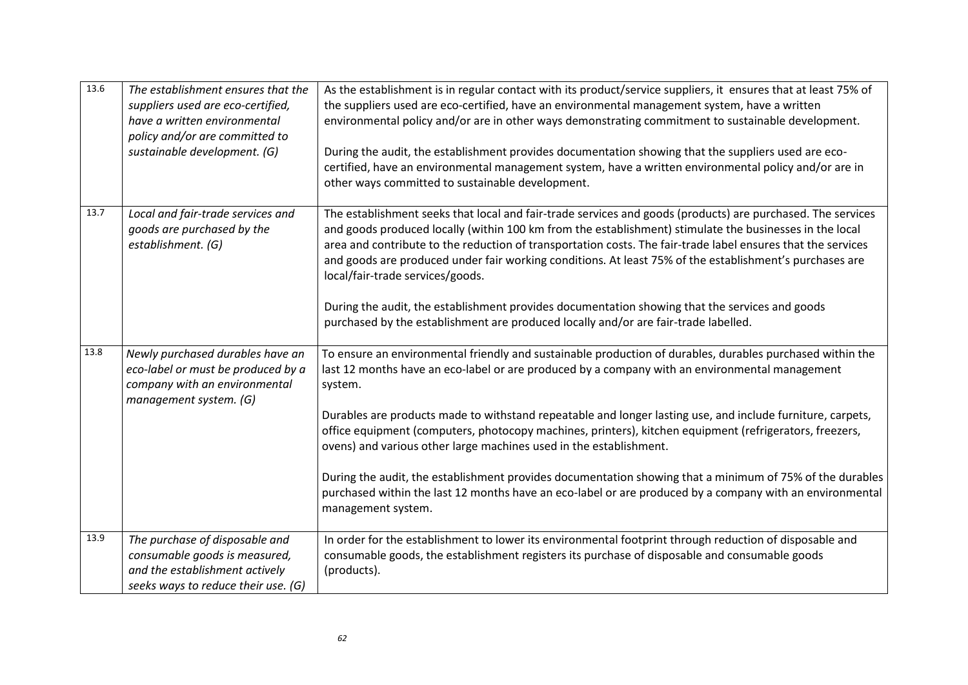| 13.6 | The establishment ensures that the<br>suppliers used are eco-certified,<br>have a written environmental<br>policy and/or are committed to<br>sustainable development. (G) | As the establishment is in regular contact with its product/service suppliers, it ensures that at least 75% of<br>the suppliers used are eco-certified, have an environmental management system, have a written<br>environmental policy and/or are in other ways demonstrating commitment to sustainable development.<br>During the audit, the establishment provides documentation showing that the suppliers used are eco-<br>certified, have an environmental management system, have a written environmental policy and/or are in<br>other ways committed to sustainable development.                                                                                                                                                                           |
|------|---------------------------------------------------------------------------------------------------------------------------------------------------------------------------|---------------------------------------------------------------------------------------------------------------------------------------------------------------------------------------------------------------------------------------------------------------------------------------------------------------------------------------------------------------------------------------------------------------------------------------------------------------------------------------------------------------------------------------------------------------------------------------------------------------------------------------------------------------------------------------------------------------------------------------------------------------------|
| 13.7 | Local and fair-trade services and<br>goods are purchased by the<br>establishment. (G)                                                                                     | The establishment seeks that local and fair-trade services and goods (products) are purchased. The services<br>and goods produced locally (within 100 km from the establishment) stimulate the businesses in the local<br>area and contribute to the reduction of transportation costs. The fair-trade label ensures that the services<br>and goods are produced under fair working conditions. At least 75% of the establishment's purchases are<br>local/fair-trade services/goods.<br>During the audit, the establishment provides documentation showing that the services and goods<br>purchased by the establishment are produced locally and/or are fair-trade labelled.                                                                                      |
| 13.8 | Newly purchased durables have an<br>eco-label or must be produced by a<br>company with an environmental<br>management system. (G)                                         | To ensure an environmental friendly and sustainable production of durables, durables purchased within the<br>last 12 months have an eco-label or are produced by a company with an environmental management<br>system.<br>Durables are products made to withstand repeatable and longer lasting use, and include furniture, carpets,<br>office equipment (computers, photocopy machines, printers), kitchen equipment (refrigerators, freezers,<br>ovens) and various other large machines used in the establishment.<br>During the audit, the establishment provides documentation showing that a minimum of 75% of the durables<br>purchased within the last 12 months have an eco-label or are produced by a company with an environmental<br>management system. |
| 13.9 | The purchase of disposable and<br>consumable goods is measured,<br>and the establishment actively<br>seeks ways to reduce their use. (G)                                  | In order for the establishment to lower its environmental footprint through reduction of disposable and<br>consumable goods, the establishment registers its purchase of disposable and consumable goods<br>(products).                                                                                                                                                                                                                                                                                                                                                                                                                                                                                                                                             |